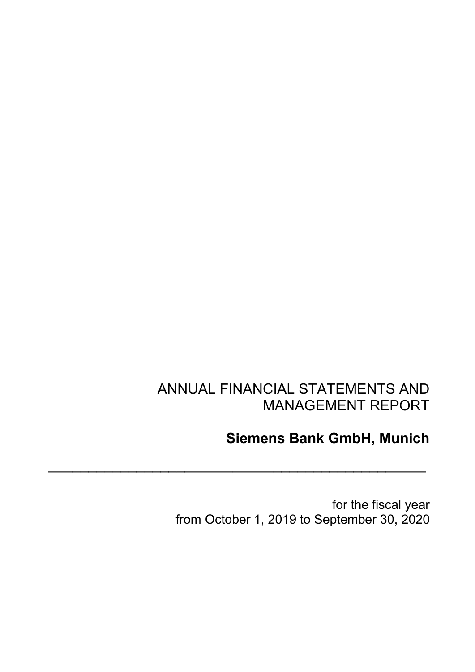# ANNUAL FINANCIAL STATEMENTS AND MANAGEMENT REPORT

 $\overline{\phantom{a}}$  ,  $\overline{\phantom{a}}$  ,  $\overline{\phantom{a}}$  ,  $\overline{\phantom{a}}$  ,  $\overline{\phantom{a}}$  ,  $\overline{\phantom{a}}$  ,  $\overline{\phantom{a}}$  ,  $\overline{\phantom{a}}$  ,  $\overline{\phantom{a}}$  ,  $\overline{\phantom{a}}$  ,  $\overline{\phantom{a}}$  ,  $\overline{\phantom{a}}$  ,  $\overline{\phantom{a}}$  ,  $\overline{\phantom{a}}$  ,  $\overline{\phantom{a}}$  ,  $\overline{\phantom{a}}$ 

# **Siemens Bank GmbH, Munich**

for the fiscal year from October 1, 2019 to September 30, 2020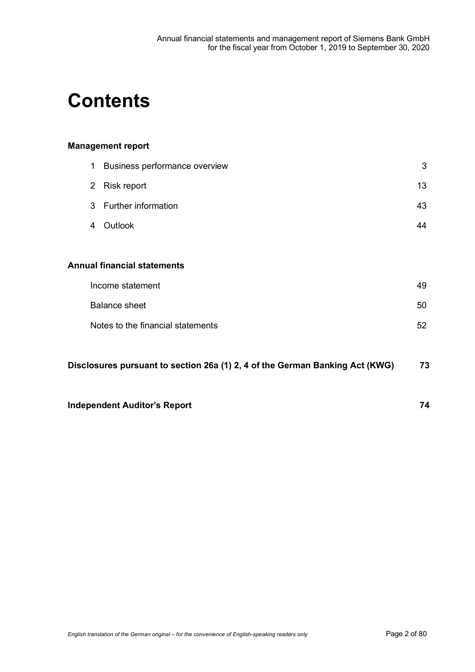# **Contents**

# **Management report**

|                                                                                    | 1              | Business performance overview     | 3  |  |
|------------------------------------------------------------------------------------|----------------|-----------------------------------|----|--|
|                                                                                    | $\overline{2}$ | Risk report                       | 13 |  |
|                                                                                    | 3              | Further information               | 43 |  |
|                                                                                    | 4              | Outlook                           | 44 |  |
|                                                                                    |                |                                   |    |  |
| <b>Annual financial statements</b>                                                 |                |                                   |    |  |
|                                                                                    |                | Income statement                  | 49 |  |
|                                                                                    |                | <b>Balance sheet</b>              | 50 |  |
|                                                                                    |                | Notes to the financial statements | 52 |  |
|                                                                                    |                |                                   |    |  |
| 73<br>Disclosures pursuant to section 26a (1) 2, 4 of the German Banking Act (KWG) |                |                                   |    |  |
|                                                                                    |                |                                   |    |  |

**Independent Auditor's Report 74**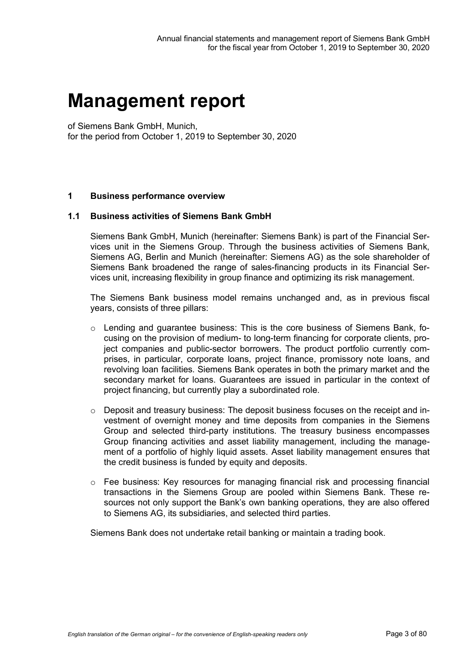# **Management report**

of Siemens Bank GmbH, Munich, for the period from October 1, 2019 to September 30, 2020

#### **1 Business performance overview**

#### **1.1 Business activities of Siemens Bank GmbH**

Siemens Bank GmbH, Munich (hereinafter: Siemens Bank) is part of the Financial Services unit in the Siemens Group. Through the business activities of Siemens Bank, Siemens AG, Berlin and Munich (hereinafter: Siemens AG) as the sole shareholder of Siemens Bank broadened the range of sales-financing products in its Financial Services unit, increasing flexibility in group finance and optimizing its risk management.

The Siemens Bank business model remains unchanged and, as in previous fiscal years, consists of three pillars:

- $\circ$  Lending and quarantee business: This is the core business of Siemens Bank, focusing on the provision of medium- to long-term financing for corporate clients, project companies and public-sector borrowers. The product portfolio currently comprises, in particular, corporate loans, project finance, promissory note loans, and revolving loan facilities. Siemens Bank operates in both the primary market and the secondary market for loans. Guarantees are issued in particular in the context of project financing, but currently play a subordinated role.
- o Deposit and treasury business: The deposit business focuses on the receipt and investment of overnight money and time deposits from companies in the Siemens Group and selected third-party institutions. The treasury business encompasses Group financing activities and asset liability management, including the management of a portfolio of highly liquid assets. Asset liability management ensures that the credit business is funded by equity and deposits.
- o Fee business: Key resources for managing financial risk and processing financial transactions in the Siemens Group are pooled within Siemens Bank. These resources not only support the Bank's own banking operations, they are also offered to Siemens AG, its subsidiaries, and selected third parties.

Siemens Bank does not undertake retail banking or maintain a trading book.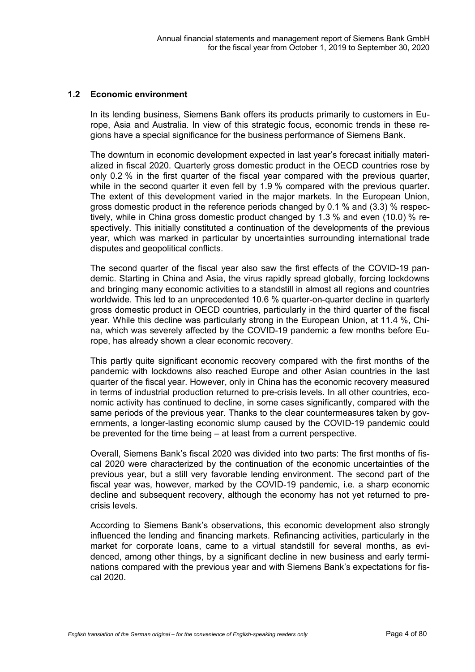#### **1.2 Economic environment**

In its lending business, Siemens Bank offers its products primarily to customers in Europe, Asia and Australia. In view of this strategic focus, economic trends in these regions have a special significance for the business performance of Siemens Bank.

The downturn in economic development expected in last year's forecast initially materialized in fiscal 2020. Quarterly gross domestic product in the OECD countries rose by only 0.2 % in the first quarter of the fiscal year compared with the previous quarter, while in the second quarter it even fell by 1.9 % compared with the previous quarter. The extent of this development varied in the major markets. In the European Union, gross domestic product in the reference periods changed by 0.1 % and (3.3) % respectively, while in China gross domestic product changed by 1.3 % and even (10.0) % respectively. This initially constituted a continuation of the developments of the previous year, which was marked in particular by uncertainties surrounding international trade disputes and geopolitical conflicts.

The second quarter of the fiscal year also saw the first effects of the COVID-19 pandemic. Starting in China and Asia, the virus rapidly spread globally, forcing lockdowns and bringing many economic activities to a standstill in almost all regions and countries worldwide. This led to an unprecedented 10.6 % quarter-on-quarter decline in quarterly gross domestic product in OECD countries, particularly in the third quarter of the fiscal year. While this decline was particularly strong in the European Union, at 11.4 %, China, which was severely affected by the COVID-19 pandemic a few months before Europe, has already shown a clear economic recovery.

This partly quite significant economic recovery compared with the first months of the pandemic with lockdowns also reached Europe and other Asian countries in the last quarter of the fiscal year. However, only in China has the economic recovery measured in terms of industrial production returned to pre-crisis levels. In all other countries, economic activity has continued to decline, in some cases significantly, compared with the same periods of the previous year. Thanks to the clear countermeasures taken by governments, a longer-lasting economic slump caused by the COVID-19 pandemic could be prevented for the time being – at least from a current perspective.

Overall, Siemens Bank's fiscal 2020 was divided into two parts: The first months of fiscal 2020 were characterized by the continuation of the economic uncertainties of the previous year, but a still very favorable lending environment. The second part of the fiscal year was, however, marked by the COVID-19 pandemic, i.e. a sharp economic decline and subsequent recovery, although the economy has not yet returned to precrisis levels.

According to Siemens Bank's observations, this economic development also strongly influenced the lending and financing markets. Refinancing activities, particularly in the market for corporate loans, came to a virtual standstill for several months, as evidenced, among other things, by a significant decline in new business and early terminations compared with the previous year and with Siemens Bank's expectations for fiscal 2020.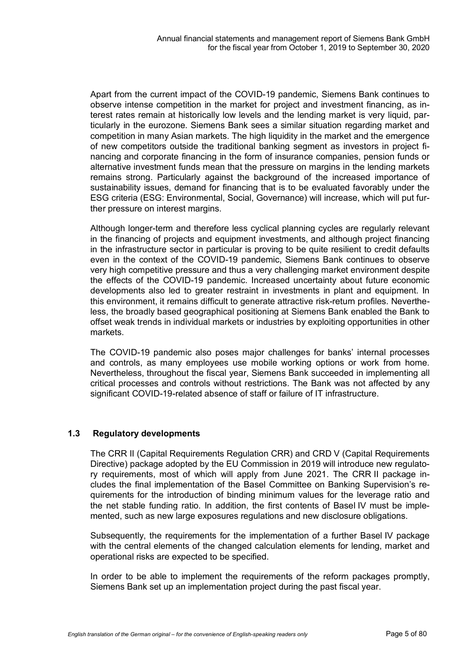Apart from the current impact of the COVID-19 pandemic, Siemens Bank continues to observe intense competition in the market for project and investment financing, as interest rates remain at historically low levels and the lending market is very liquid, particularly in the eurozone. Siemens Bank sees a similar situation regarding market and competition in many Asian markets. The high liquidity in the market and the emergence of new competitors outside the traditional banking segment as investors in project financing and corporate financing in the form of insurance companies, pension funds or alternative investment funds mean that the pressure on margins in the lending markets remains strong. Particularly against the background of the increased importance of sustainability issues, demand for financing that is to be evaluated favorably under the ESG criteria (ESG: Environmental, Social, Governance) will increase, which will put further pressure on interest margins.

Although longer-term and therefore less cyclical planning cycles are regularly relevant in the financing of projects and equipment investments, and although project financing in the infrastructure sector in particular is proving to be quite resilient to credit defaults even in the context of the COVID-19 pandemic, Siemens Bank continues to observe very high competitive pressure and thus a very challenging market environment despite the effects of the COVID-19 pandemic. Increased uncertainty about future economic developments also led to greater restraint in investments in plant and equipment. In this environment, it remains difficult to generate attractive risk-return profiles. Nevertheless, the broadly based geographical positioning at Siemens Bank enabled the Bank to offset weak trends in individual markets or industries by exploiting opportunities in other markets.

The COVID-19 pandemic also poses major challenges for banks' internal processes and controls, as many employees use mobile working options or work from home. Nevertheless, throughout the fiscal year, Siemens Bank succeeded in implementing all critical processes and controls without restrictions. The Bank was not affected by any significant COVID-19-related absence of staff or failure of IT infrastructure.

### **1.3 Regulatory developments**

The CRR II (Capital Requirements Regulation CRR) and CRD V (Capital Requirements Directive) package adopted by the EU Commission in 2019 will introduce new regulatory requirements, most of which will apply from June 2021. The CRR II package includes the final implementation of the Basel Committee on Banking Supervision's requirements for the introduction of binding minimum values for the leverage ratio and the net stable funding ratio. In addition, the first contents of Basel IV must be implemented, such as new large exposures regulations and new disclosure obligations.

Subsequently, the requirements for the implementation of a further Basel IV package with the central elements of the changed calculation elements for lending, market and operational risks are expected to be specified.

In order to be able to implement the requirements of the reform packages promptly, Siemens Bank set up an implementation project during the past fiscal year.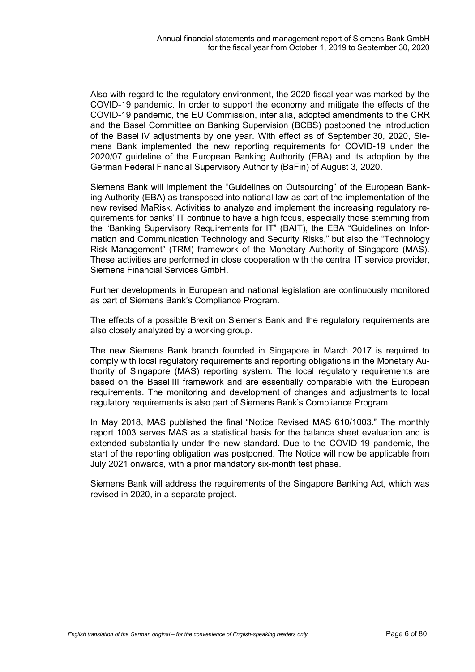Also with regard to the regulatory environment, the 2020 fiscal year was marked by the COVID-19 pandemic. In order to support the economy and mitigate the effects of the COVID-19 pandemic, the EU Commission, inter alia, adopted amendments to the CRR and the Basel Committee on Banking Supervision (BCBS) postponed the introduction of the Basel IV adjustments by one year. With effect as of September 30, 2020, Siemens Bank implemented the new reporting requirements for COVID-19 under the 2020/07 guideline of the European Banking Authority (EBA) and its adoption by the German Federal Financial Supervisory Authority (BaFin) of August 3, 2020.

Siemens Bank will implement the "Guidelines on Outsourcing" of the European Banking Authority (EBA) as transposed into national law as part of the implementation of the new revised MaRisk. Activities to analyze and implement the increasing regulatory requirements for banks' IT continue to have a high focus, especially those stemming from the "Banking Supervisory Requirements for IT" (BAIT), the EBA "Guidelines on Information and Communication Technology and Security Risks," but also the "Technology Risk Management" (TRM) framework of the Monetary Authority of Singapore (MAS). These activities are performed in close cooperation with the central IT service provider, Siemens Financial Services GmbH.

Further developments in European and national legislation are continuously monitored as part of Siemens Bank's Compliance Program.

The effects of a possible Brexit on Siemens Bank and the regulatory requirements are also closely analyzed by a working group.

The new Siemens Bank branch founded in Singapore in March 2017 is required to comply with local regulatory requirements and reporting obligations in the Monetary Authority of Singapore (MAS) reporting system. The local regulatory requirements are based on the Basel III framework and are essentially comparable with the European requirements. The monitoring and development of changes and adjustments to local regulatory requirements is also part of Siemens Bank's Compliance Program.

In May 2018, MAS published the final "Notice Revised MAS 610/1003." The monthly report 1003 serves MAS as a statistical basis for the balance sheet evaluation and is extended substantially under the new standard. Due to the COVID-19 pandemic, the start of the reporting obligation was postponed. The Notice will now be applicable from July 2021 onwards, with a prior mandatory six-month test phase.

Siemens Bank will address the requirements of the Singapore Banking Act, which was revised in 2020, in a separate project.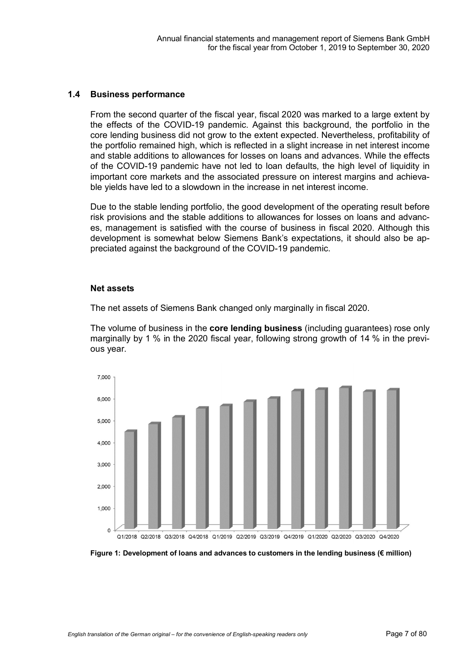#### **1.4 Business performance**

From the second quarter of the fiscal year, fiscal 2020 was marked to a large extent by the effects of the COVID-19 pandemic. Against this background, the portfolio in the core lending business did not grow to the extent expected. Nevertheless, profitability of the portfolio remained high, which is reflected in a slight increase in net interest income and stable additions to allowances for losses on loans and advances. While the effects of the COVID-19 pandemic have not led to loan defaults, the high level of liquidity in important core markets and the associated pressure on interest margins and achievable yields have led to a slowdown in the increase in net interest income.

Due to the stable lending portfolio, the good development of the operating result before risk provisions and the stable additions to allowances for losses on loans and advances, management is satisfied with the course of business in fiscal 2020. Although this development is somewhat below Siemens Bank's expectations, it should also be appreciated against the background of the COVID-19 pandemic.

#### **Net assets**

The net assets of Siemens Bank changed only marginally in fiscal 2020.

The volume of business in the **core lending business** (including guarantees) rose only marginally by 1 % in the 2020 fiscal year, following strong growth of 14 % in the previous year.



**Figure 1: Development of loans and advances to customers in the lending business (€ million)**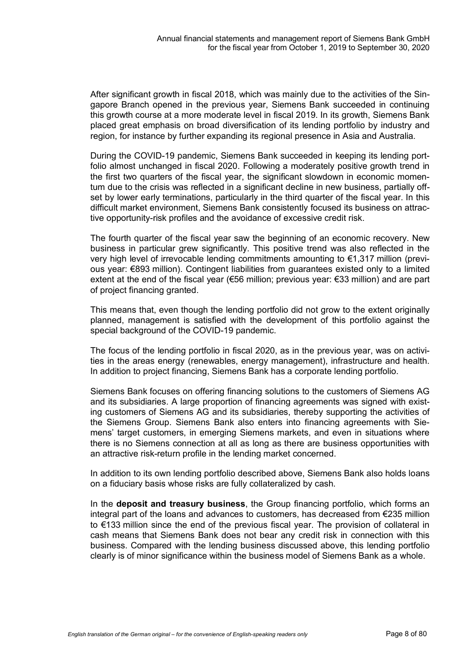After significant growth in fiscal 2018, which was mainly due to the activities of the Singapore Branch opened in the previous year, Siemens Bank succeeded in continuing this growth course at a more moderate level in fiscal 2019. In its growth, Siemens Bank placed great emphasis on broad diversification of its lending portfolio by industry and region, for instance by further expanding its regional presence in Asia and Australia.

During the COVID-19 pandemic, Siemens Bank succeeded in keeping its lending portfolio almost unchanged in fiscal 2020. Following a moderately positive growth trend in the first two quarters of the fiscal year, the significant slowdown in economic momentum due to the crisis was reflected in a significant decline in new business, partially offset by lower early terminations, particularly in the third quarter of the fiscal year. In this difficult market environment, Siemens Bank consistently focused its business on attractive opportunity-risk profiles and the avoidance of excessive credit risk.

The fourth quarter of the fiscal year saw the beginning of an economic recovery. New business in particular grew significantly. This positive trend was also reflected in the very high level of irrevocable lending commitments amounting to €1,317 million (previous year: €893 million). Contingent liabilities from guarantees existed only to a limited extent at the end of the fiscal year (€56 million; previous year: €33 million) and are part of project financing granted.

This means that, even though the lending portfolio did not grow to the extent originally planned, management is satisfied with the development of this portfolio against the special background of the COVID-19 pandemic.

The focus of the lending portfolio in fiscal 2020, as in the previous year, was on activities in the areas energy (renewables, energy management), infrastructure and health. In addition to project financing, Siemens Bank has a corporate lending portfolio.

Siemens Bank focuses on offering financing solutions to the customers of Siemens AG and its subsidiaries. A large proportion of financing agreements was signed with existing customers of Siemens AG and its subsidiaries, thereby supporting the activities of the Siemens Group. Siemens Bank also enters into financing agreements with Siemens' target customers, in emerging Siemens markets, and even in situations where there is no Siemens connection at all as long as there are business opportunities with an attractive risk-return profile in the lending market concerned.

In addition to its own lending portfolio described above, Siemens Bank also holds loans on a fiduciary basis whose risks are fully collateralized by cash.

In the **deposit and treasury business**, the Group financing portfolio, which forms an integral part of the loans and advances to customers, has decreased from €235 million to €133 million since the end of the previous fiscal year. The provision of collateral in cash means that Siemens Bank does not bear any credit risk in connection with this business. Compared with the lending business discussed above, this lending portfolio clearly is of minor significance within the business model of Siemens Bank as a whole.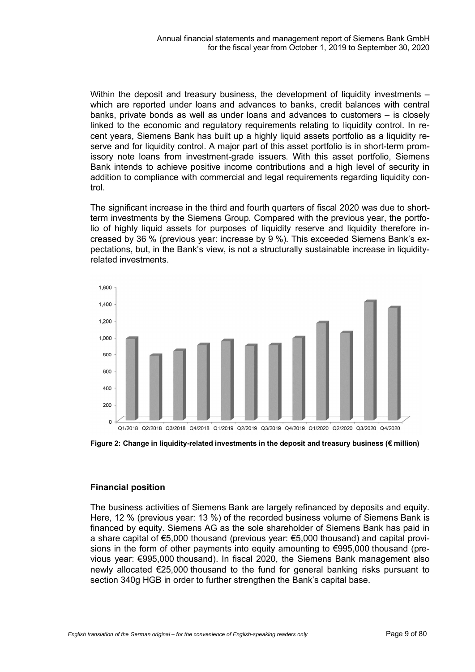Within the deposit and treasury business, the development of liquidity investments – which are reported under loans and advances to banks, credit balances with central banks, private bonds as well as under loans and advances to customers – is closely linked to the economic and regulatory requirements relating to liquidity control. In recent years, Siemens Bank has built up a highly liquid assets portfolio as a liquidity reserve and for liquidity control. A major part of this asset portfolio is in short-term promissory note loans from investment-grade issuers. With this asset portfolio, Siemens Bank intends to achieve positive income contributions and a high level of security in addition to compliance with commercial and legal requirements regarding liquidity control.

The significant increase in the third and fourth quarters of fiscal 2020 was due to shortterm investments by the Siemens Group. Compared with the previous year, the portfolio of highly liquid assets for purposes of liquidity reserve and liquidity therefore increased by 36 % (previous year: increase by 9 %). This exceeded Siemens Bank's expectations, but, in the Bank's view, is not a structurally sustainable increase in liquidityrelated investments.



**Figure 2: Change in liquidity-related investments in the deposit and treasury business (€ million)**

# **Financial position**

The business activities of Siemens Bank are largely refinanced by deposits and equity. Here, 12 % (previous year: 13 %) of the recorded business volume of Siemens Bank is financed by equity. Siemens AG as the sole shareholder of Siemens Bank has paid in a share capital of €5,000 thousand (previous year: €5,000 thousand) and capital provisions in the form of other payments into equity amounting to €995,000 thousand (previous year: €995,000 thousand). In fiscal 2020, the Siemens Bank management also newly allocated €25,000 thousand to the fund for general banking risks pursuant to section 340g HGB in order to further strengthen the Bank's capital base.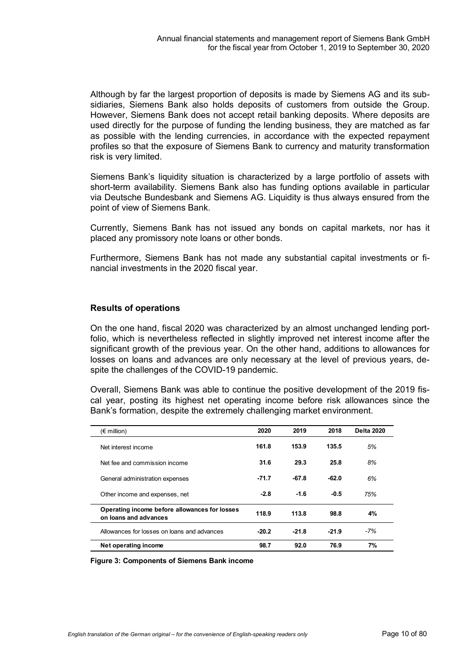Although by far the largest proportion of deposits is made by Siemens AG and its subsidiaries, Siemens Bank also holds deposits of customers from outside the Group. However, Siemens Bank does not accept retail banking deposits. Where deposits are used directly for the purpose of funding the lending business, they are matched as far as possible with the lending currencies, in accordance with the expected repayment profiles so that the exposure of Siemens Bank to currency and maturity transformation risk is very limited.

Siemens Bank's liquidity situation is characterized by a large portfolio of assets with short-term availability. Siemens Bank also has funding options available in particular via Deutsche Bundesbank and Siemens AG. Liquidity is thus always ensured from the point of view of Siemens Bank.

Currently, Siemens Bank has not issued any bonds on capital markets, nor has it placed any promissory note loans or other bonds.

Furthermore, Siemens Bank has not made any substantial capital investments or financial investments in the 2020 fiscal year.

#### **Results of operations**

On the one hand, fiscal 2020 was characterized by an almost unchanged lending portfolio, which is nevertheless reflected in slightly improved net interest income after the significant growth of the previous year. On the other hand, additions to allowances for losses on loans and advances are only necessary at the level of previous years, despite the challenges of the COVID-19 pandemic.

Overall, Siemens Bank was able to continue the positive development of the 2019 fiscal year, posting its highest net operating income before risk allowances since the Bank's formation, despite the extremely challenging market environment.

| $(\epsilon$ million)                                                   | 2020    | 2019    | 2018    | <b>Delta 2020</b> |
|------------------------------------------------------------------------|---------|---------|---------|-------------------|
| Net interest income                                                    | 161.8   | 153.9   | 135.5   | 5%                |
| Net fee and commission income                                          | 31.6    | 29.3    | 25.8    | 8%                |
| General administration expenses                                        | $-71.7$ | $-67.8$ | $-62.0$ | 6%                |
| Other income and expenses, net                                         | $-2.8$  | $-1.6$  | $-0.5$  | 75%               |
| Operating income before allowances for losses<br>on loans and advances | 118.9   | 113.8   | 98.8    | 4%                |
| Allowances for losses on loans and advances                            | $-20.2$ | $-21.8$ | $-21.9$ | $-7%$             |
| Net operating income                                                   | 98.7    | 92.0    | 76.9    | 7%                |

**Figure 3: Components of Siemens Bank income**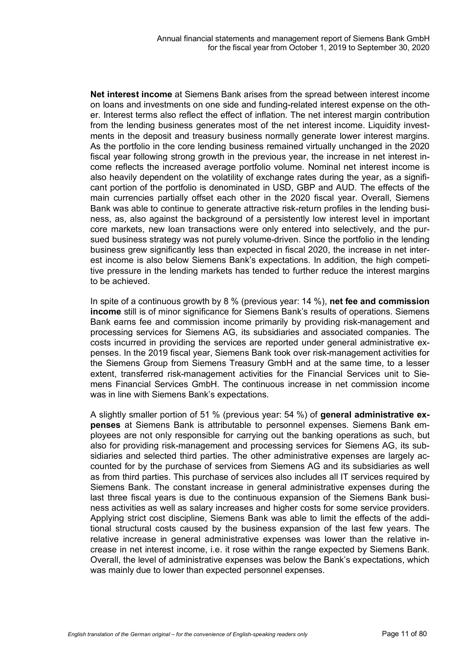**Net interest income** at Siemens Bank arises from the spread between interest income on loans and investments on one side and funding-related interest expense on the other. Interest terms also reflect the effect of inflation. The net interest margin contribution from the lending business generates most of the net interest income. Liquidity investments in the deposit and treasury business normally generate lower interest margins. As the portfolio in the core lending business remained virtually unchanged in the 2020 fiscal year following strong growth in the previous year, the increase in net interest income reflects the increased average portfolio volume. Nominal net interest income is also heavily dependent on the volatility of exchange rates during the year, as a significant portion of the portfolio is denominated in USD, GBP and AUD. The effects of the main currencies partially offset each other in the 2020 fiscal year. Overall, Siemens Bank was able to continue to generate attractive risk-return profiles in the lending business, as, also against the background of a persistently low interest level in important core markets, new loan transactions were only entered into selectively, and the pursued business strategy was not purely volume-driven. Since the portfolio in the lending business grew significantly less than expected in fiscal 2020, the increase in net interest income is also below Siemens Bank's expectations. In addition, the high competitive pressure in the lending markets has tended to further reduce the interest margins to be achieved.

In spite of a continuous growth by 8 % (previous year: 14 %), **net fee and commission income** still is of minor significance for Siemens Bank's results of operations. Siemens Bank earns fee and commission income primarily by providing risk-management and processing services for Siemens AG, its subsidiaries and associated companies. The costs incurred in providing the services are reported under general administrative expenses. In the 2019 fiscal year, Siemens Bank took over risk-management activities for the Siemens Group from Siemens Treasury GmbH and at the same time, to a lesser extent, transferred risk-management activities for the Financial Services unit to Siemens Financial Services GmbH. The continuous increase in net commission income was in line with Siemens Bank's expectations.

A slightly smaller portion of 51 % (previous year: 54 %) of **general administrative expenses** at Siemens Bank is attributable to personnel expenses. Siemens Bank employees are not only responsible for carrying out the banking operations as such, but also for providing risk-management and processing services for Siemens AG, its subsidiaries and selected third parties. The other administrative expenses are largely accounted for by the purchase of services from Siemens AG and its subsidiaries as well as from third parties. This purchase of services also includes all IT services required by Siemens Bank. The constant increase in general administrative expenses during the last three fiscal years is due to the continuous expansion of the Siemens Bank business activities as well as salary increases and higher costs for some service providers. Applying strict cost discipline, Siemens Bank was able to limit the effects of the additional structural costs caused by the business expansion of the last few years. The relative increase in general administrative expenses was lower than the relative increase in net interest income, i.e. it rose within the range expected by Siemens Bank. Overall, the level of administrative expenses was below the Bank's expectations, which was mainly due to lower than expected personnel expenses.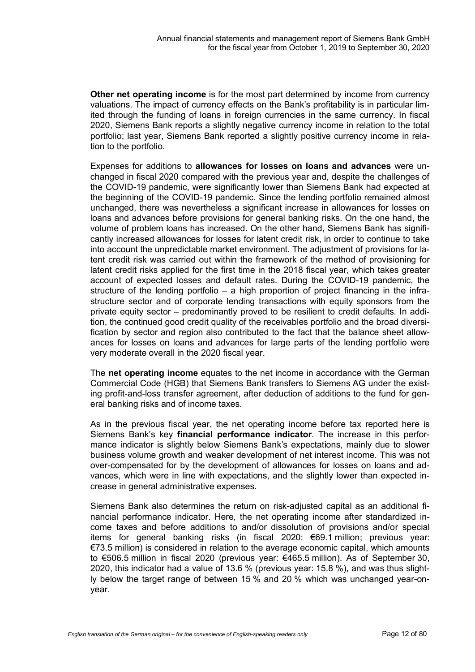**Other net operating income** is for the most part determined by income from currency valuations. The impact of currency effects on the Bank's profitability is in particular limited through the funding of loans in foreign currencies in the same currency. In fiscal 2020, Siemens Bank reports a slightly negative currency income in relation to the total portfolio; last year, Siemens Bank reported a slightly positive currency income in relation to the portfolio.

Expenses for additions to **allowances for losses on loans and advances** were unchanged in fiscal 2020 compared with the previous year and, despite the challenges of the COVID-19 pandemic, were significantly lower than Siemens Bank had expected at the beginning of the COVID-19 pandemic. Since the lending portfolio remained almost unchanged, there was nevertheless a significant increase in allowances for losses on loans and advances before provisions for general banking risks. On the one hand, the volume of problem loans has increased. On the other hand, Siemens Bank has significantly increased allowances for losses for latent credit risk, in order to continue to take into account the unpredictable market environment. The adjustment of provisions for latent credit risk was carried out within the framework of the method of provisioning for latent credit risks applied for the first time in the 2018 fiscal year, which takes greater account of expected losses and default rates. During the COVID-19 pandemic, the structure of the lending portfolio – a high proportion of project financing in the infrastructure sector and of corporate lending transactions with equity sponsors from the private equity sector – predominantly proved to be resilient to credit defaults. In addition, the continued good credit quality of the receivables portfolio and the broad diversification by sector and region also contributed to the fact that the balance sheet allowances for losses on loans and advances for large parts of the lending portfolio were very moderate overall in the 2020 fiscal year.

The **net operating income** equates to the net income in accordance with the German Commercial Code (HGB) that Siemens Bank transfers to Siemens AG under the existing profit-and-loss transfer agreement, after deduction of additions to the fund for general banking risks and of income taxes.

As in the previous fiscal year, the net operating income before tax reported here is Siemens Bank's key **financial performance indicator**. The increase in this performance indicator is slightly below Siemens Bank's expectations, mainly due to slower business volume growth and weaker development of net interest income. This was not over-compensated for by the development of allowances for losses on loans and advances, which were in line with expectations, and the slightly lower than expected increase in general administrative expenses.

Siemens Bank also determines the return on risk-adjusted capital as an additional financial performance indicator. Here, the net operating income after standardized income taxes and before additions to and/or dissolution of provisions and/or special items for general banking risks (in fiscal 2020: €69.1 million; previous year: €73.5 million) is considered in relation to the average economic capital, which amounts to €506.5 million in fiscal 2020 (previous year: €465.5 million). As of September 30, 2020, this indicator had a value of 13.6 % (previous year: 15.8 %), and was thus slightly below the target range of between 15 % and 20 % which was unchanged year-onyear.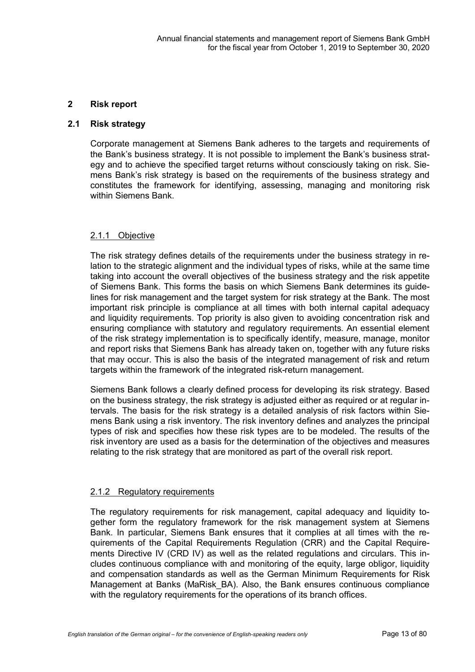#### **2 Risk report**

#### **2.1 Risk strategy**

Corporate management at Siemens Bank adheres to the targets and requirements of the Bank's business strategy. It is not possible to implement the Bank's business strategy and to achieve the specified target returns without consciously taking on risk. Siemens Bank's risk strategy is based on the requirements of the business strategy and constitutes the framework for identifying, assessing, managing and monitoring risk within Siemens Bank.

# 2.1.1 Objective

The risk strategy defines details of the requirements under the business strategy in relation to the strategic alignment and the individual types of risks, while at the same time taking into account the overall objectives of the business strategy and the risk appetite of Siemens Bank. This forms the basis on which Siemens Bank determines its guidelines for risk management and the target system for risk strategy at the Bank. The most important risk principle is compliance at all times with both internal capital adequacy and liquidity requirements. Top priority is also given to avoiding concentration risk and ensuring compliance with statutory and regulatory requirements. An essential element of the risk strategy implementation is to specifically identify, measure, manage, monitor and report risks that Siemens Bank has already taken on, together with any future risks that may occur. This is also the basis of the integrated management of risk and return targets within the framework of the integrated risk-return management.

Siemens Bank follows a clearly defined process for developing its risk strategy. Based on the business strategy, the risk strategy is adjusted either as required or at regular intervals. The basis for the risk strategy is a detailed analysis of risk factors within Siemens Bank using a risk inventory. The risk inventory defines and analyzes the principal types of risk and specifies how these risk types are to be modeled. The results of the risk inventory are used as a basis for the determination of the objectives and measures relating to the risk strategy that are monitored as part of the overall risk report.

# 2.1.2 Regulatory requirements

The regulatory requirements for risk management, capital adequacy and liquidity together form the regulatory framework for the risk management system at Siemens Bank. In particular, Siemens Bank ensures that it complies at all times with the requirements of the Capital Requirements Regulation (CRR) and the Capital Requirements Directive IV (CRD IV) as well as the related regulations and circulars. This includes continuous compliance with and monitoring of the equity, large obligor, liquidity and compensation standards as well as the German Minimum Requirements for Risk Management at Banks (MaRisk\_BA). Also, the Bank ensures continuous compliance with the regulatory requirements for the operations of its branch offices.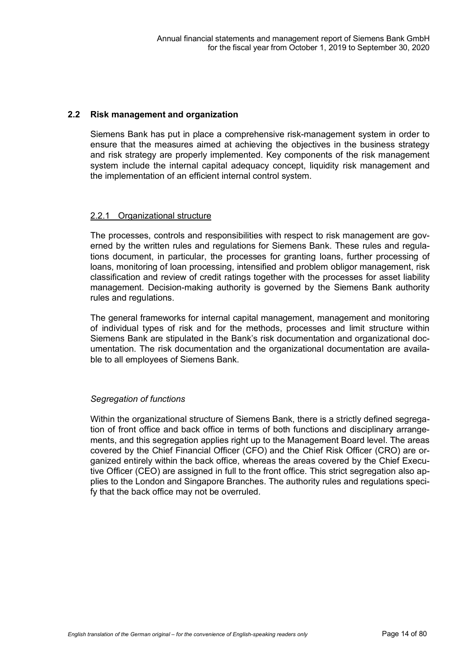#### **2.2 Risk management and organization**

Siemens Bank has put in place a comprehensive risk-management system in order to ensure that the measures aimed at achieving the objectives in the business strategy and risk strategy are properly implemented. Key components of the risk management system include the internal capital adequacy concept, liquidity risk management and the implementation of an efficient internal control system.

#### 2.2.1 Organizational structure

The processes, controls and responsibilities with respect to risk management are governed by the written rules and regulations for Siemens Bank. These rules and regulations document, in particular, the processes for granting loans, further processing of loans, monitoring of loan processing, intensified and problem obligor management, risk classification and review of credit ratings together with the processes for asset liability management. Decision-making authority is governed by the Siemens Bank authority rules and regulations.

The general frameworks for internal capital management, management and monitoring of individual types of risk and for the methods, processes and limit structure within Siemens Bank are stipulated in the Bank's risk documentation and organizational documentation. The risk documentation and the organizational documentation are available to all employees of Siemens Bank.

# *Segregation of functions*

Within the organizational structure of Siemens Bank, there is a strictly defined segregation of front office and back office in terms of both functions and disciplinary arrangements, and this segregation applies right up to the Management Board level. The areas covered by the Chief Financial Officer (CFO) and the Chief Risk Officer (CRO) are organized entirely within the back office, whereas the areas covered by the Chief Executive Officer (CEO) are assigned in full to the front office. This strict segregation also applies to the London and Singapore Branches. The authority rules and regulations specify that the back office may not be overruled.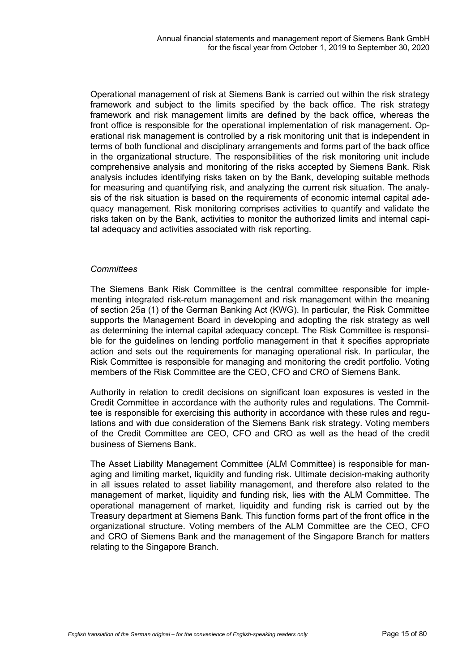Operational management of risk at Siemens Bank is carried out within the risk strategy framework and subject to the limits specified by the back office. The risk strategy framework and risk management limits are defined by the back office, whereas the front office is responsible for the operational implementation of risk management. Operational risk management is controlled by a risk monitoring unit that is independent in terms of both functional and disciplinary arrangements and forms part of the back office in the organizational structure. The responsibilities of the risk monitoring unit include comprehensive analysis and monitoring of the risks accepted by Siemens Bank. Risk analysis includes identifying risks taken on by the Bank, developing suitable methods for measuring and quantifying risk, and analyzing the current risk situation. The analysis of the risk situation is based on the requirements of economic internal capital adequacy management. Risk monitoring comprises activities to quantify and validate the risks taken on by the Bank, activities to monitor the authorized limits and internal capital adequacy and activities associated with risk reporting.

#### *Committees*

The Siemens Bank Risk Committee is the central committee responsible for implementing integrated risk-return management and risk management within the meaning of section 25a (1) of the German Banking Act (KWG). In particular, the Risk Committee supports the Management Board in developing and adopting the risk strategy as well as determining the internal capital adequacy concept. The Risk Committee is responsible for the guidelines on lending portfolio management in that it specifies appropriate action and sets out the requirements for managing operational risk. In particular, the Risk Committee is responsible for managing and monitoring the credit portfolio. Voting members of the Risk Committee are the CEO, CFO and CRO of Siemens Bank.

Authority in relation to credit decisions on significant loan exposures is vested in the Credit Committee in accordance with the authority rules and regulations. The Committee is responsible for exercising this authority in accordance with these rules and regulations and with due consideration of the Siemens Bank risk strategy. Voting members of the Credit Committee are CEO, CFO and CRO as well as the head of the credit business of Siemens Bank.

The Asset Liability Management Committee (ALM Committee) is responsible for managing and limiting market, liquidity and funding risk. Ultimate decision-making authority in all issues related to asset liability management, and therefore also related to the management of market, liquidity and funding risk, lies with the ALM Committee. The operational management of market, liquidity and funding risk is carried out by the Treasury department at Siemens Bank. This function forms part of the front office in the organizational structure. Voting members of the ALM Committee are the CEO, CFO and CRO of Siemens Bank and the management of the Singapore Branch for matters relating to the Singapore Branch.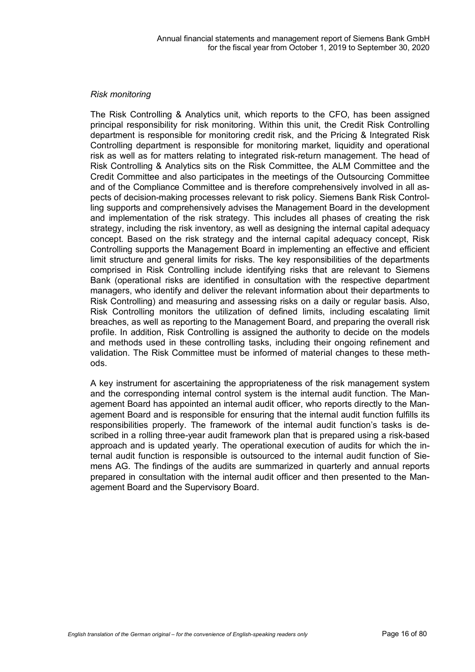#### *Risk monitoring*

The Risk Controlling & Analytics unit, which reports to the CFO, has been assigned principal responsibility for risk monitoring. Within this unit, the Credit Risk Controlling department is responsible for monitoring credit risk, and the Pricing & Integrated Risk Controlling department is responsible for monitoring market, liquidity and operational risk as well as for matters relating to integrated risk-return management. The head of Risk Controlling & Analytics sits on the Risk Committee, the ALM Committee and the Credit Committee and also participates in the meetings of the Outsourcing Committee and of the Compliance Committee and is therefore comprehensively involved in all aspects of decision-making processes relevant to risk policy. Siemens Bank Risk Controlling supports and comprehensively advises the Management Board in the development and implementation of the risk strategy. This includes all phases of creating the risk strategy, including the risk inventory, as well as designing the internal capital adequacy concept. Based on the risk strategy and the internal capital adequacy concept, Risk Controlling supports the Management Board in implementing an effective and efficient limit structure and general limits for risks. The key responsibilities of the departments comprised in Risk Controlling include identifying risks that are relevant to Siemens Bank (operational risks are identified in consultation with the respective department managers, who identify and deliver the relevant information about their departments to Risk Controlling) and measuring and assessing risks on a daily or regular basis. Also, Risk Controlling monitors the utilization of defined limits, including escalating limit breaches, as well as reporting to the Management Board, and preparing the overall risk profile. In addition, Risk Controlling is assigned the authority to decide on the models and methods used in these controlling tasks, including their ongoing refinement and validation. The Risk Committee must be informed of material changes to these methods.

A key instrument for ascertaining the appropriateness of the risk management system and the corresponding internal control system is the internal audit function. The Management Board has appointed an internal audit officer, who reports directly to the Management Board and is responsible for ensuring that the internal audit function fulfills its responsibilities properly. The framework of the internal audit function's tasks is described in a rolling three-year audit framework plan that is prepared using a risk-based approach and is updated yearly. The operational execution of audits for which the internal audit function is responsible is outsourced to the internal audit function of Siemens AG. The findings of the audits are summarized in quarterly and annual reports prepared in consultation with the internal audit officer and then presented to the Management Board and the Supervisory Board.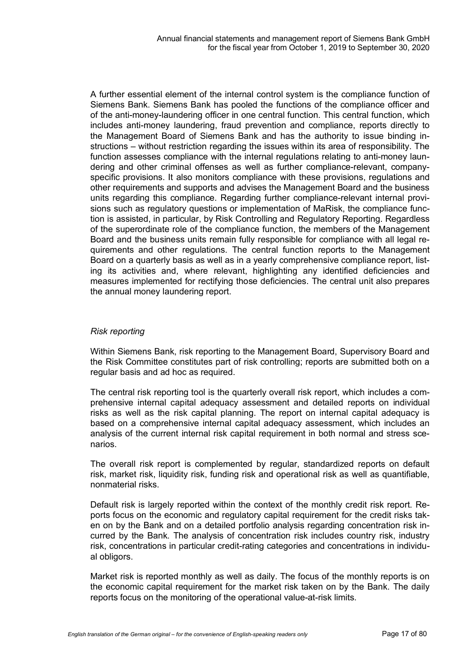A further essential element of the internal control system is the compliance function of Siemens Bank. Siemens Bank has pooled the functions of the compliance officer and of the anti-money-laundering officer in one central function. This central function, which includes anti-money laundering, fraud prevention and compliance, reports directly to the Management Board of Siemens Bank and has the authority to issue binding instructions – without restriction regarding the issues within its area of responsibility. The function assesses compliance with the internal regulations relating to anti-money laundering and other criminal offenses as well as further compliance-relevant, companyspecific provisions. It also monitors compliance with these provisions, regulations and other requirements and supports and advises the Management Board and the business units regarding this compliance. Regarding further compliance-relevant internal provisions such as regulatory questions or implementation of MaRisk, the compliance function is assisted, in particular, by Risk Controlling and Regulatory Reporting. Regardless of the superordinate role of the compliance function, the members of the Management Board and the business units remain fully responsible for compliance with all legal requirements and other regulations. The central function reports to the Management Board on a quarterly basis as well as in a yearly comprehensive compliance report, listing its activities and, where relevant, highlighting any identified deficiencies and measures implemented for rectifying those deficiencies. The central unit also prepares the annual money laundering report.

#### *Risk reporting*

Within Siemens Bank, risk reporting to the Management Board, Supervisory Board and the Risk Committee constitutes part of risk controlling; reports are submitted both on a regular basis and ad hoc as required.

The central risk reporting tool is the quarterly overall risk report, which includes a comprehensive internal capital adequacy assessment and detailed reports on individual risks as well as the risk capital planning. The report on internal capital adequacy is based on a comprehensive internal capital adequacy assessment, which includes an analysis of the current internal risk capital requirement in both normal and stress scenarios.

The overall risk report is complemented by regular, standardized reports on default risk, market risk, liquidity risk, funding risk and operational risk as well as quantifiable, nonmaterial risks.

Default risk is largely reported within the context of the monthly credit risk report. Reports focus on the economic and regulatory capital requirement for the credit risks taken on by the Bank and on a detailed portfolio analysis regarding concentration risk incurred by the Bank. The analysis of concentration risk includes country risk, industry risk, concentrations in particular credit-rating categories and concentrations in individual obligors.

Market risk is reported monthly as well as daily. The focus of the monthly reports is on the economic capital requirement for the market risk taken on by the Bank. The daily reports focus on the monitoring of the operational value-at-risk limits.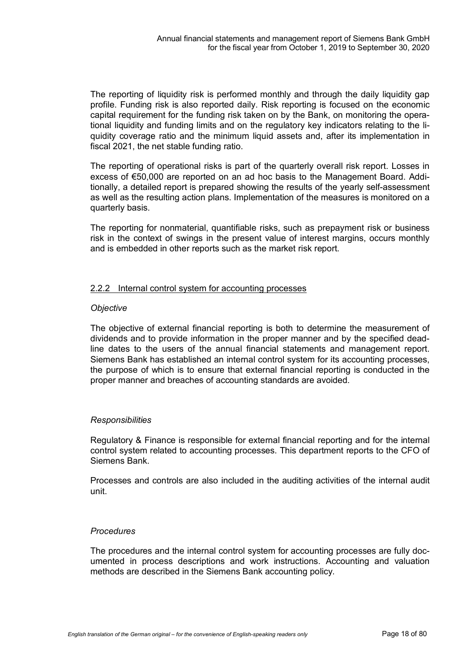The reporting of liquidity risk is performed monthly and through the daily liquidity gap profile. Funding risk is also reported daily. Risk reporting is focused on the economic capital requirement for the funding risk taken on by the Bank, on monitoring the operational liquidity and funding limits and on the regulatory key indicators relating to the liquidity coverage ratio and the minimum liquid assets and, after its implementation in fiscal 2021, the net stable funding ratio.

The reporting of operational risks is part of the quarterly overall risk report. Losses in excess of €50,000 are reported on an ad hoc basis to the Management Board. Additionally, a detailed report is prepared showing the results of the yearly self-assessment as well as the resulting action plans. Implementation of the measures is monitored on a quarterly basis.

The reporting for nonmaterial, quantifiable risks, such as prepayment risk or business risk in the context of swings in the present value of interest margins, occurs monthly and is embedded in other reports such as the market risk report.

### 2.2.2 Internal control system for accounting processes

#### *Objective*

The objective of external financial reporting is both to determine the measurement of dividends and to provide information in the proper manner and by the specified deadline dates to the users of the annual financial statements and management report. Siemens Bank has established an internal control system for its accounting processes, the purpose of which is to ensure that external financial reporting is conducted in the proper manner and breaches of accounting standards are avoided.

#### *Responsibilities*

Regulatory & Finance is responsible for external financial reporting and for the internal control system related to accounting processes. This department reports to the CFO of Siemens Bank.

Processes and controls are also included in the auditing activities of the internal audit unit.

# *Procedures*

The procedures and the internal control system for accounting processes are fully documented in process descriptions and work instructions. Accounting and valuation methods are described in the Siemens Bank accounting policy.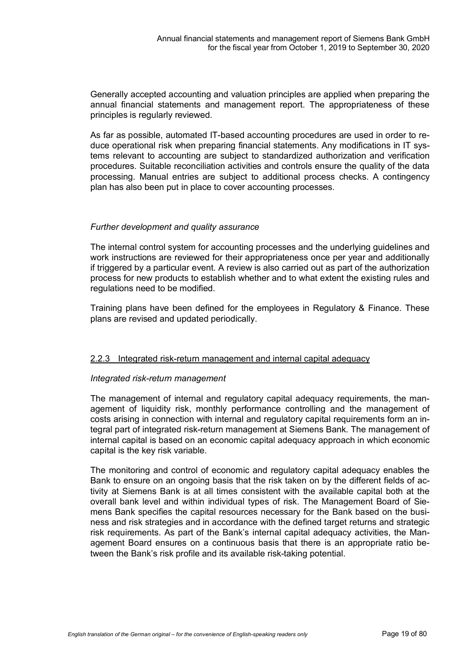Generally accepted accounting and valuation principles are applied when preparing the annual financial statements and management report. The appropriateness of these principles is regularly reviewed.

As far as possible, automated IT-based accounting procedures are used in order to reduce operational risk when preparing financial statements. Any modifications in IT systems relevant to accounting are subject to standardized authorization and verification procedures. Suitable reconciliation activities and controls ensure the quality of the data processing. Manual entries are subject to additional process checks. A contingency plan has also been put in place to cover accounting processes.

### *Further development and quality assurance*

The internal control system for accounting processes and the underlying guidelines and work instructions are reviewed for their appropriateness once per year and additionally if triggered by a particular event. A review is also carried out as part of the authorization process for new products to establish whether and to what extent the existing rules and regulations need to be modified.

Training plans have been defined for the employees in Regulatory & Finance. These plans are revised and updated periodically.

#### 2.2.3 Integrated risk-return management and internal capital adequacy

#### *Integrated risk-return management*

The management of internal and regulatory capital adequacy requirements, the management of liquidity risk, monthly performance controlling and the management of costs arising in connection with internal and regulatory capital requirements form an integral part of integrated risk-return management at Siemens Bank. The management of internal capital is based on an economic capital adequacy approach in which economic capital is the key risk variable.

The monitoring and control of economic and regulatory capital adequacy enables the Bank to ensure on an ongoing basis that the risk taken on by the different fields of activity at Siemens Bank is at all times consistent with the available capital both at the overall bank level and within individual types of risk. The Management Board of Siemens Bank specifies the capital resources necessary for the Bank based on the business and risk strategies and in accordance with the defined target returns and strategic risk requirements. As part of the Bank's internal capital adequacy activities, the Management Board ensures on a continuous basis that there is an appropriate ratio between the Bank's risk profile and its available risk-taking potential.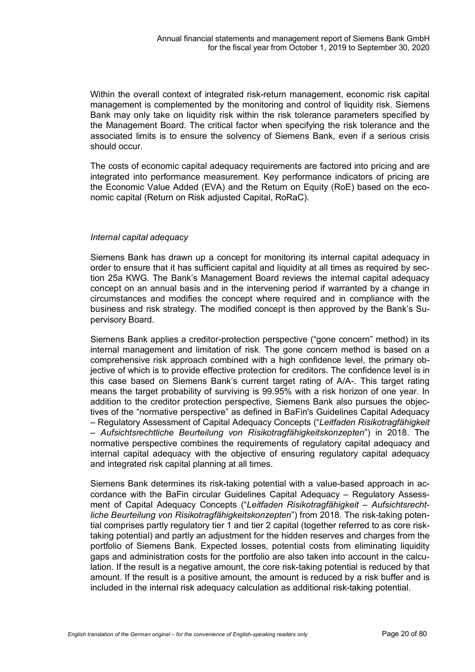Within the overall context of integrated risk-return management, economic risk capital management is complemented by the monitoring and control of liquidity risk. Siemens Bank may only take on liquidity risk within the risk tolerance parameters specified by the Management Board. The critical factor when specifying the risk tolerance and the associated limits is to ensure the solvency of Siemens Bank, even if a serious crisis should occur.

The costs of economic capital adequacy requirements are factored into pricing and are integrated into performance measurement. Key performance indicators of pricing are the Economic Value Added (EVA) and the Return on Equity (RoE) based on the economic capital (Return on Risk adjusted Capital, RoRaC).

#### *Internal capital adequacy*

Siemens Bank has drawn up a concept for monitoring its internal capital adequacy in order to ensure that it has sufficient capital and liquidity at all times as required by section 25a KWG. The Bank's Management Board reviews the internal capital adequacy concept on an annual basis and in the intervening period if warranted by a change in circumstances and modifies the concept where required and in compliance with the business and risk strategy. The modified concept is then approved by the Bank's Supervisory Board.

Siemens Bank applies a creditor-protection perspective ("gone concern" method) in its internal management and limitation of risk. The gone concern method is based on a comprehensive risk approach combined with a high confidence level, the primary objective of which is to provide effective protection for creditors. The confidence level is in this case based on Siemens Bank's current target rating of A/A-. This target rating means the target probability of surviving is 99.95% with a risk horizon of one year. In addition to the creditor protection perspective, Siemens Bank also pursues the objectives of the "normative perspective" as defined in BaFin's Guidelines Capital Adequacy – Regulatory Assessment of Capital Adequacy Concepts ("*Leitfaden Risikotragfähigkeit – Aufsichtsrechtliche Beurteilung von Risikotragfähigkeitskonzepten*") in 2018. The normative perspective combines the requirements of regulatory capital adequacy and internal capital adequacy with the objective of ensuring regulatory capital adequacy and integrated risk capital planning at all times.

Siemens Bank determines its risk-taking potential with a value-based approach in accordance with the BaFin circular Guidelines Capital Adequacy – Regulatory Assessment of Capital Adequacy Concepts ("*Leitfaden Risikotragfähigkeit – Aufsichtsrechtliche Beurteilung von Risikotragfähigkeitskonzepten*") from 2018. The risk-taking potential comprises partly regulatory tier 1 and tier 2 capital (together referred to as core risktaking potential) and partly an adjustment for the hidden reserves and charges from the portfolio of Siemens Bank. Expected losses, potential costs from eliminating liquidity gaps and administration costs for the portfolio are also taken into account in the calculation. If the result is a negative amount, the core risk-taking potential is reduced by that amount. If the result is a positive amount, the amount is reduced by a risk buffer and is included in the internal risk adequacy calculation as additional risk-taking potential.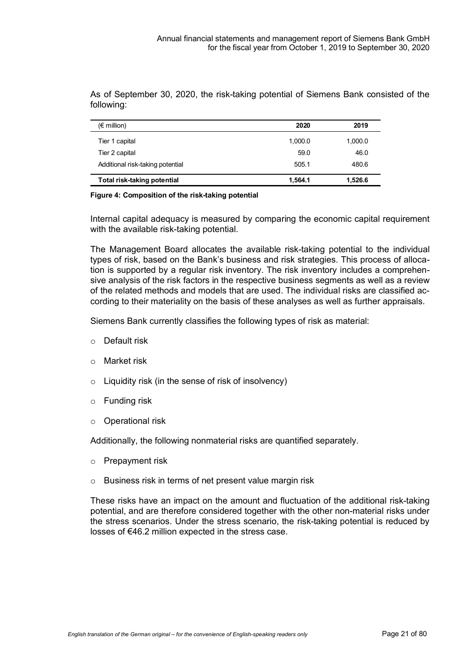As of September 30, 2020, the risk-taking potential of Siemens Bank consisted of the following:

| $(\epsilon$ million)             | 2020    | 2019    |
|----------------------------------|---------|---------|
| Tier 1 capital                   | 1.000.0 | 1,000.0 |
| Tier 2 capital                   | 59.0    | 46.0    |
| Additional risk-taking potential | 505.1   | 480.6   |
| Total risk-taking potential      | 1,564.1 | 1,526.6 |

#### **Figure 4: Composition of the risk-taking potential**

Internal capital adequacy is measured by comparing the economic capital requirement with the available risk-taking potential.

The Management Board allocates the available risk-taking potential to the individual types of risk, based on the Bank's business and risk strategies. This process of allocation is supported by a regular risk inventory. The risk inventory includes a comprehensive analysis of the risk factors in the respective business segments as well as a review of the related methods and models that are used. The individual risks are classified according to their materiality on the basis of these analyses as well as further appraisals.

Siemens Bank currently classifies the following types of risk as material:

- o Default risk
- o Market risk
- o Liquidity risk (in the sense of risk of insolvency)
- o Funding risk
- o Operational risk

Additionally, the following nonmaterial risks are quantified separately.

- o Prepayment risk
- o Business risk in terms of net present value margin risk

These risks have an impact on the amount and fluctuation of the additional risk-taking potential, and are therefore considered together with the other non-material risks under the stress scenarios. Under the stress scenario, the risk-taking potential is reduced by losses of €46.2 million expected in the stress case.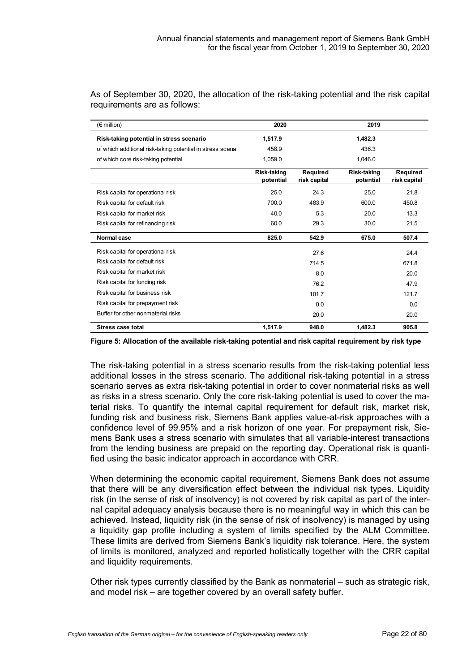| $(\epsilon$ million)                                      | 2020                            |                                 | 2019                            |                          |
|-----------------------------------------------------------|---------------------------------|---------------------------------|---------------------------------|--------------------------|
| Risk-taking potential in stress scenario                  | 1,517.9                         |                                 | 1,482.3                         |                          |
| of which additional risk-taking potential in stress scena | 458.9                           |                                 | 436.3                           |                          |
| of which core risk-taking potential                       | 1.059.0                         |                                 | 1.046.0                         |                          |
|                                                           | <b>Risk-taking</b><br>potential | <b>Required</b><br>risk capital | <b>Risk-taking</b><br>potential | Required<br>risk capital |
| Risk capital for operational risk                         | 25.0                            | 24.3                            | 25.0                            | 21.8                     |
| Risk capital for default risk                             | 700.0                           | 483.9                           | 600.0                           | 450.8                    |
| Risk capital for market risk                              | 40.0                            | 5.3                             | 20.0                            | 13.3                     |
| Risk capital for refinancing risk                         | 60.0                            | 29.3                            | 30.0                            | 21.5                     |
| Normal case                                               | 825.0                           | 542.9                           | 675.0                           | 507.4                    |
| Risk capital for operational risk                         |                                 | 27.6                            |                                 | 24.4                     |
| Risk capital for default risk                             |                                 | 714.5                           |                                 | 671.8                    |
| Risk capital for market risk                              |                                 | 8.0                             |                                 | 20.0                     |
| Risk capital for funding risk                             |                                 | 76.2                            |                                 | 47.9                     |
| Risk capital for business risk                            |                                 | 101.7                           |                                 | 121.7                    |
| Risk capital for prepayment risk                          |                                 | 0.0                             |                                 | 0.0                      |
| Buffer for other nonmaterial risks                        |                                 | 20.0                            |                                 | 20.0                     |
| <b>Stress case total</b>                                  | 1,517.9                         | 948.0                           | 1,482.3                         | 905.8                    |

As of September 30, 2020, the allocation of the risk-taking potential and the risk capital requirements are as follows:

**Figure 5: Allocation of the available risk-taking potential and risk capital requirement by risk type**

The risk-taking potential in a stress scenario results from the risk-taking potential less additional losses in the stress scenario. The additional risk-taking potential in a stress scenario serves as extra risk-taking potential in order to cover nonmaterial risks as well as risks in a stress scenario. Only the core risk-taking potential is used to cover the material risks. To quantify the internal capital requirement for default risk, market risk, funding risk and business risk, Siemens Bank applies value-at-risk approaches with a confidence level of 99.95% and a risk horizon of one year. For prepayment risk, Siemens Bank uses a stress scenario with simulates that all variable-interest transactions from the lending business are prepaid on the reporting day. Operational risk is quantified using the basic indicator approach in accordance with CRR.

When determining the economic capital requirement, Siemens Bank does not assume that there will be any diversification effect between the individual risk types. Liquidity risk (in the sense of risk of insolvency) is not covered by risk capital as part of the internal capital adequacy analysis because there is no meaningful way in which this can be achieved. Instead, liquidity risk (in the sense of risk of insolvency) is managed by using a liquidity gap profile including a system of limits specified by the ALM Committee. These limits are derived from Siemens Bank's liquidity risk tolerance. Here, the system of limits is monitored, analyzed and reported holistically together with the CRR capital and liquidity requirements.

Other risk types currently classified by the Bank as nonmaterial – such as strategic risk, and model risk – are together covered by an overall safety buffer.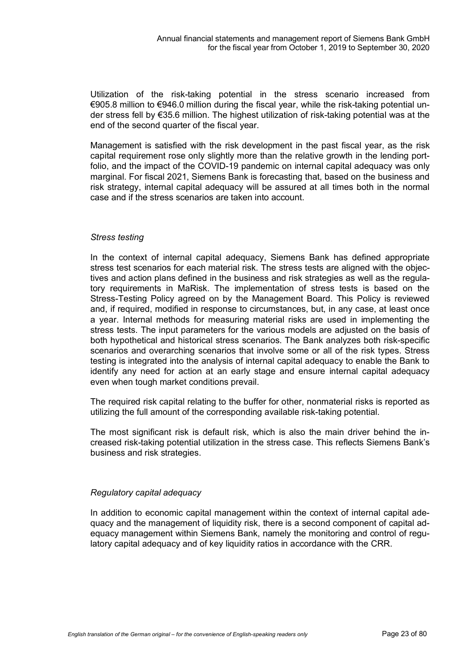Utilization of the risk-taking potential in the stress scenario increased from €905.8 million to €946.0 million during the fiscal year, while the risk-taking potential under stress fell by €35.6 million. The highest utilization of risk-taking potential was at the end of the second quarter of the fiscal year.

Management is satisfied with the risk development in the past fiscal year, as the risk capital requirement rose only slightly more than the relative growth in the lending portfolio, and the impact of the COVID-19 pandemic on internal capital adequacy was only marginal. For fiscal 2021, Siemens Bank is forecasting that, based on the business and risk strategy, internal capital adequacy will be assured at all times both in the normal case and if the stress scenarios are taken into account.

### *Stress testing*

In the context of internal capital adequacy, Siemens Bank has defined appropriate stress test scenarios for each material risk. The stress tests are aligned with the objectives and action plans defined in the business and risk strategies as well as the regulatory requirements in MaRisk. The implementation of stress tests is based on the Stress-Testing Policy agreed on by the Management Board. This Policy is reviewed and, if required, modified in response to circumstances, but, in any case, at least once a year. Internal methods for measuring material risks are used in implementing the stress tests. The input parameters for the various models are adjusted on the basis of both hypothetical and historical stress scenarios. The Bank analyzes both risk-specific scenarios and overarching scenarios that involve some or all of the risk types. Stress testing is integrated into the analysis of internal capital adequacy to enable the Bank to identify any need for action at an early stage and ensure internal capital adequacy even when tough market conditions prevail.

The required risk capital relating to the buffer for other, nonmaterial risks is reported as utilizing the full amount of the corresponding available risk-taking potential.

The most significant risk is default risk, which is also the main driver behind the increased risk-taking potential utilization in the stress case. This reflects Siemens Bank's business and risk strategies.

#### *Regulatory capital adequacy*

In addition to economic capital management within the context of internal capital adequacy and the management of liquidity risk, there is a second component of capital adequacy management within Siemens Bank, namely the monitoring and control of regulatory capital adequacy and of key liquidity ratios in accordance with the CRR.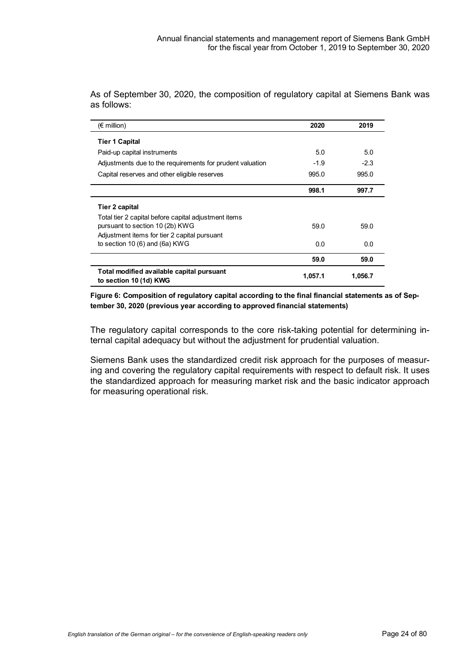| $(\epsilon$ million)                                                | 2020    | 2019    |
|---------------------------------------------------------------------|---------|---------|
| <b>Tier 1 Capital</b>                                               |         |         |
| Paid-up capital instruments                                         | 5.0     | 5.0     |
| Adjustments due to the requirements for prudent valuation           | $-1.9$  | $-2.3$  |
| Capital reserves and other eligible reserves                        | 995.0   | 995.0   |
|                                                                     | 998.1   | 997.7   |
| Tier 2 capital                                                      |         |         |
| Total tier 2 capital before capital adjustment items                |         |         |
| pursuant to section 10 (2b) KWG                                     | 59.0    | 59.0    |
| Adjustment items for tier 2 capital pursuant                        |         |         |
| to section 10 $(6)$ and $(6a)$ KWG                                  | 0.0     | 0.0     |
|                                                                     | 59.0    | 59.0    |
| Total modified available capital pursuant<br>to section 10 (1d) KWG | 1,057.1 | 1,056.7 |

As of September 30, 2020, the composition of regulatory capital at Siemens Bank was as follows:

#### **Figure 6: Composition of regulatory capital according to the final financial statements as of September 30, 2020 (previous year according to approved financial statements)**

The regulatory capital corresponds to the core risk-taking potential for determining internal capital adequacy but without the adjustment for prudential valuation.

Siemens Bank uses the standardized credit risk approach for the purposes of measuring and covering the regulatory capital requirements with respect to default risk. It uses the standardized approach for measuring market risk and the basic indicator approach for measuring operational risk.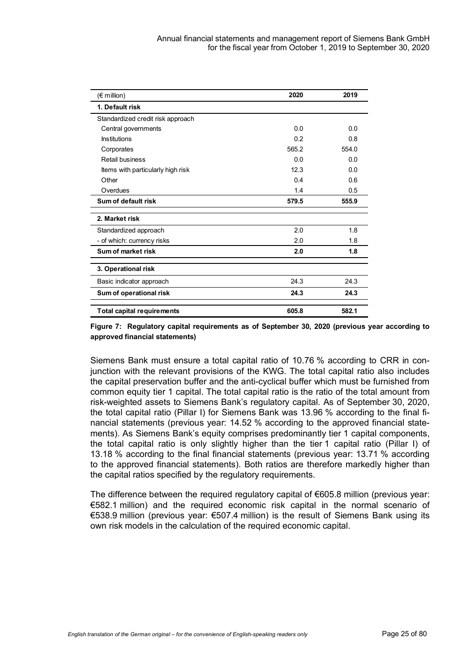| $(\epsilon \text{ million})$      | 2020  | 2019  |
|-----------------------------------|-------|-------|
| 1. Default risk                   |       |       |
| Standardized credit risk approach |       |       |
| Central governments               | 0.0   | 0.0   |
| Institutions                      | 0.2   | 0.8   |
| Corporates                        | 565.2 | 554.0 |
| Retail business                   | 0.0   | 0.0   |
| Items with particularly high risk | 12.3  | 0.0   |
| Other                             | 0.4   | 0.6   |
| Overdues                          | 1.4   | 0.5   |
| Sum of default risk               | 579.5 | 555.9 |
| 2. Market risk                    |       |       |
| Standardized approach             | 2.0   | 1.8   |
| - of which: currency risks        | 2.0   | 1.8   |
| Sum of market risk                | 2.0   | 1.8   |
| 3. Operational risk               |       |       |
| Basic indicator approach          | 24.3  | 24.3  |
| Sum of operational risk           | 24.3  | 24.3  |
| <b>Total capital requirements</b> | 605.8 | 582.1 |

**Figure 7: Regulatory capital requirements as of September 30, 2020 (previous year according to approved financial statements)**

Siemens Bank must ensure a total capital ratio of 10.76 % according to CRR in conjunction with the relevant provisions of the KWG. The total capital ratio also includes the capital preservation buffer and the anti-cyclical buffer which must be furnished from common equity tier 1 capital. The total capital ratio is the ratio of the total amount from risk-weighted assets to Siemens Bank's regulatory capital. As of September 30, 2020, the total capital ratio (Pillar I) for Siemens Bank was 13.96 % according to the final financial statements (previous year: 14.52 % according to the approved financial statements). As Siemens Bank's equity comprises predominantly tier 1 capital components, the total capital ratio is only slightly higher than the tier 1 capital ratio (Pillar I) of 13.18 % according to the final financial statements (previous year: 13.71 % according to the approved financial statements). Both ratios are therefore markedly higher than the capital ratios specified by the regulatory requirements.

The difference between the required regulatory capital of  $€605.8$  million (previous year: €582.1 million) and the required economic risk capital in the normal scenario of €538.9 million (previous year: €507.4 million) is the result of Siemens Bank using its own risk models in the calculation of the required economic capital.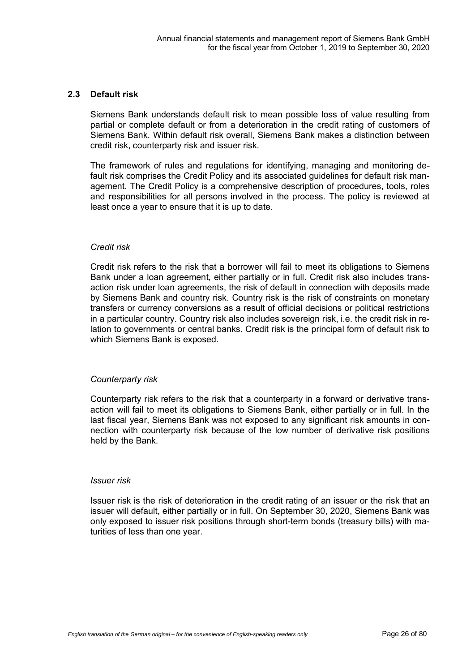#### **2.3 Default risk**

Siemens Bank understands default risk to mean possible loss of value resulting from partial or complete default or from a deterioration in the credit rating of customers of Siemens Bank. Within default risk overall, Siemens Bank makes a distinction between credit risk, counterparty risk and issuer risk.

The framework of rules and regulations for identifying, managing and monitoring default risk comprises the Credit Policy and its associated guidelines for default risk management. The Credit Policy is a comprehensive description of procedures, tools, roles and responsibilities for all persons involved in the process. The policy is reviewed at least once a year to ensure that it is up to date.

#### *Credit risk*

Credit risk refers to the risk that a borrower will fail to meet its obligations to Siemens Bank under a loan agreement, either partially or in full. Credit risk also includes transaction risk under loan agreements, the risk of default in connection with deposits made by Siemens Bank and country risk. Country risk is the risk of constraints on monetary transfers or currency conversions as a result of official decisions or political restrictions in a particular country. Country risk also includes sovereign risk, i.e. the credit risk in relation to governments or central banks. Credit risk is the principal form of default risk to which Siemens Bank is exposed.

#### *Counterparty risk*

Counterparty risk refers to the risk that a counterparty in a forward or derivative transaction will fail to meet its obligations to Siemens Bank, either partially or in full. In the last fiscal year, Siemens Bank was not exposed to any significant risk amounts in connection with counterparty risk because of the low number of derivative risk positions held by the Bank.

#### *Issuer risk*

Issuer risk is the risk of deterioration in the credit rating of an issuer or the risk that an issuer will default, either partially or in full. On September 30, 2020, Siemens Bank was only exposed to issuer risk positions through short-term bonds (treasury bills) with maturities of less than one year.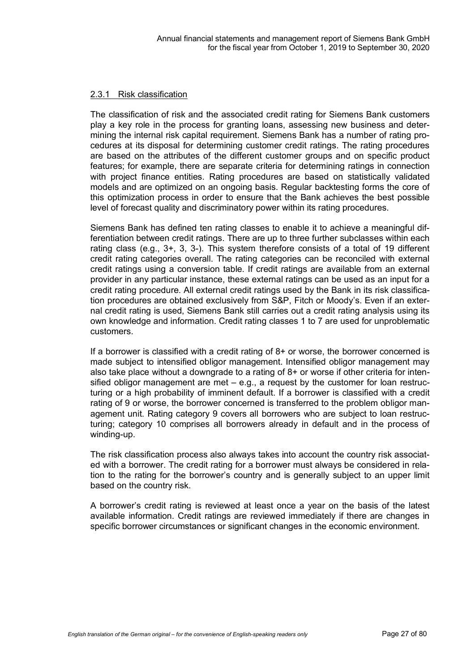### 2.3.1 Risk classification

The classification of risk and the associated credit rating for Siemens Bank customers play a key role in the process for granting loans, assessing new business and determining the internal risk capital requirement. Siemens Bank has a number of rating procedures at its disposal for determining customer credit ratings. The rating procedures are based on the attributes of the different customer groups and on specific product features; for example, there are separate criteria for determining ratings in connection with project finance entities. Rating procedures are based on statistically validated models and are optimized on an ongoing basis. Regular backtesting forms the core of this optimization process in order to ensure that the Bank achieves the best possible level of forecast quality and discriminatory power within its rating procedures.

Siemens Bank has defined ten rating classes to enable it to achieve a meaningful differentiation between credit ratings. There are up to three further subclasses within each rating class (e.g., 3+, 3, 3-). This system therefore consists of a total of 19 different credit rating categories overall. The rating categories can be reconciled with external credit ratings using a conversion table. If credit ratings are available from an external provider in any particular instance, these external ratings can be used as an input for a credit rating procedure. All external credit ratings used by the Bank in its risk classification procedures are obtained exclusively from S&P, Fitch or Moody's. Even if an external credit rating is used, Siemens Bank still carries out a credit rating analysis using its own knowledge and information. Credit rating classes 1 to 7 are used for unproblematic customers.

If a borrower is classified with a credit rating of 8+ or worse, the borrower concerned is made subject to intensified obligor management. Intensified obligor management may also take place without a downgrade to a rating of 8+ or worse if other criteria for intensified obligor management are met – e.g., a request by the customer for loan restructuring or a high probability of imminent default. If a borrower is classified with a credit rating of 9 or worse, the borrower concerned is transferred to the problem obligor management unit. Rating category 9 covers all borrowers who are subject to loan restructuring; category 10 comprises all borrowers already in default and in the process of winding-up.

The risk classification process also always takes into account the country risk associated with a borrower. The credit rating for a borrower must always be considered in relation to the rating for the borrower's country and is generally subject to an upper limit based on the country risk.

A borrower's credit rating is reviewed at least once a year on the basis of the latest available information. Credit ratings are reviewed immediately if there are changes in specific borrower circumstances or significant changes in the economic environment.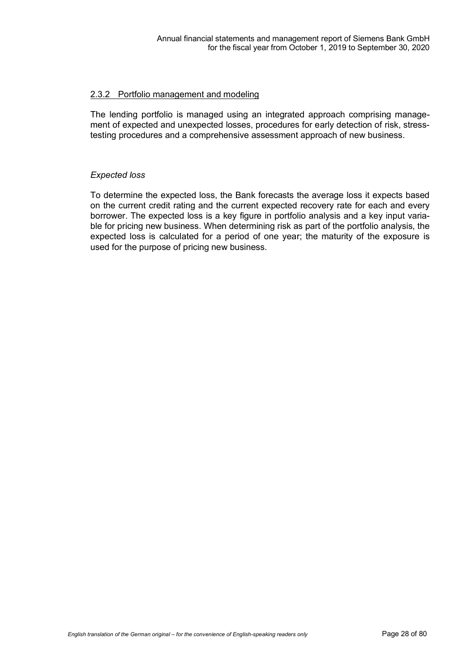### 2.3.2 Portfolio management and modeling

The lending portfolio is managed using an integrated approach comprising management of expected and unexpected losses, procedures for early detection of risk, stresstesting procedures and a comprehensive assessment approach of new business.

### *Expected loss*

To determine the expected loss, the Bank forecasts the average loss it expects based on the current credit rating and the current expected recovery rate for each and every borrower. The expected loss is a key figure in portfolio analysis and a key input variable for pricing new business. When determining risk as part of the portfolio analysis, the expected loss is calculated for a period of one year; the maturity of the exposure is used for the purpose of pricing new business.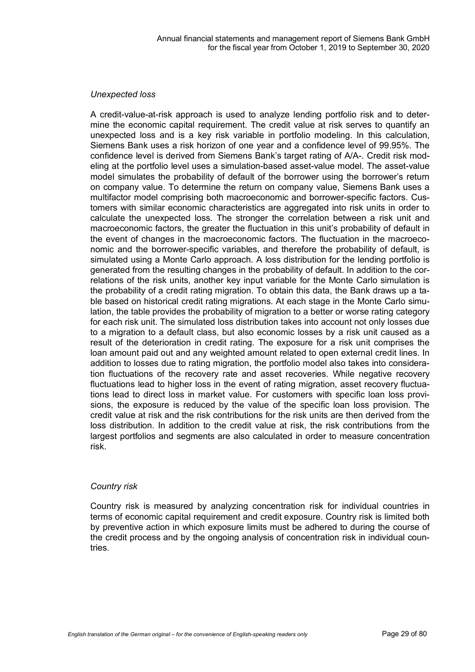### *Unexpected loss*

A credit-value-at-risk approach is used to analyze lending portfolio risk and to determine the economic capital requirement. The credit value at risk serves to quantify an unexpected loss and is a key risk variable in portfolio modeling. In this calculation, Siemens Bank uses a risk horizon of one year and a confidence level of 99.95%. The confidence level is derived from Siemens Bank's target rating of A/A-. Credit risk modeling at the portfolio level uses a simulation-based asset-value model. The asset-value model simulates the probability of default of the borrower using the borrower's return on company value. To determine the return on company value, Siemens Bank uses a multifactor model comprising both macroeconomic and borrower-specific factors. Customers with similar economic characteristics are aggregated into risk units in order to calculate the unexpected loss. The stronger the correlation between a risk unit and macroeconomic factors, the greater the fluctuation in this unit's probability of default in the event of changes in the macroeconomic factors. The fluctuation in the macroeconomic and the borrower-specific variables, and therefore the probability of default, is simulated using a Monte Carlo approach. A loss distribution for the lending portfolio is generated from the resulting changes in the probability of default. In addition to the correlations of the risk units, another key input variable for the Monte Carlo simulation is the probability of a credit rating migration. To obtain this data, the Bank draws up a table based on historical credit rating migrations. At each stage in the Monte Carlo simulation, the table provides the probability of migration to a better or worse rating category for each risk unit. The simulated loss distribution takes into account not only losses due to a migration to a default class, but also economic losses by a risk unit caused as a result of the deterioration in credit rating. The exposure for a risk unit comprises the loan amount paid out and any weighted amount related to open external credit lines. In addition to losses due to rating migration, the portfolio model also takes into consideration fluctuations of the recovery rate and asset recoveries. While negative recovery fluctuations lead to higher loss in the event of rating migration, asset recovery fluctuations lead to direct loss in market value. For customers with specific loan loss provisions, the exposure is reduced by the value of the specific loan loss provision. The credit value at risk and the risk contributions for the risk units are then derived from the loss distribution. In addition to the credit value at risk, the risk contributions from the largest portfolios and segments are also calculated in order to measure concentration risk.

#### *Country risk*

Country risk is measured by analyzing concentration risk for individual countries in terms of economic capital requirement and credit exposure. Country risk is limited both by preventive action in which exposure limits must be adhered to during the course of the credit process and by the ongoing analysis of concentration risk in individual countries.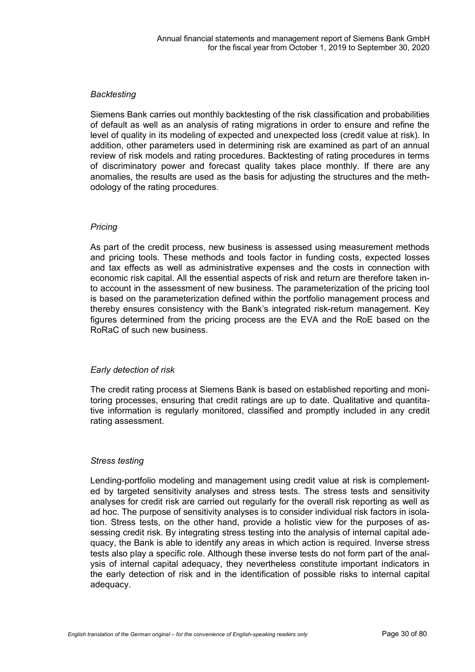#### *Backtesting*

Siemens Bank carries out monthly backtesting of the risk classification and probabilities of default as well as an analysis of rating migrations in order to ensure and refine the level of quality in its modeling of expected and unexpected loss (credit value at risk). In addition, other parameters used in determining risk are examined as part of an annual review of risk models and rating procedures. Backtesting of rating procedures in terms of discriminatory power and forecast quality takes place monthly. If there are any anomalies, the results are used as the basis for adjusting the structures and the methodology of the rating procedures.

### *Pricing*

As part of the credit process, new business is assessed using measurement methods and pricing tools. These methods and tools factor in funding costs, expected losses and tax effects as well as administrative expenses and the costs in connection with economic risk capital. All the essential aspects of risk and return are therefore taken into account in the assessment of new business. The parameterization of the pricing tool is based on the parameterization defined within the portfolio management process and thereby ensures consistency with the Bank's integrated risk-return management. Key figures determined from the pricing process are the EVA and the RoE based on the RoRaC of such new business.

#### *Early detection of risk*

The credit rating process at Siemens Bank is based on established reporting and monitoring processes, ensuring that credit ratings are up to date. Qualitative and quantitative information is regularly monitored, classified and promptly included in any credit rating assessment.

#### *Stress testing*

Lending-portfolio modeling and management using credit value at risk is complemented by targeted sensitivity analyses and stress tests. The stress tests and sensitivity analyses for credit risk are carried out regularly for the overall risk reporting as well as ad hoc. The purpose of sensitivity analyses is to consider individual risk factors in isolation. Stress tests, on the other hand, provide a holistic view for the purposes of assessing credit risk. By integrating stress testing into the analysis of internal capital adequacy, the Bank is able to identify any areas in which action is required. Inverse stress tests also play a specific role. Although these inverse tests do not form part of the analysis of internal capital adequacy, they nevertheless constitute important indicators in the early detection of risk and in the identification of possible risks to internal capital adequacy.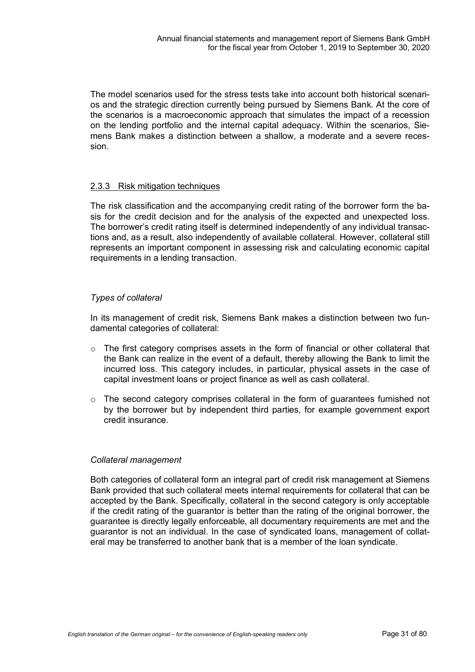The model scenarios used for the stress tests take into account both historical scenarios and the strategic direction currently being pursued by Siemens Bank. At the core of the scenarios is a macroeconomic approach that simulates the impact of a recession on the lending portfolio and the internal capital adequacy. Within the scenarios, Siemens Bank makes a distinction between a shallow, a moderate and a severe recession.

### 2.3.3 Risk mitigation techniques

The risk classification and the accompanying credit rating of the borrower form the basis for the credit decision and for the analysis of the expected and unexpected loss. The borrower's credit rating itself is determined independently of any individual transactions and, as a result, also independently of available collateral. However, collateral still represents an important component in assessing risk and calculating economic capital requirements in a lending transaction.

### *Types of collateral*

In its management of credit risk, Siemens Bank makes a distinction between two fundamental categories of collateral:

- $\circ$  The first category comprises assets in the form of financial or other collateral that the Bank can realize in the event of a default, thereby allowing the Bank to limit the incurred loss. This category includes, in particular, physical assets in the case of capital investment loans or project finance as well as cash collateral.
- o The second category comprises collateral in the form of guarantees furnished not by the borrower but by independent third parties, for example government export credit insurance.

#### *Collateral management*

Both categories of collateral form an integral part of credit risk management at Siemens Bank provided that such collateral meets internal requirements for collateral that can be accepted by the Bank. Specifically, collateral in the second category is only acceptable if the credit rating of the guarantor is better than the rating of the original borrower, the guarantee is directly legally enforceable, all documentary requirements are met and the guarantor is not an individual. In the case of syndicated loans, management of collateral may be transferred to another bank that is a member of the loan syndicate.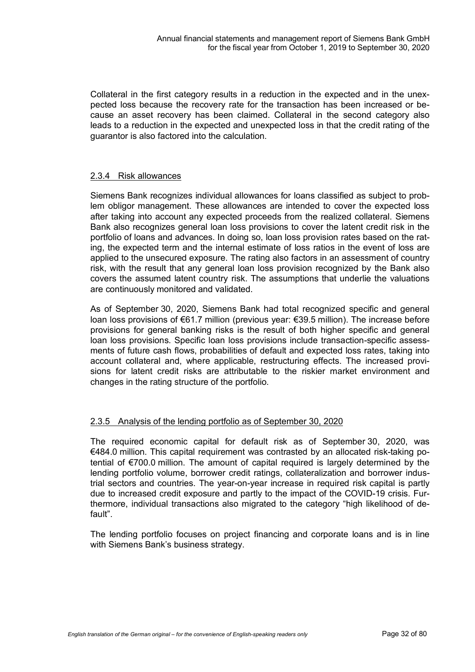Collateral in the first category results in a reduction in the expected and in the unexpected loss because the recovery rate for the transaction has been increased or because an asset recovery has been claimed. Collateral in the second category also leads to a reduction in the expected and unexpected loss in that the credit rating of the guarantor is also factored into the calculation.

### 2.3.4 Risk allowances

Siemens Bank recognizes individual allowances for loans classified as subject to problem obligor management. These allowances are intended to cover the expected loss after taking into account any expected proceeds from the realized collateral. Siemens Bank also recognizes general loan loss provisions to cover the latent credit risk in the portfolio of loans and advances. In doing so, loan loss provision rates based on the rating, the expected term and the internal estimate of loss ratios in the event of loss are applied to the unsecured exposure. The rating also factors in an assessment of country risk, with the result that any general loan loss provision recognized by the Bank also covers the assumed latent country risk. The assumptions that underlie the valuations are continuously monitored and validated.

As of September 30, 2020, Siemens Bank had total recognized specific and general loan loss provisions of €61.7 million (previous year: €39.5 million). The increase before provisions for general banking risks is the result of both higher specific and general loan loss provisions. Specific loan loss provisions include transaction-specific assessments of future cash flows, probabilities of default and expected loss rates, taking into account collateral and, where applicable, restructuring effects. The increased provisions for latent credit risks are attributable to the riskier market environment and changes in the rating structure of the portfolio.

#### 2.3.5 Analysis of the lending portfolio as of September 30, 2020

The required economic capital for default risk as of September 30, 2020, was €484.0 million. This capital requirement was contrasted by an allocated risk-taking potential of €700.0 million. The amount of capital required is largely determined by the lending portfolio volume, borrower credit ratings, collateralization and borrower industrial sectors and countries. The year-on-year increase in required risk capital is partly due to increased credit exposure and partly to the impact of the COVID-19 crisis. Furthermore, individual transactions also migrated to the category "high likelihood of default".

The lending portfolio focuses on project financing and corporate loans and is in line with Siemens Bank's business strategy.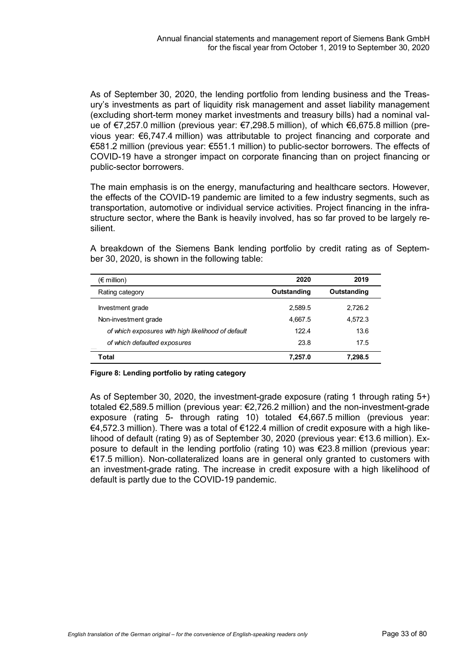As of September 30, 2020, the lending portfolio from lending business and the Treasury's investments as part of liquidity risk management and asset liability management (excluding short-term money market investments and treasury bills) had a nominal value of €7,257.0 million (previous year: €7,298.5 million), of which €6,675.8 million (previous year: €6,747.4 million) was attributable to project financing and corporate and €581.2 million (previous year: €551.1 million) to public-sector borrowers. The effects of COVID-19 have a stronger impact on corporate financing than on project financing or public-sector borrowers.

The main emphasis is on the energy, manufacturing and healthcare sectors. However, the effects of the COVID-19 pandemic are limited to a few industry segments, such as transportation, automotive or individual service activities. Project financing in the infrastructure sector, where the Bank is heavily involved, has so far proved to be largely resilient.

A breakdown of the Siemens Bank lending portfolio by credit rating as of September 30, 2020, is shown in the following table:

| $(\epsilon$ million)                               | 2020        | 2019        |
|----------------------------------------------------|-------------|-------------|
| Rating category                                    | Outstanding | Outstanding |
| Investment grade                                   | 2.589.5     | 2,726.2     |
| Non-investment grade                               | 4.667.5     | 4.572.3     |
| of which exposures with high likelihood of default | 122.4       | 13.6        |
| of which defaulted exposures                       | 23.8        | 17.5        |
| Total                                              | 7.257.0     | 7.298.5     |

#### **Figure 8: Lending portfolio by rating category**

As of September 30, 2020, the investment-grade exposure (rating 1 through rating 5+) totaled €2,589.5 million (previous year: €2,726.2 million) and the non-investment-grade exposure (rating 5- through rating 10) totaled €4,667.5 million (previous year: €4,572.3 million). There was a total of €122.4 million of credit exposure with a high likelihood of default (rating 9) as of September 30, 2020 (previous year: €13.6 million). Exposure to default in the lending portfolio (rating 10) was €23.8 million (previous year: €17.5 million). Non-collateralized loans are in general only granted to customers with an investment-grade rating. The increase in credit exposure with a high likelihood of default is partly due to the COVID-19 pandemic.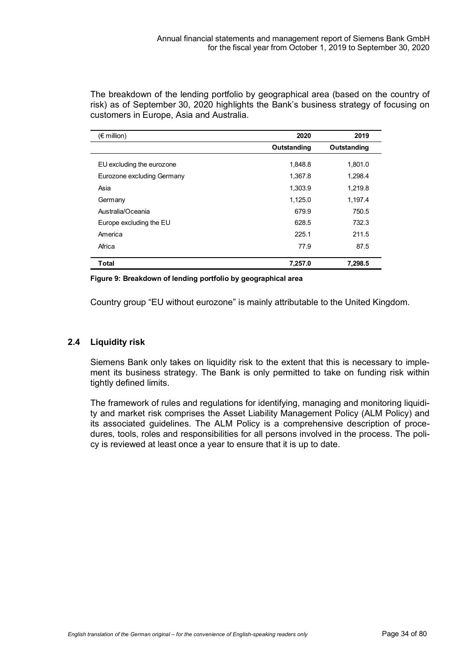The breakdown of the lending portfolio by geographical area (based on the country of risk) as of September 30, 2020 highlights the Bank's business strategy of focusing on customers in Europe, Asia and Australia.

| $(\epsilon$ million)       | 2020        | 2019        |
|----------------------------|-------------|-------------|
|                            | Outstanding | Outstanding |
| EU excluding the eurozone  | 1,848.8     | 1,801.0     |
| Eurozone excluding Germany | 1,367.8     | 1,298.4     |
| Asia                       | 1,303.9     | 1,219.8     |
| Germany                    | 1,125.0     | 1,197.4     |
| Australia/Oceania          | 679.9       | 750.5       |
| Europe excluding the EU    | 628.5       | 732.3       |
| America                    | 225.1       | 211.5       |
| Africa                     | 77.9        | 87.5        |
| <b>Total</b>               | 7,257.0     | 7,298.5     |

**Figure 9: Breakdown of lending portfolio by geographical area**

Country group "EU without eurozone" is mainly attributable to the United Kingdom.

#### **2.4 Liquidity risk**

Siemens Bank only takes on liquidity risk to the extent that this is necessary to implement its business strategy. The Bank is only permitted to take on funding risk within tightly defined limits.

The framework of rules and regulations for identifying, managing and monitoring liquidity and market risk comprises the Asset Liability Management Policy (ALM Policy) and its associated guidelines. The ALM Policy is a comprehensive description of procedures, tools, roles and responsibilities for all persons involved in the process. The policy is reviewed at least once a year to ensure that it is up to date.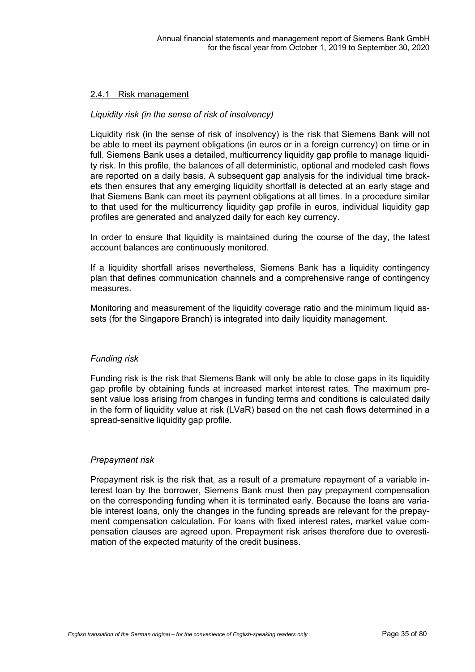#### 2.4.1 Risk management

#### *Liquidity risk (in the sense of risk of insolvency)*

Liquidity risk (in the sense of risk of insolvency) is the risk that Siemens Bank will not be able to meet its payment obligations (in euros or in a foreign currency) on time or in full. Siemens Bank uses a detailed, multicurrency liquidity gap profile to manage liquidity risk. In this profile, the balances of all deterministic, optional and modeled cash flows are reported on a daily basis. A subsequent gap analysis for the individual time brackets then ensures that any emerging liquidity shortfall is detected at an early stage and that Siemens Bank can meet its payment obligations at all times. In a procedure similar to that used for the multicurrency liquidity gap profile in euros, individual liquidity gap profiles are generated and analyzed daily for each key currency.

In order to ensure that liquidity is maintained during the course of the day, the latest account balances are continuously monitored.

If a liquidity shortfall arises nevertheless, Siemens Bank has a liquidity contingency plan that defines communication channels and a comprehensive range of contingency measures.

Monitoring and measurement of the liquidity coverage ratio and the minimum liquid assets (for the Singapore Branch) is integrated into daily liquidity management.

#### *Funding risk*

Funding risk is the risk that Siemens Bank will only be able to close gaps in its liquidity gap profile by obtaining funds at increased market interest rates. The maximum present value loss arising from changes in funding terms and conditions is calculated daily in the form of liquidity value at risk (LVaR) based on the net cash flows determined in a spread-sensitive liquidity gap profile.

#### *Prepayment risk*

Prepayment risk is the risk that, as a result of a premature repayment of a variable interest loan by the borrower, Siemens Bank must then pay prepayment compensation on the corresponding funding when it is terminated early. Because the loans are variable interest loans, only the changes in the funding spreads are relevant for the prepayment compensation calculation. For loans with fixed interest rates, market value compensation clauses are agreed upon. Prepayment risk arises therefore due to overestimation of the expected maturity of the credit business.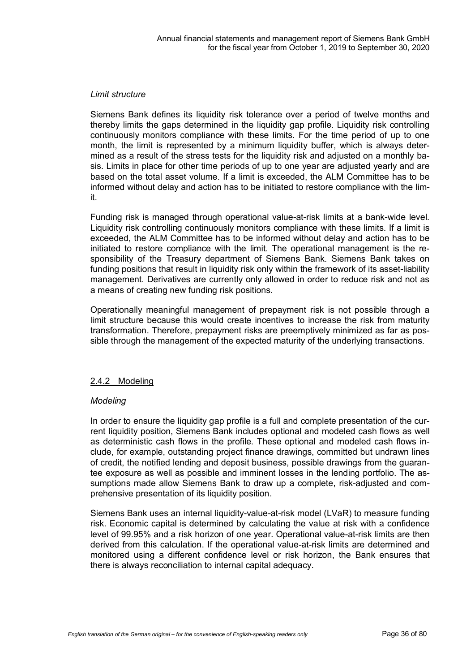#### *Limit structure*

Siemens Bank defines its liquidity risk tolerance over a period of twelve months and thereby limits the gaps determined in the liquidity gap profile. Liquidity risk controlling continuously monitors compliance with these limits. For the time period of up to one month, the limit is represented by a minimum liquidity buffer, which is always determined as a result of the stress tests for the liquidity risk and adjusted on a monthly basis. Limits in place for other time periods of up to one year are adjusted yearly and are based on the total asset volume. If a limit is exceeded, the ALM Committee has to be informed without delay and action has to be initiated to restore compliance with the limit.

Funding risk is managed through operational value-at-risk limits at a bank-wide level. Liquidity risk controlling continuously monitors compliance with these limits. If a limit is exceeded, the ALM Committee has to be informed without delay and action has to be initiated to restore compliance with the limit. The operational management is the responsibility of the Treasury department of Siemens Bank. Siemens Bank takes on funding positions that result in liquidity risk only within the framework of its asset-liability management. Derivatives are currently only allowed in order to reduce risk and not as a means of creating new funding risk positions.

Operationally meaningful management of prepayment risk is not possible through a limit structure because this would create incentives to increase the risk from maturity transformation. Therefore, prepayment risks are preemptively minimized as far as possible through the management of the expected maturity of the underlying transactions.

# 2.4.2 Modeling

#### *Modeling*

In order to ensure the liquidity gap profile is a full and complete presentation of the current liquidity position, Siemens Bank includes optional and modeled cash flows as well as deterministic cash flows in the profile. These optional and modeled cash flows include, for example, outstanding project finance drawings, committed but undrawn lines of credit, the notified lending and deposit business, possible drawings from the guarantee exposure as well as possible and imminent losses in the lending portfolio. The assumptions made allow Siemens Bank to draw up a complete, risk-adjusted and comprehensive presentation of its liquidity position.

Siemens Bank uses an internal liquidity-value-at-risk model (LVaR) to measure funding risk. Economic capital is determined by calculating the value at risk with a confidence level of 99.95% and a risk horizon of one year. Operational value-at-risk limits are then derived from this calculation. If the operational value-at-risk limits are determined and monitored using a different confidence level or risk horizon, the Bank ensures that there is always reconciliation to internal capital adequacy.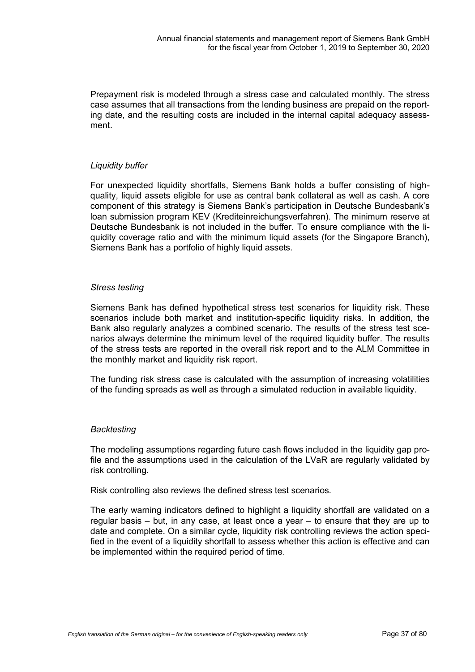Prepayment risk is modeled through a stress case and calculated monthly. The stress case assumes that all transactions from the lending business are prepaid on the reporting date, and the resulting costs are included in the internal capital adequacy assessment.

## *Liquidity buffer*

For unexpected liquidity shortfalls, Siemens Bank holds a buffer consisting of highquality, liquid assets eligible for use as central bank collateral as well as cash. A core component of this strategy is Siemens Bank's participation in Deutsche Bundesbank's loan submission program KEV (Krediteinreichungsverfahren). The minimum reserve at Deutsche Bundesbank is not included in the buffer. To ensure compliance with the liquidity coverage ratio and with the minimum liquid assets (for the Singapore Branch), Siemens Bank has a portfolio of highly liquid assets.

## *Stress testing*

Siemens Bank has defined hypothetical stress test scenarios for liquidity risk. These scenarios include both market and institution-specific liquidity risks. In addition, the Bank also regularly analyzes a combined scenario. The results of the stress test scenarios always determine the minimum level of the required liquidity buffer. The results of the stress tests are reported in the overall risk report and to the ALM Committee in the monthly market and liquidity risk report.

The funding risk stress case is calculated with the assumption of increasing volatilities of the funding spreads as well as through a simulated reduction in available liquidity.

## *Backtesting*

The modeling assumptions regarding future cash flows included in the liquidity gap profile and the assumptions used in the calculation of the LVaR are regularly validated by risk controlling.

Risk controlling also reviews the defined stress test scenarios.

The early warning indicators defined to highlight a liquidity shortfall are validated on a regular basis – but, in any case, at least once a year – to ensure that they are up to date and complete. On a similar cycle, liquidity risk controlling reviews the action specified in the event of a liquidity shortfall to assess whether this action is effective and can be implemented within the required period of time.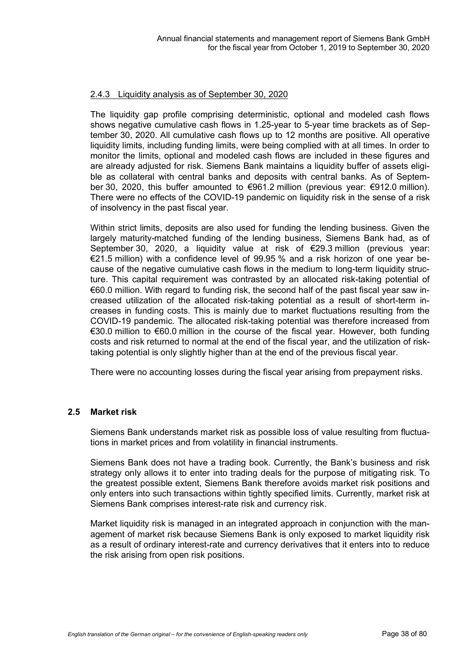## 2.4.3 Liquidity analysis as of September 30, 2020

The liquidity gap profile comprising deterministic, optional and modeled cash flows shows negative cumulative cash flows in 1.25-year to 5-year time brackets as of September 30, 2020. All cumulative cash flows up to 12 months are positive. All operative liquidity limits, including funding limits, were being complied with at all times. In order to monitor the limits, optional and modeled cash flows are included in these figures and are already adjusted for risk. Siemens Bank maintains a liquidity buffer of assets eligible as collateral with central banks and deposits with central banks. As of September 30, 2020, this buffer amounted to €961.2 million (previous year: €912.0 million). There were no effects of the COVID-19 pandemic on liquidity risk in the sense of a risk of insolvency in the past fiscal year.

Within strict limits, deposits are also used for funding the lending business. Given the largely maturity-matched funding of the lending business, Siemens Bank had, as of September 30, 2020, a liquidity value at risk of €29.3 million (previous year: €21.5 million) with a confidence level of 99.95 % and a risk horizon of one year because of the negative cumulative cash flows in the medium to long-term liquidity structure. This capital requirement was contrasted by an allocated risk-taking potential of €60.0 million. With regard to funding risk, the second half of the past fiscal year saw increased utilization of the allocated risk-taking potential as a result of short-term increases in funding costs. This is mainly due to market fluctuations resulting from the COVID-19 pandemic. The allocated risk-taking potential was therefore increased from €30.0 million to €60.0 million in the course of the fiscal year. However, both funding costs and risk returned to normal at the end of the fiscal year, and the utilization of risktaking potential is only slightly higher than at the end of the previous fiscal year.

There were no accounting losses during the fiscal year arising from prepayment risks.

## **2.5 Market risk**

Siemens Bank understands market risk as possible loss of value resulting from fluctuations in market prices and from volatility in financial instruments.

Siemens Bank does not have a trading book. Currently, the Bank's business and risk strategy only allows it to enter into trading deals for the purpose of mitigating risk. To the greatest possible extent, Siemens Bank therefore avoids market risk positions and only enters into such transactions within tightly specified limits. Currently, market risk at Siemens Bank comprises interest-rate risk and currency risk.

Market liquidity risk is managed in an integrated approach in conjunction with the management of market risk because Siemens Bank is only exposed to market liquidity risk as a result of ordinary interest-rate and currency derivatives that it enters into to reduce the risk arising from open risk positions.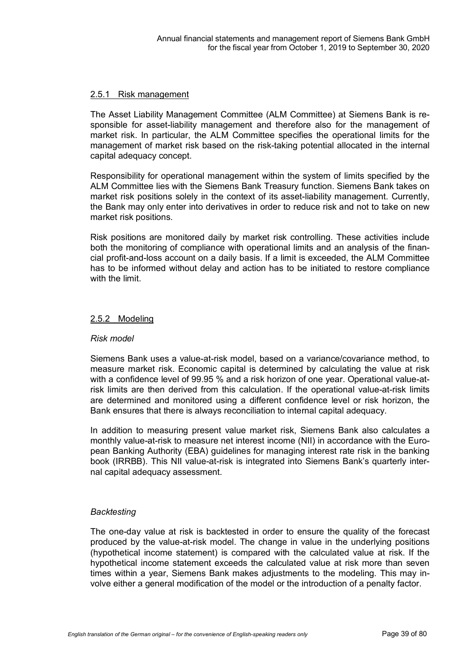## 2.5.1 Risk management

The Asset Liability Management Committee (ALM Committee) at Siemens Bank is responsible for asset-liability management and therefore also for the management of market risk. In particular, the ALM Committee specifies the operational limits for the management of market risk based on the risk-taking potential allocated in the internal capital adequacy concept.

Responsibility for operational management within the system of limits specified by the ALM Committee lies with the Siemens Bank Treasury function. Siemens Bank takes on market risk positions solely in the context of its asset-liability management. Currently, the Bank may only enter into derivatives in order to reduce risk and not to take on new market risk positions.

Risk positions are monitored daily by market risk controlling. These activities include both the monitoring of compliance with operational limits and an analysis of the financial profit-and-loss account on a daily basis. If a limit is exceeded, the ALM Committee has to be informed without delay and action has to be initiated to restore compliance with the limit

## 2.5.2 Modeling

## *Risk model*

Siemens Bank uses a value-at-risk model, based on a variance/covariance method, to measure market risk. Economic capital is determined by calculating the value at risk with a confidence level of 99.95 % and a risk horizon of one year. Operational value-atrisk limits are then derived from this calculation. If the operational value-at-risk limits are determined and monitored using a different confidence level or risk horizon, the Bank ensures that there is always reconciliation to internal capital adequacy.

In addition to measuring present value market risk, Siemens Bank also calculates a monthly value-at-risk to measure net interest income (NII) in accordance with the European Banking Authority (EBA) guidelines for managing interest rate risk in the banking book (IRRBB). This NII value-at-risk is integrated into Siemens Bank's quarterly internal capital adequacy assessment.

## *Backtesting*

The one-day value at risk is backtested in order to ensure the quality of the forecast produced by the value-at-risk model. The change in value in the underlying positions (hypothetical income statement) is compared with the calculated value at risk. If the hypothetical income statement exceeds the calculated value at risk more than seven times within a year, Siemens Bank makes adjustments to the modeling. This may involve either a general modification of the model or the introduction of a penalty factor.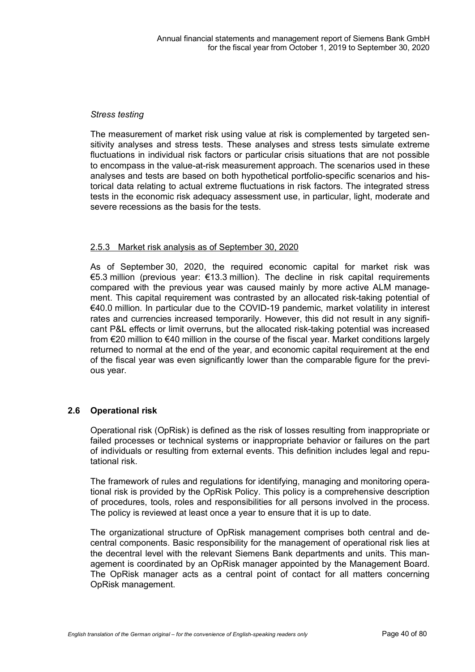## *Stress testing*

The measurement of market risk using value at risk is complemented by targeted sensitivity analyses and stress tests. These analyses and stress tests simulate extreme fluctuations in individual risk factors or particular crisis situations that are not possible to encompass in the value-at-risk measurement approach. The scenarios used in these analyses and tests are based on both hypothetical portfolio-specific scenarios and historical data relating to actual extreme fluctuations in risk factors. The integrated stress tests in the economic risk adequacy assessment use, in particular, light, moderate and severe recessions as the basis for the tests.

## 2.5.3 Market risk analysis as of September 30, 2020

As of September 30, 2020, the required economic capital for market risk was €5.3 million (previous year: €13.3 million). The decline in risk capital requirements compared with the previous year was caused mainly by more active ALM management. This capital requirement was contrasted by an allocated risk-taking potential of €40.0 million. In particular due to the COVID-19 pandemic, market volatility in interest rates and currencies increased temporarily. However, this did not result in any significant P&L effects or limit overruns, but the allocated risk-taking potential was increased from €20 million to €40 million in the course of the fiscal year. Market conditions largely returned to normal at the end of the year, and economic capital requirement at the end of the fiscal year was even significantly lower than the comparable figure for the previous year.

## **2.6 Operational risk**

Operational risk (OpRisk) is defined as the risk of losses resulting from inappropriate or failed processes or technical systems or inappropriate behavior or failures on the part of individuals or resulting from external events. This definition includes legal and reputational risk.

The framework of rules and regulations for identifying, managing and monitoring operational risk is provided by the OpRisk Policy. This policy is a comprehensive description of procedures, tools, roles and responsibilities for all persons involved in the process. The policy is reviewed at least once a year to ensure that it is up to date.

The organizational structure of OpRisk management comprises both central and decentral components. Basic responsibility for the management of operational risk lies at the decentral level with the relevant Siemens Bank departments and units. This management is coordinated by an OpRisk manager appointed by the Management Board. The OpRisk manager acts as a central point of contact for all matters concerning OpRisk management.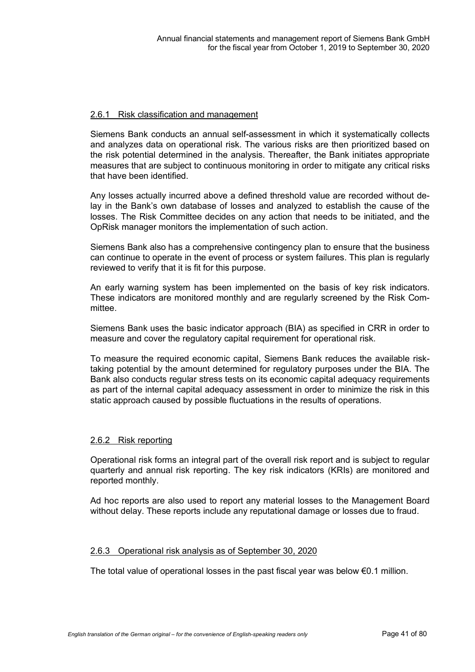## 2.6.1 Risk classification and management

Siemens Bank conducts an annual self-assessment in which it systematically collects and analyzes data on operational risk. The various risks are then prioritized based on the risk potential determined in the analysis. Thereafter, the Bank initiates appropriate measures that are subject to continuous monitoring in order to mitigate any critical risks that have been identified.

Any losses actually incurred above a defined threshold value are recorded without delay in the Bank's own database of losses and analyzed to establish the cause of the losses. The Risk Committee decides on any action that needs to be initiated, and the OpRisk manager monitors the implementation of such action.

Siemens Bank also has a comprehensive contingency plan to ensure that the business can continue to operate in the event of process or system failures. This plan is regularly reviewed to verify that it is fit for this purpose.

An early warning system has been implemented on the basis of key risk indicators. These indicators are monitored monthly and are regularly screened by the Risk Committee.

Siemens Bank uses the basic indicator approach (BIA) as specified in CRR in order to measure and cover the regulatory capital requirement for operational risk.

To measure the required economic capital, Siemens Bank reduces the available risktaking potential by the amount determined for regulatory purposes under the BIA. The Bank also conducts regular stress tests on its economic capital adequacy requirements as part of the internal capital adequacy assessment in order to minimize the risk in this static approach caused by possible fluctuations in the results of operations.

## 2.6.2 Risk reporting

Operational risk forms an integral part of the overall risk report and is subject to regular quarterly and annual risk reporting. The key risk indicators (KRIs) are monitored and reported monthly.

Ad hoc reports are also used to report any material losses to the Management Board without delay. These reports include any reputational damage or losses due to fraud.

## 2.6.3 Operational risk analysis as of September 30, 2020

The total value of operational losses in the past fiscal year was below  $€0.1$  million.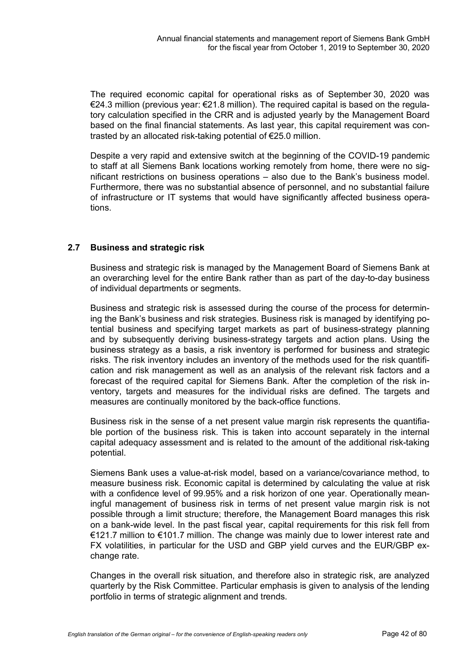The required economic capital for operational risks as of September 30, 2020 was €24.3 million (previous year: €21.8 million). The required capital is based on the regulatory calculation specified in the CRR and is adjusted yearly by the Management Board based on the final financial statements. As last year, this capital requirement was contrasted by an allocated risk-taking potential of €25.0 million.

Despite a very rapid and extensive switch at the beginning of the COVID-19 pandemic to staff at all Siemens Bank locations working remotely from home, there were no significant restrictions on business operations – also due to the Bank's business model. Furthermore, there was no substantial absence of personnel, and no substantial failure of infrastructure or IT systems that would have significantly affected business operations.

## **2.7 Business and strategic risk**

Business and strategic risk is managed by the Management Board of Siemens Bank at an overarching level for the entire Bank rather than as part of the day-to-day business of individual departments or segments.

Business and strategic risk is assessed during the course of the process for determining the Bank's business and risk strategies. Business risk is managed by identifying potential business and specifying target markets as part of business-strategy planning and by subsequently deriving business-strategy targets and action plans. Using the business strategy as a basis, a risk inventory is performed for business and strategic risks. The risk inventory includes an inventory of the methods used for the risk quantification and risk management as well as an analysis of the relevant risk factors and a forecast of the required capital for Siemens Bank. After the completion of the risk inventory, targets and measures for the individual risks are defined. The targets and measures are continually monitored by the back-office functions.

Business risk in the sense of a net present value margin risk represents the quantifiable portion of the business risk. This is taken into account separately in the internal capital adequacy assessment and is related to the amount of the additional risk-taking potential.

Siemens Bank uses a value-at-risk model, based on a variance/covariance method, to measure business risk. Economic capital is determined by calculating the value at risk with a confidence level of 99.95% and a risk horizon of one year. Operationally meaningful management of business risk in terms of net present value margin risk is not possible through a limit structure; therefore, the Management Board manages this risk on a bank-wide level. In the past fiscal year, capital requirements for this risk fell from €121.7 million to €101.7 million. The change was mainly due to lower interest rate and FX volatilities, in particular for the USD and GBP yield curves and the EUR/GBP exchange rate.

Changes in the overall risk situation, and therefore also in strategic risk, are analyzed quarterly by the Risk Committee. Particular emphasis is given to analysis of the lending portfolio in terms of strategic alignment and trends.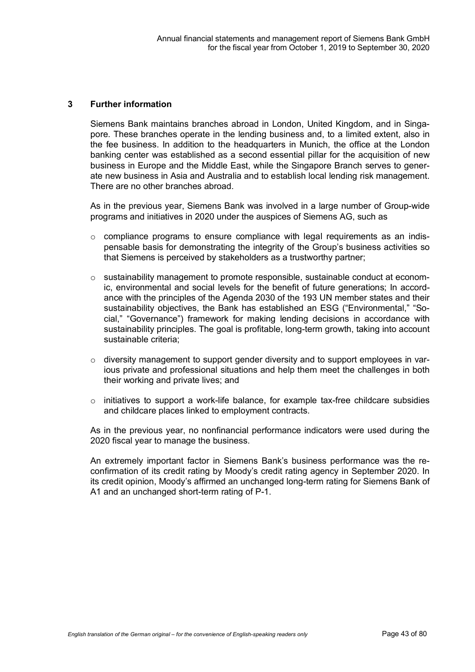#### **3 Further information**

Siemens Bank maintains branches abroad in London, United Kingdom, and in Singapore. These branches operate in the lending business and, to a limited extent, also in the fee business. In addition to the headquarters in Munich, the office at the London banking center was established as a second essential pillar for the acquisition of new business in Europe and the Middle East, while the Singapore Branch serves to generate new business in Asia and Australia and to establish local lending risk management. There are no other branches abroad.

As in the previous year, Siemens Bank was involved in a large number of Group-wide programs and initiatives in 2020 under the auspices of Siemens AG, such as

- o compliance programs to ensure compliance with legal requirements as an indispensable basis for demonstrating the integrity of the Group's business activities so that Siemens is perceived by stakeholders as a trustworthy partner;
- $\circ$  sustainability management to promote responsible, sustainable conduct at economic, environmental and social levels for the benefit of future generations; In accordance with the principles of the Agenda 2030 of the 193 UN member states and their sustainability objectives, the Bank has established an ESG ("Environmental," "Social," "Governance") framework for making lending decisions in accordance with sustainability principles. The goal is profitable, long-term growth, taking into account sustainable criteria;
- o diversity management to support gender diversity and to support employees in various private and professional situations and help them meet the challenges in both their working and private lives; and
- $\circ$  initiatives to support a work-life balance, for example tax-free childcare subsidies and childcare places linked to employment contracts.

As in the previous year, no nonfinancial performance indicators were used during the 2020 fiscal year to manage the business.

An extremely important factor in Siemens Bank's business performance was the reconfirmation of its credit rating by Moody's credit rating agency in September 2020. In its credit opinion, Moody's affirmed an unchanged long-term rating for Siemens Bank of A1 and an unchanged short-term rating of P-1.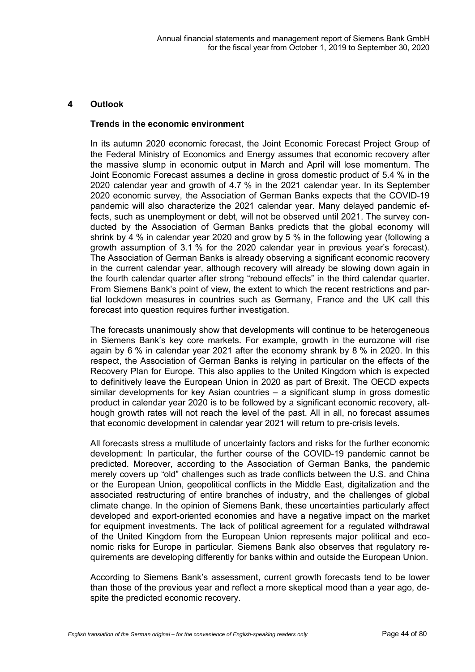## **4 Outlook**

## **Trends in the economic environment**

In its autumn 2020 economic forecast, the Joint Economic Forecast Project Group of the Federal Ministry of Economics and Energy assumes that economic recovery after the massive slump in economic output in March and April will lose momentum. The Joint Economic Forecast assumes a decline in gross domestic product of 5.4 % in the 2020 calendar year and growth of 4.7 % in the 2021 calendar year. In its September 2020 economic survey, the Association of German Banks expects that the COVID-19 pandemic will also characterize the 2021 calendar year. Many delayed pandemic effects, such as unemployment or debt, will not be observed until 2021. The survey conducted by the Association of German Banks predicts that the global economy will shrink by 4 % in calendar year 2020 and grow by 5 % in the following year (following a growth assumption of 3.1 % for the 2020 calendar year in previous year's forecast). The Association of German Banks is already observing a significant economic recovery in the current calendar year, although recovery will already be slowing down again in the fourth calendar quarter after strong "rebound effects" in the third calendar quarter. From Siemens Bank's point of view, the extent to which the recent restrictions and partial lockdown measures in countries such as Germany, France and the UK call this forecast into question requires further investigation.

The forecasts unanimously show that developments will continue to be heterogeneous in Siemens Bank's key core markets. For example, growth in the eurozone will rise again by 6 % in calendar year 2021 after the economy shrank by 8 % in 2020. In this respect, the Association of German Banks is relying in particular on the effects of the Recovery Plan for Europe. This also applies to the United Kingdom which is expected to definitively leave the European Union in 2020 as part of Brexit. The OECD expects similar developments for key Asian countries – a significant slump in gross domestic product in calendar year 2020 is to be followed by a significant economic recovery, although growth rates will not reach the level of the past. All in all, no forecast assumes that economic development in calendar year 2021 will return to pre-crisis levels.

All forecasts stress a multitude of uncertainty factors and risks for the further economic development: In particular, the further course of the COVID-19 pandemic cannot be predicted. Moreover, according to the Association of German Banks, the pandemic merely covers up "old" challenges such as trade conflicts between the U.S. and China or the European Union, geopolitical conflicts in the Middle East, digitalization and the associated restructuring of entire branches of industry, and the challenges of global climate change. In the opinion of Siemens Bank, these uncertainties particularly affect developed and export-oriented economies and have a negative impact on the market for equipment investments. The lack of political agreement for a regulated withdrawal of the United Kingdom from the European Union represents major political and economic risks for Europe in particular. Siemens Bank also observes that regulatory requirements are developing differently for banks within and outside the European Union.

According to Siemens Bank's assessment, current growth forecasts tend to be lower than those of the previous year and reflect a more skeptical mood than a year ago, despite the predicted economic recovery.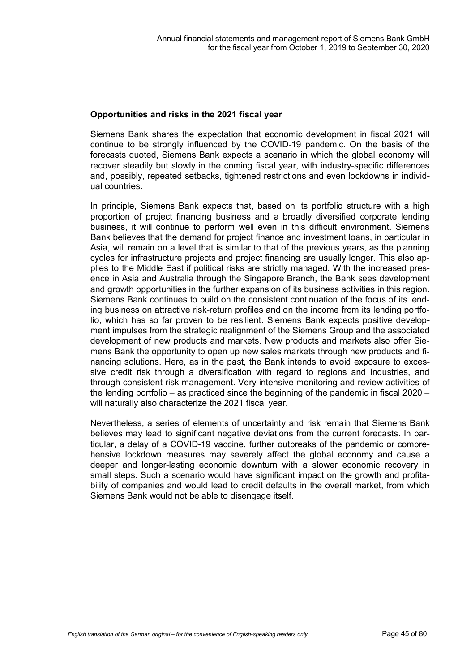## **Opportunities and risks in the 2021 fiscal year**

Siemens Bank shares the expectation that economic development in fiscal 2021 will continue to be strongly influenced by the COVID-19 pandemic. On the basis of the forecasts quoted, Siemens Bank expects a scenario in which the global economy will recover steadily but slowly in the coming fiscal year, with industry-specific differences and, possibly, repeated setbacks, tightened restrictions and even lockdowns in individual countries.

In principle, Siemens Bank expects that, based on its portfolio structure with a high proportion of project financing business and a broadly diversified corporate lending business, it will continue to perform well even in this difficult environment. Siemens Bank believes that the demand for project finance and investment loans, in particular in Asia, will remain on a level that is similar to that of the previous years, as the planning cycles for infrastructure projects and project financing are usually longer. This also applies to the Middle East if political risks are strictly managed. With the increased presence in Asia and Australia through the Singapore Branch, the Bank sees development and growth opportunities in the further expansion of its business activities in this region. Siemens Bank continues to build on the consistent continuation of the focus of its lending business on attractive risk-return profiles and on the income from its lending portfolio, which has so far proven to be resilient. Siemens Bank expects positive development impulses from the strategic realignment of the Siemens Group and the associated development of new products and markets. New products and markets also offer Siemens Bank the opportunity to open up new sales markets through new products and financing solutions. Here, as in the past, the Bank intends to avoid exposure to excessive credit risk through a diversification with regard to regions and industries, and through consistent risk management. Very intensive monitoring and review activities of the lending portfolio – as practiced since the beginning of the pandemic in fiscal 2020 – will naturally also characterize the 2021 fiscal year.

Nevertheless, a series of elements of uncertainty and risk remain that Siemens Bank believes may lead to significant negative deviations from the current forecasts. In particular, a delay of a COVID-19 vaccine, further outbreaks of the pandemic or comprehensive lockdown measures may severely affect the global economy and cause a deeper and longer-lasting economic downturn with a slower economic recovery in small steps. Such a scenario would have significant impact on the growth and profitability of companies and would lead to credit defaults in the overall market, from which Siemens Bank would not be able to disengage itself.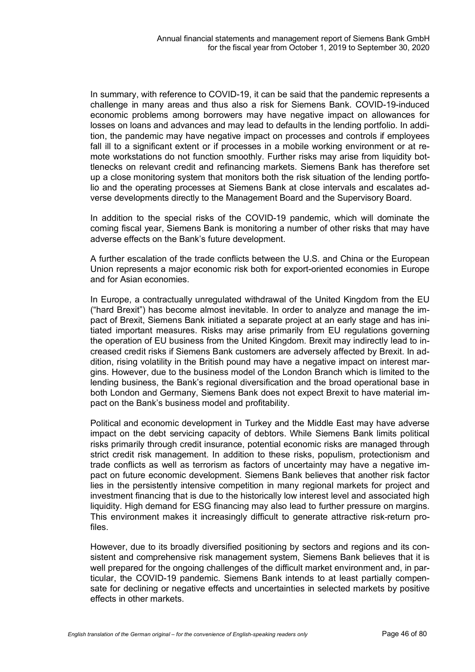In summary, with reference to COVID-19, it can be said that the pandemic represents a challenge in many areas and thus also a risk for Siemens Bank. COVID-19-induced economic problems among borrowers may have negative impact on allowances for losses on loans and advances and may lead to defaults in the lending portfolio. In addition, the pandemic may have negative impact on processes and controls if employees fall ill to a significant extent or if processes in a mobile working environment or at remote workstations do not function smoothly. Further risks may arise from liquidity bottlenecks on relevant credit and refinancing markets. Siemens Bank has therefore set up a close monitoring system that monitors both the risk situation of the lending portfolio and the operating processes at Siemens Bank at close intervals and escalates adverse developments directly to the Management Board and the Supervisory Board.

In addition to the special risks of the COVID-19 pandemic, which will dominate the coming fiscal year, Siemens Bank is monitoring a number of other risks that may have adverse effects on the Bank's future development.

A further escalation of the trade conflicts between the U.S. and China or the European Union represents a major economic risk both for export-oriented economies in Europe and for Asian economies.

In Europe, a contractually unregulated withdrawal of the United Kingdom from the EU ("hard Brexit") has become almost inevitable. In order to analyze and manage the impact of Brexit, Siemens Bank initiated a separate project at an early stage and has initiated important measures. Risks may arise primarily from EU regulations governing the operation of EU business from the United Kingdom. Brexit may indirectly lead to increased credit risks if Siemens Bank customers are adversely affected by Brexit. In addition, rising volatility in the British pound may have a negative impact on interest margins. However, due to the business model of the London Branch which is limited to the lending business, the Bank's regional diversification and the broad operational base in both London and Germany, Siemens Bank does not expect Brexit to have material impact on the Bank's business model and profitability.

Political and economic development in Turkey and the Middle East may have adverse impact on the debt servicing capacity of debtors. While Siemens Bank limits political risks primarily through credit insurance, potential economic risks are managed through strict credit risk management. In addition to these risks, populism, protectionism and trade conflicts as well as terrorism as factors of uncertainty may have a negative impact on future economic development. Siemens Bank believes that another risk factor lies in the persistently intensive competition in many regional markets for project and investment financing that is due to the historically low interest level and associated high liquidity. High demand for ESG financing may also lead to further pressure on margins. This environment makes it increasingly difficult to generate attractive risk-return profiles.

However, due to its broadly diversified positioning by sectors and regions and its consistent and comprehensive risk management system, Siemens Bank believes that it is well prepared for the ongoing challenges of the difficult market environment and, in particular, the COVID-19 pandemic. Siemens Bank intends to at least partially compensate for declining or negative effects and uncertainties in selected markets by positive effects in other markets.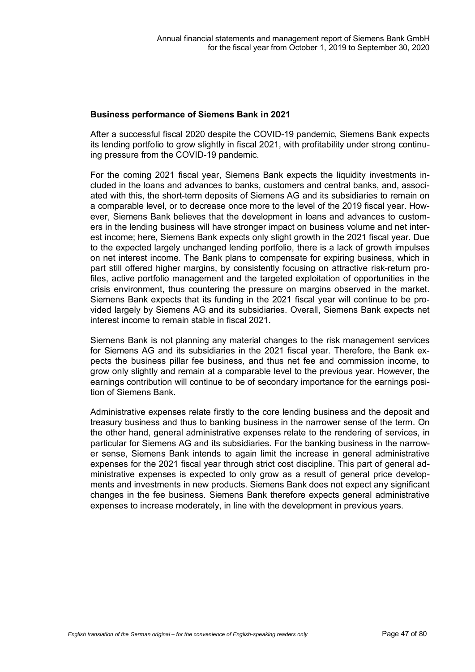## **Business performance of Siemens Bank in 2021**

After a successful fiscal 2020 despite the COVID-19 pandemic, Siemens Bank expects its lending portfolio to grow slightly in fiscal 2021, with profitability under strong continuing pressure from the COVID-19 pandemic.

For the coming 2021 fiscal year, Siemens Bank expects the liquidity investments included in the loans and advances to banks, customers and central banks, and, associated with this, the short-term deposits of Siemens AG and its subsidiaries to remain on a comparable level, or to decrease once more to the level of the 2019 fiscal year. However, Siemens Bank believes that the development in loans and advances to customers in the lending business will have stronger impact on business volume and net interest income; here, Siemens Bank expects only slight growth in the 2021 fiscal year. Due to the expected largely unchanged lending portfolio, there is a lack of growth impulses on net interest income. The Bank plans to compensate for expiring business, which in part still offered higher margins, by consistently focusing on attractive risk-return profiles, active portfolio management and the targeted exploitation of opportunities in the crisis environment, thus countering the pressure on margins observed in the market. Siemens Bank expects that its funding in the 2021 fiscal year will continue to be provided largely by Siemens AG and its subsidiaries. Overall, Siemens Bank expects net interest income to remain stable in fiscal 2021.

Siemens Bank is not planning any material changes to the risk management services for Siemens AG and its subsidiaries in the 2021 fiscal year. Therefore, the Bank expects the business pillar fee business, and thus net fee and commission income, to grow only slightly and remain at a comparable level to the previous year. However, the earnings contribution will continue to be of secondary importance for the earnings position of Siemens Bank.

Administrative expenses relate firstly to the core lending business and the deposit and treasury business and thus to banking business in the narrower sense of the term. On the other hand, general administrative expenses relate to the rendering of services, in particular for Siemens AG and its subsidiaries. For the banking business in the narrower sense, Siemens Bank intends to again limit the increase in general administrative expenses for the 2021 fiscal year through strict cost discipline. This part of general administrative expenses is expected to only grow as a result of general price developments and investments in new products. Siemens Bank does not expect any significant changes in the fee business. Siemens Bank therefore expects general administrative expenses to increase moderately, in line with the development in previous years.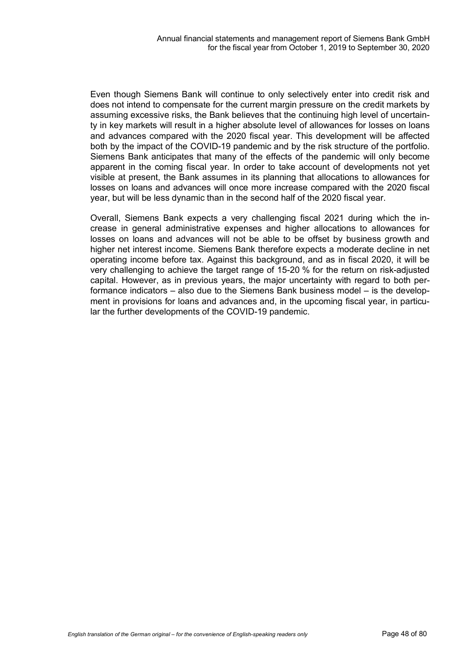Even though Siemens Bank will continue to only selectively enter into credit risk and does not intend to compensate for the current margin pressure on the credit markets by assuming excessive risks, the Bank believes that the continuing high level of uncertainty in key markets will result in a higher absolute level of allowances for losses on loans and advances compared with the 2020 fiscal year. This development will be affected both by the impact of the COVID-19 pandemic and by the risk structure of the portfolio. Siemens Bank anticipates that many of the effects of the pandemic will only become apparent in the coming fiscal year. In order to take account of developments not yet visible at present, the Bank assumes in its planning that allocations to allowances for losses on loans and advances will once more increase compared with the 2020 fiscal year, but will be less dynamic than in the second half of the 2020 fiscal year.

Overall, Siemens Bank expects a very challenging fiscal 2021 during which the increase in general administrative expenses and higher allocations to allowances for losses on loans and advances will not be able to be offset by business growth and higher net interest income. Siemens Bank therefore expects a moderate decline in net operating income before tax. Against this background, and as in fiscal 2020, it will be very challenging to achieve the target range of 15-20 % for the return on risk-adjusted capital. However, as in previous years, the major uncertainty with regard to both performance indicators – also due to the Siemens Bank business model – is the development in provisions for loans and advances and, in the upcoming fiscal year, in particular the further developments of the COVID-19 pandemic.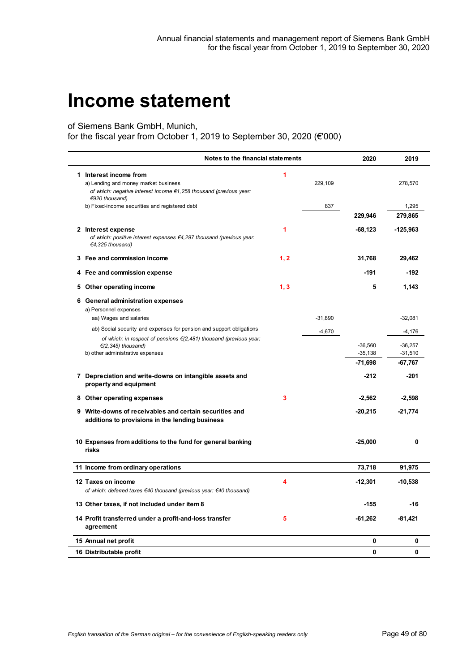## **Income statement**

of Siemens Bank GmbH, Munich,

for the fiscal year from October 1, 2019 to September 30, 2020 (€'000)

| Notes to the financial statements                                                                                                    |      |           | 2020                   | 2019                   |
|--------------------------------------------------------------------------------------------------------------------------------------|------|-----------|------------------------|------------------------|
| 1 Interest income from<br>a) Lending and money market business<br>of which: negative interest income €1,258 thousand (previous year: | 1    | 229,109   |                        | 278,570                |
| €920 thousand)                                                                                                                       |      |           |                        |                        |
| b) Fixed-income securities and registered debt                                                                                       |      | 837       |                        | 1,295                  |
|                                                                                                                                      |      |           | 229,946                | 279,865                |
| 2 Interest expense<br>of which: positive interest expenses €4,297 thousand (previous year:<br>€4,325 thousand)                       | 1    |           | $-68,123$              | $-125,963$             |
| 3 Fee and commission income                                                                                                          | 1, 2 |           | 31,768                 | 29,462                 |
| 4 Fee and commission expense                                                                                                         |      |           | $-191$                 | $-192$                 |
| 5 Other operating income                                                                                                             | 1, 3 |           | 5                      | 1,143                  |
| 6 General administration expenses                                                                                                    |      |           |                        |                        |
| a) Personnel expenses<br>aa) Wages and salaries                                                                                      |      | $-31,890$ |                        | $-32,081$              |
| ab) Social security and expenses for pension and support obligations                                                                 |      | -4,670    |                        | $-4,176$               |
| of which: in respect of pensions $\epsilon$ (2,481) thousand (previous year:                                                         |      |           |                        |                        |
| $\epsilon$ (2,345) thousand)<br>b) other administrative expenses                                                                     |      |           | $-36,560$<br>$-35,138$ | $-36,257$<br>$-31,510$ |
|                                                                                                                                      |      |           | $-71,698$              | $-67,767$              |
| 7 Depreciation and write-downs on intangible assets and<br>property and equipment                                                    |      |           | $-212$                 | $-201$                 |
| 8 Other operating expenses                                                                                                           | 3    |           | $-2,562$               | $-2,598$               |
| 9 Write-downs of receivables and certain securities and<br>additions to provisions in the lending business                           |      |           | $-20,215$              | $-21,774$              |
| 10 Expenses from additions to the fund for general banking<br>risks                                                                  |      |           | $-25,000$              | 0                      |
| 11 Income from ordinary operations                                                                                                   |      |           | 73,718                 | 91,975                 |
| 12 Taxes on income                                                                                                                   | 4    |           | $-12,301$              | $-10,538$              |
| of which: deferred taxes €40 thousand (previous year: €40 thousand)                                                                  |      |           |                        |                        |
| 13 Other taxes, if not included under item 8                                                                                         |      |           | $-155$                 | -16                    |
| 14 Profit transferred under a profit-and-loss transfer<br>agreement                                                                  | 5    |           | $-61,262$              | $-81,421$              |
| 15 Annual net profit                                                                                                                 |      |           | 0                      | 0                      |
| 16 Distributable profit                                                                                                              |      |           | $\mathbf 0$            | 0                      |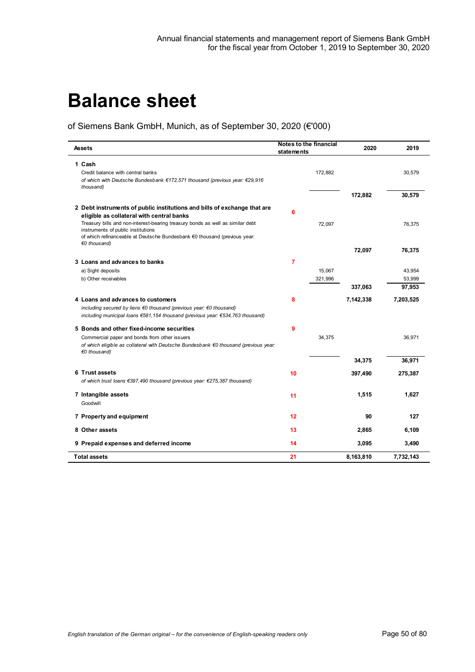# **Balance sheet**

of Siemens Bank GmbH, Munich, as of September 30, 2020 (€'000)

| Assets                                                                                                                                                                                            | statements | <b>Notes to the financial</b> | 2020      | 2019      |
|---------------------------------------------------------------------------------------------------------------------------------------------------------------------------------------------------|------------|-------------------------------|-----------|-----------|
| 1 Cash                                                                                                                                                                                            |            |                               |           |           |
| Credit balance with central banks<br>of which with Deutsche Bundesbank €172,571 thousand (previous year: €29,916<br>thous and)                                                                    |            | 172,882                       |           | 30,579    |
|                                                                                                                                                                                                   |            |                               | 172,882   | 30,579    |
| 2 Debt instruments of public institutions and bills of exchange that are<br>eligible as collateral with central banks                                                                             | 6          |                               |           |           |
| Treasury bills and non-interest-bearing treasury bonds as well as similar debt<br>instruments of public institutions<br>of which refinanceable at Deutsche Bundesbank €0 thousand (previous year: |            | 72,097                        |           | 76,375    |
| €0 thousand)                                                                                                                                                                                      |            |                               | 72,097    | 76,375    |
| 3 Loans and advances to banks                                                                                                                                                                     | 7          |                               |           |           |
| a) Sight deposits                                                                                                                                                                                 |            | 15,067                        |           | 43,954    |
| b) Other receivables                                                                                                                                                                              |            | 321,996                       |           | 53,999    |
|                                                                                                                                                                                                   |            |                               | 337,063   | 97,953    |
| 4 Loans and advances to customers                                                                                                                                                                 | 8          |                               | 7,142,338 | 7,203,525 |
| including secured by liens $\epsilon$ 0 thousand (previous year: $\epsilon$ 0 thousand)                                                                                                           |            |                               |           |           |
| including municipal loans €581,154 thousand (previous year: €534,763 thousand)                                                                                                                    |            |                               |           |           |
| 5 Bonds and other fixed-income securities                                                                                                                                                         | 9          |                               |           |           |
| Commercial paper and bonds from other issuers                                                                                                                                                     |            | 34,375                        |           | 36.971    |
| of which eligible as collateral with Deutsche Bundesbank €0 thousand (previous year:<br>€0 thousand)                                                                                              |            |                               |           |           |
|                                                                                                                                                                                                   |            |                               | 34,375    | 36,971    |
| 6 Trust assets                                                                                                                                                                                    | 10         |                               | 397,490   | 275,387   |
| of which trust loans €397,490 thousand (previous year: €275,387 thousand)                                                                                                                         |            |                               |           |           |
| 7 Intangible assets                                                                                                                                                                               | 11         |                               | 1,515     | 1,627     |
| Goodwill                                                                                                                                                                                          |            |                               |           |           |
| 7 Property and equipment                                                                                                                                                                          | 12         |                               | 90        | 127       |
| 8 Other assets                                                                                                                                                                                    | 13         |                               | 2,865     | 6,109     |
| 9 Prepaid expenses and deferred income                                                                                                                                                            | 14         |                               | 3,095     | 3,490     |
| Total assets                                                                                                                                                                                      | 21         |                               | 8,163,810 | 7,732,143 |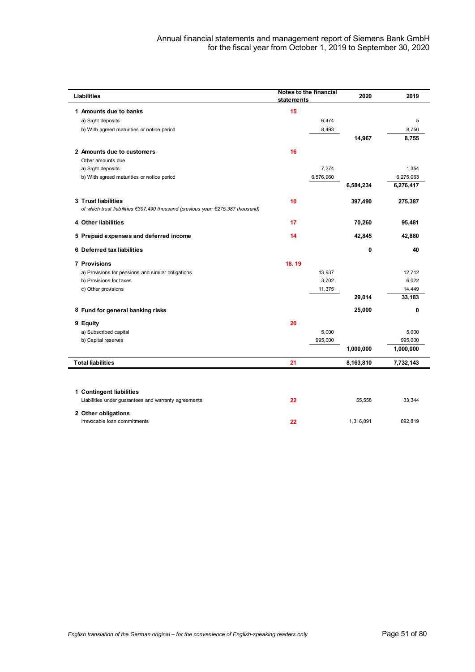| statements | Notes to the financial | 2020      | 2019      |
|------------|------------------------|-----------|-----------|
| 15         |                        |           |           |
|            | 6,474                  |           | 5         |
|            | 8,493                  |           | 8,750     |
|            |                        | 14,967    | 8,755     |
| 16         |                        |           |           |
|            |                        |           |           |
|            | 7,274                  |           | 1,354     |
|            | 6,576,960              |           | 6,275,063 |
|            |                        | 6,584,234 | 6,276,417 |
| 10         |                        | 397,490   | 275,387   |
| 17         |                        | 70,260    | 95,481    |
| 14         |                        | 42,845    | 42,880    |
|            |                        | 0         | 40        |
| 18.19      |                        |           |           |
|            | 13,937                 |           | 12,712    |
|            | 3,702                  |           | 6,022     |
|            | 11,375                 |           | 14,449    |
|            |                        | 29,014    | 33,183    |
|            |                        | 25,000    | 0         |
| 20         |                        |           |           |
|            | 5,000                  |           | 5,000     |
|            | 995,000                |           | 995,000   |
|            |                        | 1,000,000 | 1,000,000 |
| 21         |                        | 8,163,810 | 7,732,143 |
|            |                        |           |           |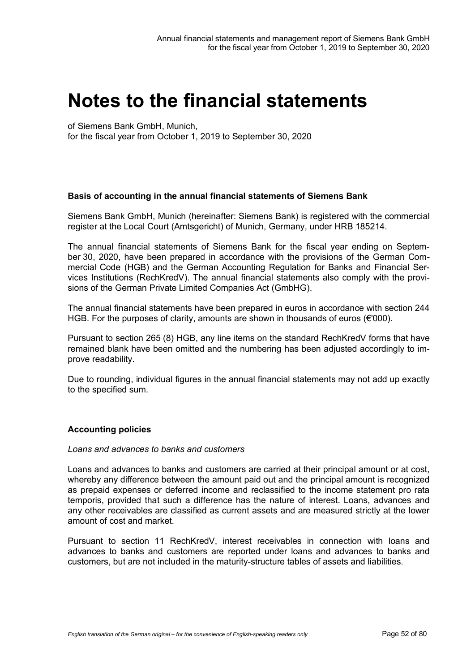# **Notes to the financial statements**

of Siemens Bank GmbH, Munich,

for the fiscal year from October 1, 2019 to September 30, 2020

## **Basis of accounting in the annual financial statements of Siemens Bank**

Siemens Bank GmbH, Munich (hereinafter: Siemens Bank) is registered with the commercial register at the Local Court (Amtsgericht) of Munich, Germany, under HRB 185214.

The annual financial statements of Siemens Bank for the fiscal year ending on September 30, 2020, have been prepared in accordance with the provisions of the German Commercial Code (HGB) and the German Accounting Regulation for Banks and Financial Services Institutions (RechKredV). The annual financial statements also comply with the provisions of the German Private Limited Companies Act (GmbHG).

The annual financial statements have been prepared in euros in accordance with section 244 HGB. For the purposes of clarity, amounts are shown in thousands of euros ( $\epsilon$ '000).

Pursuant to section 265 (8) HGB, any line items on the standard RechKredV forms that have remained blank have been omitted and the numbering has been adjusted accordingly to improve readability.

Due to rounding, individual figures in the annual financial statements may not add up exactly to the specified sum.

## **Accounting policies**

## *Loans and advances to banks and customers*

Loans and advances to banks and customers are carried at their principal amount or at cost, whereby any difference between the amount paid out and the principal amount is recognized as prepaid expenses or deferred income and reclassified to the income statement pro rata temporis, provided that such a difference has the nature of interest. Loans, advances and any other receivables are classified as current assets and are measured strictly at the lower amount of cost and market.

Pursuant to section 11 RechKredV, interest receivables in connection with loans and advances to banks and customers are reported under loans and advances to banks and customers, but are not included in the maturity-structure tables of assets and liabilities.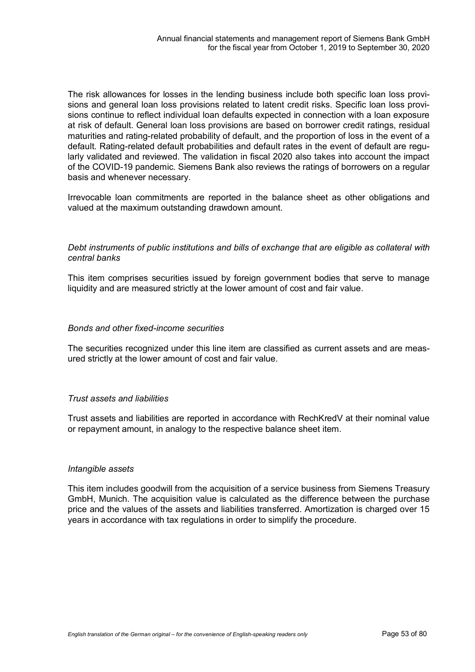The risk allowances for losses in the lending business include both specific loan loss provisions and general loan loss provisions related to latent credit risks. Specific loan loss provisions continue to reflect individual loan defaults expected in connection with a loan exposure at risk of default. General loan loss provisions are based on borrower credit ratings, residual maturities and rating-related probability of default, and the proportion of loss in the event of a default. Rating-related default probabilities and default rates in the event of default are regularly validated and reviewed. The validation in fiscal 2020 also takes into account the impact of the COVID-19 pandemic. Siemens Bank also reviews the ratings of borrowers on a regular basis and whenever necessary.

Irrevocable loan commitments are reported in the balance sheet as other obligations and valued at the maximum outstanding drawdown amount.

## *Debt instruments of public institutions and bills of exchange that are eligible as collateral with central banks*

This item comprises securities issued by foreign government bodies that serve to manage liquidity and are measured strictly at the lower amount of cost and fair value.

## *Bonds and other fixed-income securities*

The securities recognized under this line item are classified as current assets and are measured strictly at the lower amount of cost and fair value.

## *Trust assets and liabilities*

Trust assets and liabilities are reported in accordance with RechKredV at their nominal value or repayment amount, in analogy to the respective balance sheet item.

## *Intangible assets*

This item includes goodwill from the acquisition of a service business from Siemens Treasury GmbH, Munich. The acquisition value is calculated as the difference between the purchase price and the values of the assets and liabilities transferred. Amortization is charged over 15 years in accordance with tax regulations in order to simplify the procedure.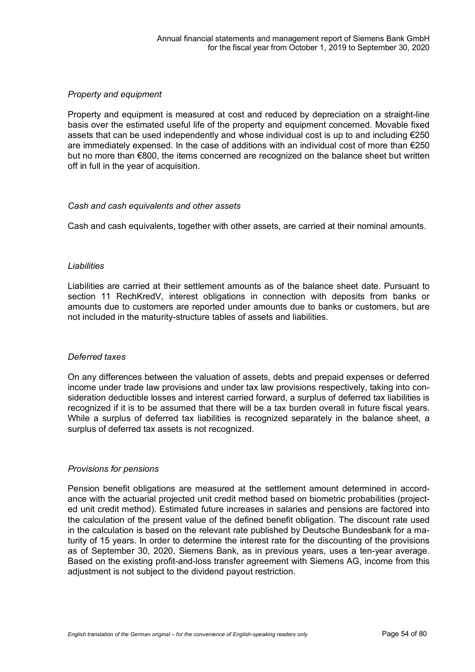## *Property and equipment*

Property and equipment is measured at cost and reduced by depreciation on a straight-line basis over the estimated useful life of the property and equipment concerned. Movable fixed assets that can be used independently and whose individual cost is up to and including €250 are immediately expensed. In the case of additions with an individual cost of more than  $\epsilon$ 250 but no more than €800, the items concerned are recognized on the balance sheet but written off in full in the year of acquisition.

## *Cash and cash equivalents and other assets*

Cash and cash equivalents, together with other assets, are carried at their nominal amounts.

## *Liabilities*

Liabilities are carried at their settlement amounts as of the balance sheet date. Pursuant to section 11 RechKredV, interest obligations in connection with deposits from banks or amounts due to customers are reported under amounts due to banks or customers, but are not included in the maturity-structure tables of assets and liabilities.

## *Deferred taxes*

On any differences between the valuation of assets, debts and prepaid expenses or deferred income under trade law provisions and under tax law provisions respectively, taking into consideration deductible losses and interest carried forward, a surplus of deferred tax liabilities is recognized if it is to be assumed that there will be a tax burden overall in future fiscal years. While a surplus of deferred tax liabilities is recognized separately in the balance sheet, a surplus of deferred tax assets is not recognized.

## *Provisions for pensions*

Pension benefit obligations are measured at the settlement amount determined in accordance with the actuarial projected unit credit method based on biometric probabilities (projected unit credit method). Estimated future increases in salaries and pensions are factored into the calculation of the present value of the defined benefit obligation. The discount rate used in the calculation is based on the relevant rate published by Deutsche Bundesbank for a maturity of 15 years. In order to determine the interest rate for the discounting of the provisions as of September 30, 2020, Siemens Bank, as in previous years, uses a ten-year average. Based on the existing profit-and-loss transfer agreement with Siemens AG, income from this adjustment is not subject to the dividend payout restriction.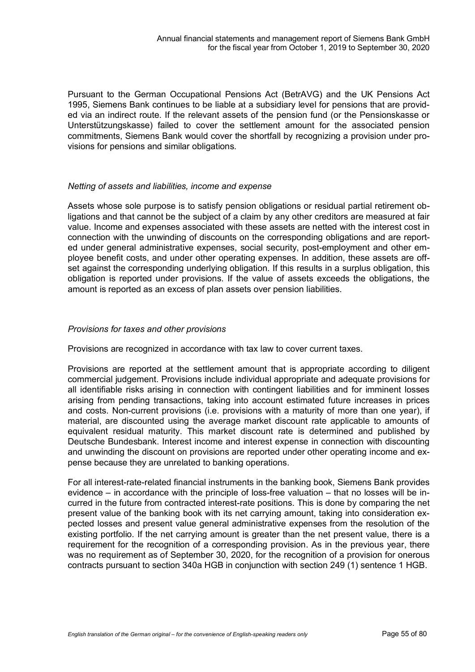Pursuant to the German Occupational Pensions Act (BetrAVG) and the UK Pensions Act 1995, Siemens Bank continues to be liable at a subsidiary level for pensions that are provided via an indirect route. If the relevant assets of the pension fund (or the Pensionskasse or Unterstützungskasse) failed to cover the settlement amount for the associated pension commitments, Siemens Bank would cover the shortfall by recognizing a provision under provisions for pensions and similar obligations.

## *Netting of assets and liabilities, income and expense*

Assets whose sole purpose is to satisfy pension obligations or residual partial retirement obligations and that cannot be the subject of a claim by any other creditors are measured at fair value. Income and expenses associated with these assets are netted with the interest cost in connection with the unwinding of discounts on the corresponding obligations and are reported under general administrative expenses, social security, post-employment and other employee benefit costs, and under other operating expenses. In addition, these assets are offset against the corresponding underlying obligation. If this results in a surplus obligation, this obligation is reported under provisions. If the value of assets exceeds the obligations, the amount is reported as an excess of plan assets over pension liabilities.

## *Provisions for taxes and other provisions*

Provisions are recognized in accordance with tax law to cover current taxes.

Provisions are reported at the settlement amount that is appropriate according to diligent commercial judgement. Provisions include individual appropriate and adequate provisions for all identifiable risks arising in connection with contingent liabilities and for imminent losses arising from pending transactions, taking into account estimated future increases in prices and costs. Non-current provisions (i.e. provisions with a maturity of more than one year), if material, are discounted using the average market discount rate applicable to amounts of equivalent residual maturity. This market discount rate is determined and published by Deutsche Bundesbank. Interest income and interest expense in connection with discounting and unwinding the discount on provisions are reported under other operating income and expense because they are unrelated to banking operations.

For all interest-rate-related financial instruments in the banking book, Siemens Bank provides evidence – in accordance with the principle of loss-free valuation – that no losses will be incurred in the future from contracted interest-rate positions. This is done by comparing the net present value of the banking book with its net carrying amount, taking into consideration expected losses and present value general administrative expenses from the resolution of the existing portfolio. If the net carrying amount is greater than the net present value, there is a requirement for the recognition of a corresponding provision. As in the previous year, there was no requirement as of September 30, 2020, for the recognition of a provision for onerous contracts pursuant to section 340a HGB in conjunction with section 249 (1) sentence 1 HGB.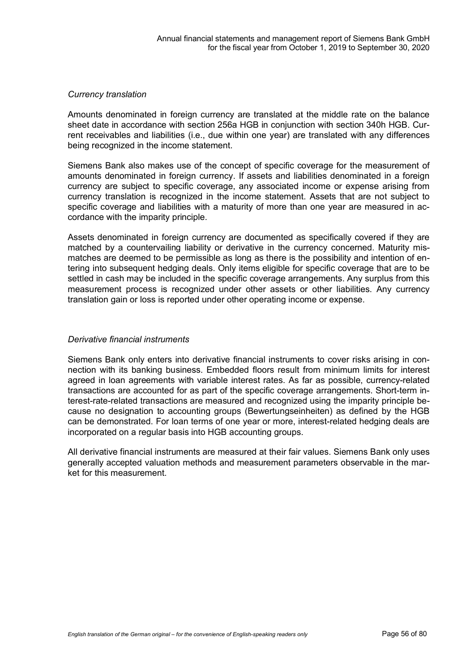## *Currency translation*

Amounts denominated in foreign currency are translated at the middle rate on the balance sheet date in accordance with section 256a HGB in conjunction with section 340h HGB. Current receivables and liabilities (i.e., due within one year) are translated with any differences being recognized in the income statement.

Siemens Bank also makes use of the concept of specific coverage for the measurement of amounts denominated in foreign currency. If assets and liabilities denominated in a foreign currency are subject to specific coverage, any associated income or expense arising from currency translation is recognized in the income statement. Assets that are not subject to specific coverage and liabilities with a maturity of more than one year are measured in accordance with the imparity principle.

Assets denominated in foreign currency are documented as specifically covered if they are matched by a countervailing liability or derivative in the currency concerned. Maturity mismatches are deemed to be permissible as long as there is the possibility and intention of entering into subsequent hedging deals. Only items eligible for specific coverage that are to be settled in cash may be included in the specific coverage arrangements. Any surplus from this measurement process is recognized under other assets or other liabilities. Any currency translation gain or loss is reported under other operating income or expense.

## *Derivative financial instruments*

Siemens Bank only enters into derivative financial instruments to cover risks arising in connection with its banking business. Embedded floors result from minimum limits for interest agreed in loan agreements with variable interest rates. As far as possible, currency-related transactions are accounted for as part of the specific coverage arrangements. Short-term interest-rate-related transactions are measured and recognized using the imparity principle because no designation to accounting groups (Bewertungseinheiten) as defined by the HGB can be demonstrated. For loan terms of one year or more, interest-related hedging deals are incorporated on a regular basis into HGB accounting groups.

All derivative financial instruments are measured at their fair values. Siemens Bank only uses generally accepted valuation methods and measurement parameters observable in the market for this measurement.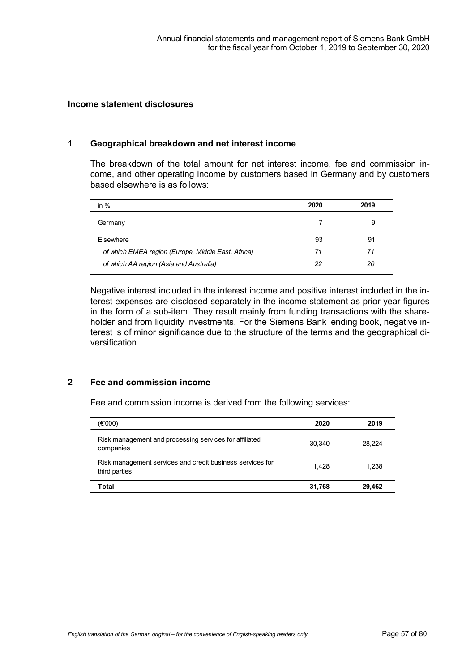## **Income statement disclosures**

#### **1 Geographical breakdown and net interest income**

The breakdown of the total amount for net interest income, fee and commission income, and other operating income by customers based in Germany and by customers based elsewhere is as follows:

| 2019 |  |
|------|--|
| 9    |  |
| 91   |  |
| 71   |  |
| 20   |  |
|      |  |

Negative interest included in the interest income and positive interest included in the interest expenses are disclosed separately in the income statement as prior-year figures in the form of a sub-item. They result mainly from funding transactions with the shareholder and from liquidity investments. For the Siemens Bank lending book, negative interest is of minor significance due to the structure of the terms and the geographical diversification.

## **2 Fee and commission income**

Fee and commission income is derived from the following services:

| (€'000)                                                                    | 2020   | 2019   |
|----------------------------------------------------------------------------|--------|--------|
| Risk management and processing services for affiliated<br>companies        | 30.340 | 28.224 |
| Risk management services and credit business services for<br>third parties | 1.428  | 1.238  |
| Total                                                                      | 31,768 | 29.462 |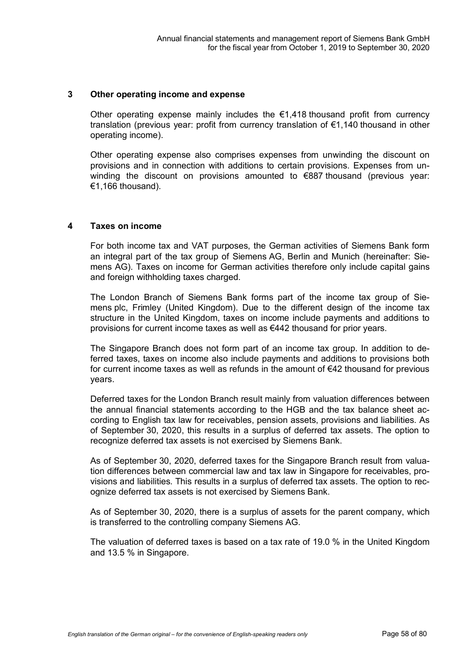#### **3 Other operating income and expense**

Other operating expense mainly includes the  $\epsilon$ 1,418 thousand profit from currency translation (previous year: profit from currency translation of €1,140 thousand in other operating income).

Other operating expense also comprises expenses from unwinding the discount on provisions and in connection with additions to certain provisions. Expenses from unwinding the discount on provisions amounted to €887 thousand (previous year: €1,166 thousand).

#### **4 Taxes on income**

For both income tax and VAT purposes, the German activities of Siemens Bank form an integral part of the tax group of Siemens AG, Berlin and Munich (hereinafter: Siemens AG). Taxes on income for German activities therefore only include capital gains and foreign withholding taxes charged.

The London Branch of Siemens Bank forms part of the income tax group of Siemens plc, Frimley (United Kingdom). Due to the different design of the income tax structure in the United Kingdom, taxes on income include payments and additions to provisions for current income taxes as well as €442 thousand for prior years.

The Singapore Branch does not form part of an income tax group. In addition to deferred taxes, taxes on income also include payments and additions to provisions both for current income taxes as well as refunds in the amount of €42 thousand for previous years.

Deferred taxes for the London Branch result mainly from valuation differences between the annual financial statements according to the HGB and the tax balance sheet according to English tax law for receivables, pension assets, provisions and liabilities. As of September 30, 2020, this results in a surplus of deferred tax assets. The option to recognize deferred tax assets is not exercised by Siemens Bank.

As of September 30, 2020, deferred taxes for the Singapore Branch result from valuation differences between commercial law and tax law in Singapore for receivables, provisions and liabilities. This results in a surplus of deferred tax assets. The option to recognize deferred tax assets is not exercised by Siemens Bank.

As of September 30, 2020, there is a surplus of assets for the parent company, which is transferred to the controlling company Siemens AG.

The valuation of deferred taxes is based on a tax rate of 19.0 % in the United Kingdom and 13.5 % in Singapore.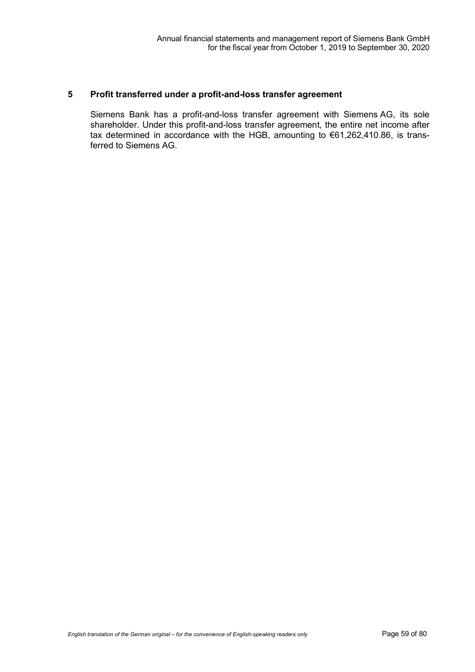## **5 Profit transferred under a profit-and-loss transfer agreement**

Siemens Bank has a profit-and-loss transfer agreement with Siemens AG, its sole shareholder. Under this profit-and-loss transfer agreement, the entire net income after tax determined in accordance with the HGB, amounting to €61,262,410.86, is transferred to Siemens AG.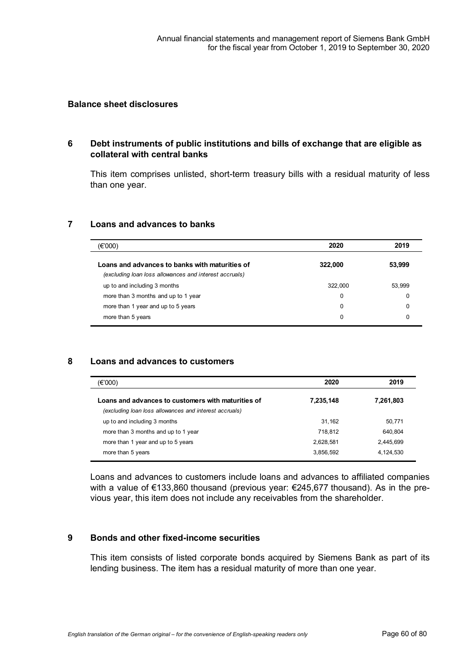#### **Balance sheet disclosures**

## **6 Debt instruments of public institutions and bills of exchange that are eligible as collateral with central banks**

This item comprises unlisted, short-term treasury bills with a residual maturity of less than one year.

## **7 Loans and advances to banks**

| (€'000)                                                                                                  | 2020    | 2019   |
|----------------------------------------------------------------------------------------------------------|---------|--------|
| Loans and advances to banks with maturities of<br>(excluding loan loss allowances and interest accruals) | 322,000 | 53,999 |
| up to and including 3 months                                                                             | 322,000 | 53.999 |
| more than 3 months and up to 1 year                                                                      | 0       |        |
| more than 1 year and up to 5 years                                                                       | 0       | O      |
| more than 5 years                                                                                        | 0       | O      |

## **8 Loans and advances to customers**

| (€'000)                                                                                                      | 2020      | 2019      |
|--------------------------------------------------------------------------------------------------------------|-----------|-----------|
| Loans and advances to customers with maturities of<br>(excluding loan loss allowances and interest accruals) | 7,235,148 | 7,261,803 |
| up to and including 3 months                                                                                 | 31.162    | 50.771    |
| more than 3 months and up to 1 year                                                                          | 718.812   | 640.804   |
| more than 1 year and up to 5 years                                                                           | 2,628,581 | 2,445,699 |
| more than 5 years                                                                                            | 3,856,592 | 4,124,530 |

Loans and advances to customers include loans and advances to affiliated companies with a value of €133,860 thousand (previous year: €245,677 thousand). As in the previous year, this item does not include any receivables from the shareholder.

## **9 Bonds and other fixed-income securities**

This item consists of listed corporate bonds acquired by Siemens Bank as part of its lending business. The item has a residual maturity of more than one year.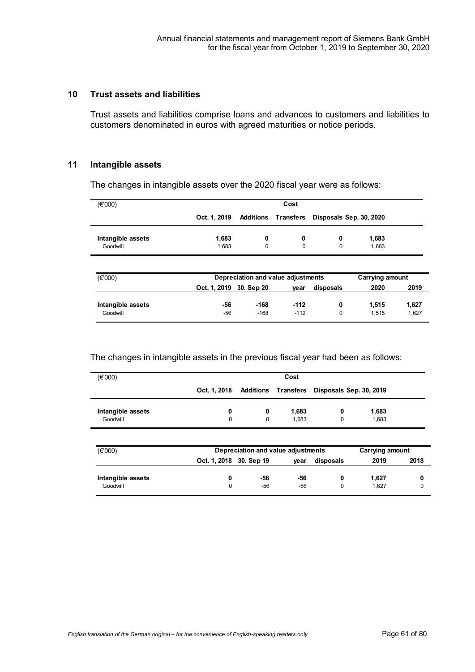## **10 Trust assets and liabilities**

Trust assets and liabilities comprise loans and advances to customers and liabilities to customers denominated in euros with agreed maturities or notice periods.

## **11 Intangible assets**

The changes in intangible assets over the 2020 fiscal year were as follows:

| $(\epsilon$ '000) |                         |                                    | Cost      |                         |                        |       |
|-------------------|-------------------------|------------------------------------|-----------|-------------------------|------------------------|-------|
|                   | Oct. 1, 2019            | Additions                          | Transfers | Disposals Sep. 30, 2020 |                        |       |
| Intangible assets | 1,683                   | 0                                  | 0         | 0                       | 1,683                  |       |
| Goodwill          | 1,683                   | 0                                  | $\Omega$  | $\Omega$                | 1.683                  |       |
| (E'000)           |                         | Depreciation and value adjustments |           |                         | <b>Carrying amount</b> |       |
|                   | Oct. 1, 2019 30. Sep 20 |                                    | year      | disposals               | 2020                   | 2019  |
| Intangible assets | -56                     | $-168$                             | $-112$    | 0                       | 1,515                  | 1,627 |
| Goodwill          | $-56$                   | $-168$                             | $-112$    | 0                       | 1.515                  | 1,627 |

#### The changes in intangible assets in the previous fiscal year had been as follows:

| (E'000)           |   |   | Cost  |                                                          |       |
|-------------------|---|---|-------|----------------------------------------------------------|-------|
|                   |   |   |       | Oct. 1, 2018 Additions Transfers Disposals Sep. 30, 2019 |       |
| Intangible assets | 0 | 0 | 1,683 | 0                                                        | 1,683 |
| Goodwill          | 0 | 0 | 1.683 |                                                          | 1.683 |

| $(\epsilon$ '000) | Depreciation and value adjustments | Carrying amount |      |           |       |      |
|-------------------|------------------------------------|-----------------|------|-----------|-------|------|
|                   | Oct. 1, 2018 30. Sep 19            |                 | vear | disposals | 2019  | 2018 |
| Intangible assets |                                    | -56             | -56  |           | 1.627 |      |
| Goodwill          |                                    | $-56$           | -56  | 0         | 1.627 |      |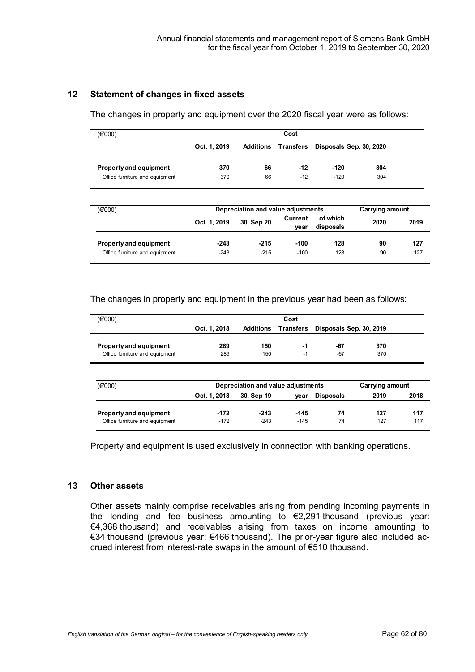## **12 Statement of changes in fixed assets**

The changes in property and equipment over the 2020 fiscal year were as follows:

| (E'000)                        |              |                                    | Cost            |                         |                        |      |
|--------------------------------|--------------|------------------------------------|-----------------|-------------------------|------------------------|------|
|                                | Oct. 1, 2019 | <b>Additions</b>                   | Transters       | Disposals Sep. 30, 2020 |                        |      |
| <b>Property and equipment</b>  | 370          | 66                                 | $-12$           | $-120$                  | 304                    |      |
| Office furniture and equipment | 370          | 66                                 | $-12$           | $-120$                  | 304                    |      |
|                                |              |                                    |                 |                         |                        |      |
| (E'000)                        |              | Depreciation and value adjustments |                 |                         | <b>Carrying amount</b> |      |
|                                | Oct. 1, 2019 | 30. Sep 20                         | Current<br>vear | of which<br>disposals   | 2020                   | 2019 |
| Property and equipment         | $-243$       | $-215$                             | -100            | 128                     | 90                     | 127  |

## The changes in property and equipment in the previous year had been as follows:

| (E'000)                        |              |                                    | Cost             |                         |                 |      |
|--------------------------------|--------------|------------------------------------|------------------|-------------------------|-----------------|------|
|                                | Oct. 1, 2018 | <b>Additions</b>                   | <b>Transfers</b> | Disposals Sep. 30, 2019 |                 |      |
| <b>Property and equipment</b>  | 289          | 150                                | -1               | $-67$                   | 370             |      |
| Office furniture and equipment | 289          | 150                                | $-1$             | $-67$                   | 370             |      |
|                                |              |                                    |                  |                         |                 |      |
| (E'000)                        |              | Depreciation and value adjustments |                  |                         | Carrying amount |      |
|                                | Oct. 1, 2018 | 30. Sep 19                         | vear             | <b>Disposals</b>        | 2019            | 2018 |
| <b>Property and equipment</b>  | $-172$       | $-243$                             | $-145$           | 74                      | 127             | 117  |
| Office furniture and equipment | $-172$       | $-243$                             | $-145$           | 74                      | 127             | 117  |

Property and equipment is used exclusively in connection with banking operations.

## **13 Other assets**

Other assets mainly comprise receivables arising from pending incoming payments in the lending and fee business amounting to €2,291 thousand (previous year: €4,368 thousand) and receivables arising from taxes on income amounting to €34 thousand (previous year: €466 thousand). The prior-year figure also included accrued interest from interest-rate swaps in the amount of €510 thousand.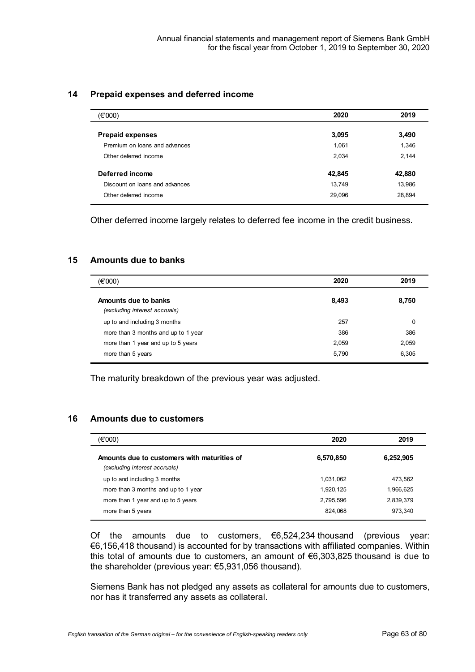## **14 Prepaid expenses and deferred income**

| (€'000)                        | 2020   | 2019   |
|--------------------------------|--------|--------|
| <b>Prepaid expenses</b>        | 3,095  | 3,490  |
| Premium on loans and advances  | 1,061  | 1,346  |
| Other deferred income          | 2,034  | 2,144  |
| Deferred income                | 42,845 | 42,880 |
| Discount on loans and advances | 13,749 | 13,986 |
| Other deferred income          | 29,096 | 28,894 |

Other deferred income largely relates to deferred fee income in the credit business.

## **15 Amounts due to banks**

| (E'000)                             | 2020  | 2019  |
|-------------------------------------|-------|-------|
| Amounts due to banks                | 8,493 | 8,750 |
| (excluding interest accruals)       |       |       |
| up to and including 3 months        | 257   | 0     |
| more than 3 months and up to 1 year | 386   | 386   |
| more than 1 year and up to 5 years  | 2,059 | 2,059 |
| more than 5 years                   | 5,790 | 6,305 |

The maturity breakdown of the previous year was adjusted.

## **16 Amounts due to customers**

| (€'000)                                                                      | 2020      | 2019      |
|------------------------------------------------------------------------------|-----------|-----------|
| Amounts due to customers with maturities of<br>(excluding interest accruals) | 6,570,850 | 6,252,905 |
| up to and including 3 months                                                 | 1,031,062 | 473,562   |
| more than 3 months and up to 1 year                                          | 1,920,125 | 1,966,625 |
| more than 1 year and up to 5 years                                           | 2,795,596 | 2,839,379 |
| more than 5 years                                                            | 824,068   | 973,340   |

Of the amounts due to customers, €6,524,234 thousand (previous year: €6,156,418 thousand) is accounted for by transactions with affiliated companies. Within this total of amounts due to customers, an amount of €6,303,825 thousand is due to the shareholder (previous year: €5,931,056 thousand).

Siemens Bank has not pledged any assets as collateral for amounts due to customers, nor has it transferred any assets as collateral.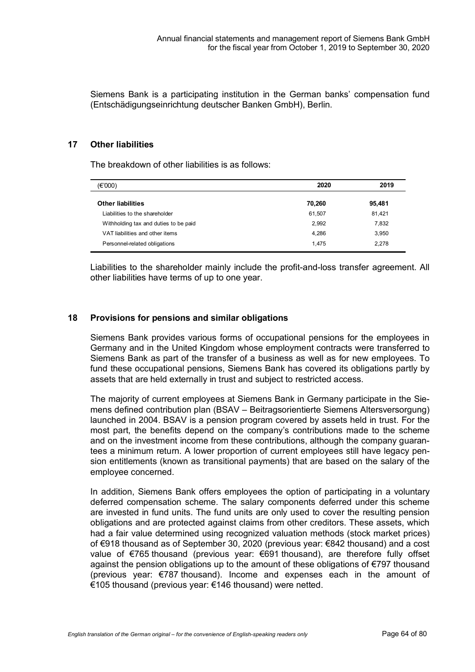Siemens Bank is a participating institution in the German banks' compensation fund (Entschädigungseinrichtung deutscher Banken GmbH), Berlin.

## **17 Other liabilities**

The breakdown of other liabilities is as follows:

| (E'000)                               | 2020   | 2019   |
|---------------------------------------|--------|--------|
|                                       |        |        |
| <b>Other liabilities</b>              | 70,260 | 95,481 |
| Liabilities to the shareholder        | 61,507 | 81,421 |
| Withholding tax and duties to be paid | 2,992  | 7,832  |
| VAT liabilities and other items       | 4,286  | 3,950  |
| Personnel-related obligations         | 1,475  | 2,278  |
|                                       |        |        |

Liabilities to the shareholder mainly include the profit-and-loss transfer agreement. All other liabilities have terms of up to one year.

## **18 Provisions for pensions and similar obligations**

Siemens Bank provides various forms of occupational pensions for the employees in Germany and in the United Kingdom whose employment contracts were transferred to Siemens Bank as part of the transfer of a business as well as for new employees. To fund these occupational pensions, Siemens Bank has covered its obligations partly by assets that are held externally in trust and subject to restricted access.

The majority of current employees at Siemens Bank in Germany participate in the Siemens defined contribution plan (BSAV – Beitragsorientierte Siemens Altersversorgung) launched in 2004. BSAV is a pension program covered by assets held in trust. For the most part, the benefits depend on the company's contributions made to the scheme and on the investment income from these contributions, although the company guarantees a minimum return. A lower proportion of current employees still have legacy pension entitlements (known as transitional payments) that are based on the salary of the employee concerned.

In addition, Siemens Bank offers employees the option of participating in a voluntary deferred compensation scheme. The salary components deferred under this scheme are invested in fund units. The fund units are only used to cover the resulting pension obligations and are protected against claims from other creditors. These assets, which had a fair value determined using recognized valuation methods (stock market prices) of €918 thousand as of September 30, 2020 (previous year: €842 thousand) and a cost value of €765 thousand (previous year: €691 thousand), are therefore fully offset against the pension obligations up to the amount of these obligations of €797 thousand (previous year: €787 thousand). Income and expenses each in the amount of €105 thousand (previous year: €146 thousand) were netted.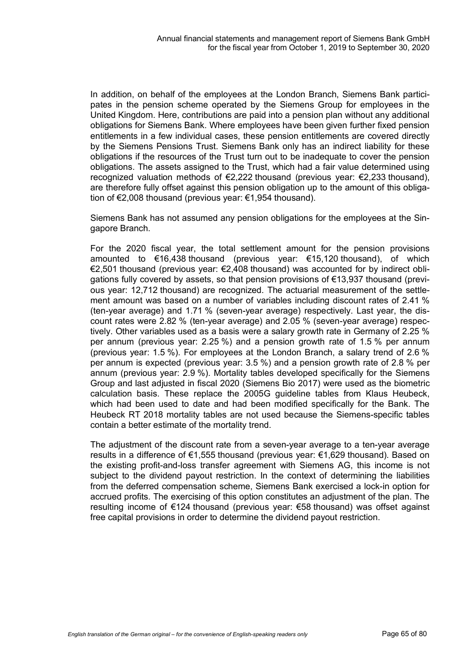In addition, on behalf of the employees at the London Branch, Siemens Bank participates in the pension scheme operated by the Siemens Group for employees in the United Kingdom. Here, contributions are paid into a pension plan without any additional obligations for Siemens Bank. Where employees have been given further fixed pension entitlements in a few individual cases, these pension entitlements are covered directly by the Siemens Pensions Trust. Siemens Bank only has an indirect liability for these obligations if the resources of the Trust turn out to be inadequate to cover the pension obligations. The assets assigned to the Trust, which had a fair value determined using recognized valuation methods of €2,222 thousand (previous year: €2,233 thousand), are therefore fully offset against this pension obligation up to the amount of this obligation of €2,008 thousand (previous year: €1,954 thousand).

Siemens Bank has not assumed any pension obligations for the employees at the Singapore Branch.

For the 2020 fiscal year, the total settlement amount for the pension provisions amounted to €16,438 thousand (previous year: €15,120 thousand), of which €2,501 thousand (previous year: €2,408 thousand) was accounted for by indirect obligations fully covered by assets, so that pension provisions of €13,937 thousand (previous year: 12,712 thousand) are recognized. The actuarial measurement of the settlement amount was based on a number of variables including discount rates of 2.41 % (ten-year average) and 1.71 % (seven-year average) respectively. Last year, the discount rates were 2.82 % (ten-year average) and 2.05 % (seven-year average) respectively. Other variables used as a basis were a salary growth rate in Germany of 2.25 % per annum (previous year: 2.25 %) and a pension growth rate of 1.5 % per annum (previous year: 1.5 %). For employees at the London Branch, a salary trend of 2.6 % per annum is expected (previous year: 3.5 %) and a pension growth rate of 2.8 % per annum (previous year: 2.9 %). Mortality tables developed specifically for the Siemens Group and last adjusted in fiscal 2020 (Siemens Bio 2017) were used as the biometric calculation basis. These replace the 2005G guideline tables from Klaus Heubeck, which had been used to date and had been modified specifically for the Bank. The Heubeck RT 2018 mortality tables are not used because the Siemens-specific tables contain a better estimate of the mortality trend.

The adjustment of the discount rate from a seven-year average to a ten-year average results in a difference of €1,555 thousand (previous year: €1,629 thousand). Based on the existing profit-and-loss transfer agreement with Siemens AG, this income is not subject to the dividend payout restriction. In the context of determining the liabilities from the deferred compensation scheme, Siemens Bank exercised a lock-in option for accrued profits. The exercising of this option constitutes an adjustment of the plan. The resulting income of €124 thousand (previous year: €58 thousand) was offset against free capital provisions in order to determine the dividend payout restriction.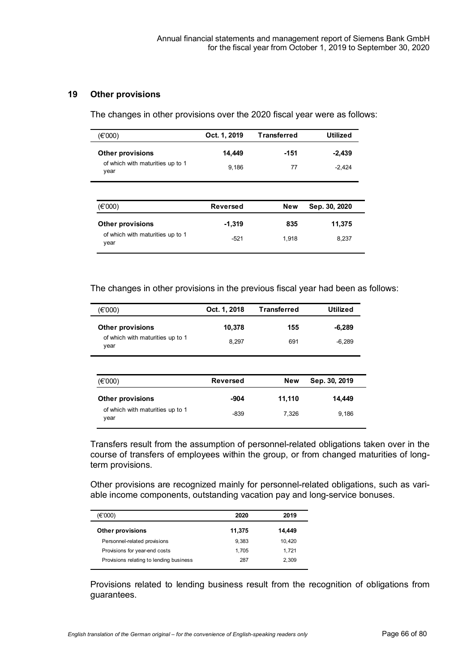## **19 Other provisions**

The changes in other provisions over the 2020 fiscal year were as follows:

| (€'000)                                  | Oct. 1, 2019    | <b>Transferred</b> | <b>Utilized</b> |
|------------------------------------------|-----------------|--------------------|-----------------|
| <b>Other provisions</b>                  | 14,449          | $-151$             | $-2,439$        |
| of which with maturities up to 1<br>year | 9,186           | 77                 | $-2,424$        |
|                                          |                 |                    |                 |
| (€'000)                                  | <b>Reversed</b> | <b>New</b>         | Sep. 30, 2020   |
| <b>Other provisions</b>                  | $-1,319$        | 835                | 11,375          |

The changes in other provisions in the previous fiscal year had been as follows:

| (€'000)                                  | Oct. 1, 2018    | <b>Transferred</b> | <b>Utilized</b> |
|------------------------------------------|-----------------|--------------------|-----------------|
| <b>Other provisions</b>                  | 10,378          | 155                | $-6,289$        |
| of which with maturities up to 1<br>year | 8,297           | 691                | $-6,289$        |
|                                          |                 |                    |                 |
|                                          |                 |                    |                 |
| (€'000)                                  | <b>Reversed</b> | <b>New</b>         | Sep. 30, 2019   |
| <b>Other provisions</b>                  | -904            | 11,110             | 14,449          |

Transfers result from the assumption of personnel-related obligations taken over in the course of transfers of employees within the group, or from changed maturities of longterm provisions.

Other provisions are recognized mainly for personnel-related obligations, such as variable income components, outstanding vacation pay and long-service bonuses.

| 2020   | 2019   |
|--------|--------|
| 11,375 | 14,449 |
| 9.383  | 10.420 |
| 1.705  | 1.721  |
| 287    | 2.309  |
|        |        |

Provisions related to lending business result from the recognition of obligations from guarantees.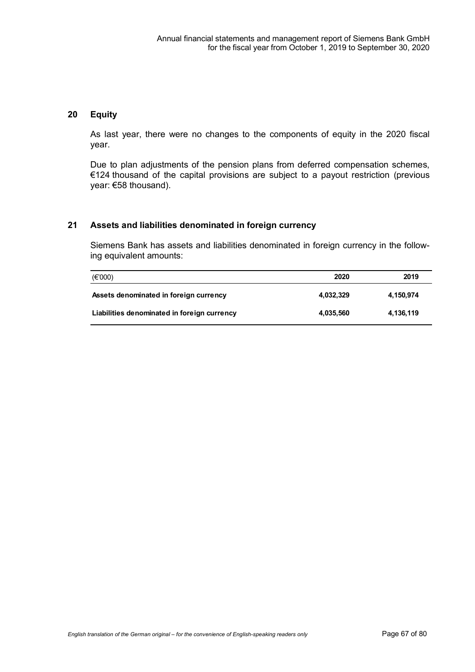## **20 Equity**

As last year, there were no changes to the components of equity in the 2020 fiscal year.

Due to plan adjustments of the pension plans from deferred compensation schemes, €124 thousand of the capital provisions are subject to a payout restriction (previous year: €58 thousand).

## **21 Assets and liabilities denominated in foreign currency**

Siemens Bank has assets and liabilities denominated in foreign currency in the following equivalent amounts:

| $(\epsilon$ '000)                           | 2020      | 2019      |
|---------------------------------------------|-----------|-----------|
| Assets denominated in foreign currency      | 4.032.329 | 4,150,974 |
| Liabilities denominated in foreign currency | 4,035,560 | 4,136,119 |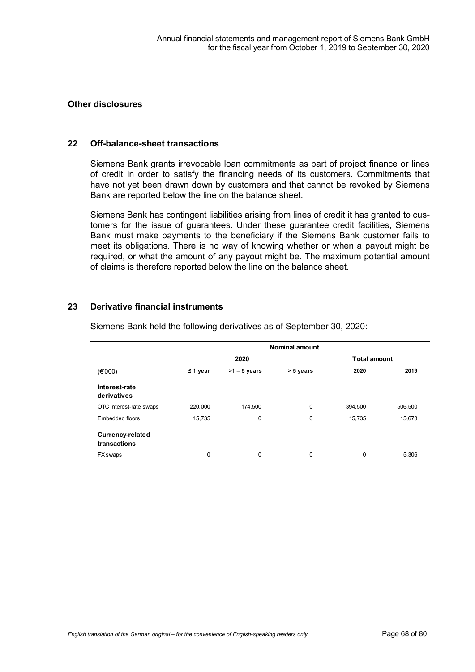## **Other disclosures**

#### **22 Off-balance-sheet transactions**

Siemens Bank grants irrevocable loan commitments as part of project finance or lines of credit in order to satisfy the financing needs of its customers. Commitments that have not yet been drawn down by customers and that cannot be revoked by Siemens Bank are reported below the line on the balance sheet.

Siemens Bank has contingent liabilities arising from lines of credit it has granted to customers for the issue of guarantees. Under these guarantee credit facilities, Siemens Bank must make payments to the beneficiary if the Siemens Bank customer fails to meet its obligations. There is no way of knowing whether or when a payout might be required, or what the amount of any payout might be. The maximum potential amount of claims is therefore reported below the line on the balance sheet.

## **23 Derivative financial instruments**

|                                         | <b>Nominal amount</b> |                |           |                     |         |
|-----------------------------------------|-----------------------|----------------|-----------|---------------------|---------|
|                                         | 2020                  |                |           | <b>Total amount</b> |         |
| $(\epsilon$ '000)                       | $\leq$ 1 year         | $>1 - 5$ years | > 5 years | 2020                | 2019    |
| Interest-rate<br>derivatives            |                       |                |           |                     |         |
| OTC interest-rate swaps                 | 220,000               | 174,500        | 0         | 394,500             | 506,500 |
| Embedded floors                         | 15,735                | 0              | 0         | 15,735              | 15,673  |
| <b>Currency-related</b><br>transactions |                       |                |           |                     |         |
| <b>FX</b> swaps                         | 0                     | $\mathbf 0$    | 0         | 0                   | 5,306   |

Siemens Bank held the following derivatives as of September 30, 2020: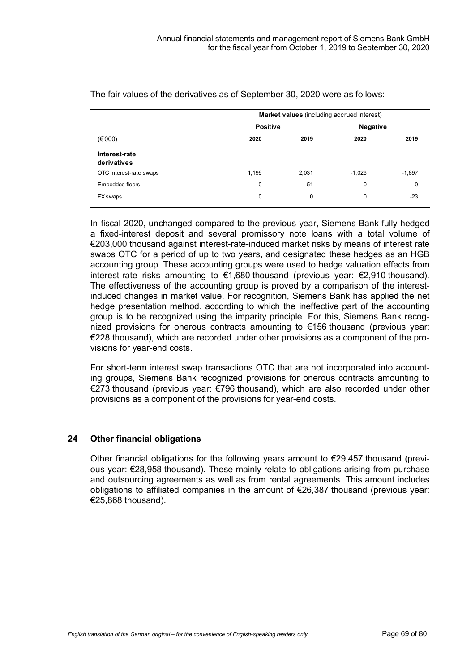| $(\epsilon$ '000)<br>Interest-rate<br>derivatives | <b>Market values</b> (including accrued interest) |       |          |          |
|---------------------------------------------------|---------------------------------------------------|-------|----------|----------|
|                                                   | <b>Positive</b>                                   |       | Negative |          |
|                                                   | 2020                                              | 2019  | 2020     | 2019     |
|                                                   |                                                   |       |          |          |
| OTC interest-rate swaps                           | 1,199                                             | 2,031 | $-1,026$ | $-1,897$ |
| Embedded floors                                   | 0                                                 | 51    | 0        | 0        |
| FX swaps                                          | 0                                                 | 0     | 0        | $-23$    |

The fair values of the derivatives as of September 30, 2020 were as follows:

In fiscal 2020, unchanged compared to the previous year, Siemens Bank fully hedged a fixed-interest deposit and several promissory note loans with a total volume of €203,000 thousand against interest-rate-induced market risks by means of interest rate swaps OTC for a period of up to two years, and designated these hedges as an HGB accounting group. These accounting groups were used to hedge valuation effects from interest-rate risks amounting to €1,680 thousand (previous year: €2,910 thousand). The effectiveness of the accounting group is proved by a comparison of the interestinduced changes in market value. For recognition, Siemens Bank has applied the net hedge presentation method, according to which the ineffective part of the accounting group is to be recognized using the imparity principle. For this, Siemens Bank recognized provisions for onerous contracts amounting to €156 thousand (previous year: €228 thousand), which are recorded under other provisions as a component of the provisions for year-end costs.

For short-term interest swap transactions OTC that are not incorporated into accounting groups, Siemens Bank recognized provisions for onerous contracts amounting to €273 thousand (previous year: €796 thousand), which are also recorded under other provisions as a component of the provisions for year-end costs.

## **24 Other financial obligations**

Other financial obligations for the following years amount to  $\epsilon$ 29,457 thousand (previous year: €28,958 thousand). These mainly relate to obligations arising from purchase and outsourcing agreements as well as from rental agreements. This amount includes obligations to affiliated companies in the amount of €26,387 thousand (previous year: €25,868 thousand).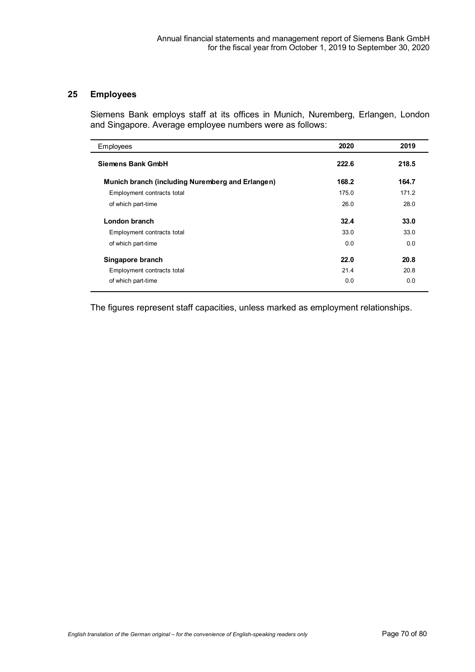## **25 Employees**

 $\overline{a}$ 

Siemens Bank employs staff at its offices in Munich, Nuremberg, Erlangen, London and Singapore. Average employee numbers were as follows:

| Employees                                        | 2020  | 2019  |
|--------------------------------------------------|-------|-------|
| <b>Siemens Bank GmbH</b>                         | 222.6 | 218.5 |
| Munich branch (including Nuremberg and Erlangen) | 168.2 | 164.7 |
| Employment contracts total                       | 175.0 | 171.2 |
| of which part-time                               | 26.0  | 28.0  |
| London branch                                    | 32.4  | 33.0  |
| Employment contracts total                       | 33.0  | 33.0  |
| of which part-time                               | 0.0   | 0.0   |
| Singapore branch                                 | 22.0  | 20.8  |
| Employment contracts total                       | 21.4  | 20.8  |
| of which part-time                               | 0.0   | 0.0   |

The figures represent staff capacities, unless marked as employment relationships.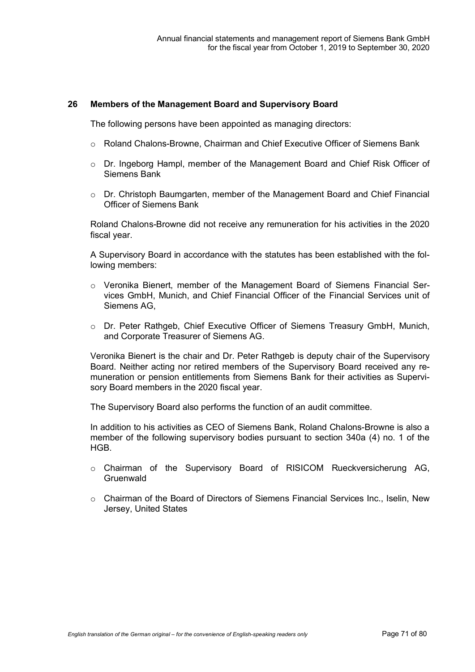## **26 Members of the Management Board and Supervisory Board**

The following persons have been appointed as managing directors:

- o Roland Chalons-Browne, Chairman and Chief Executive Officer of Siemens Bank
- o Dr. Ingeborg Hampl, member of the Management Board and Chief Risk Officer of Siemens Bank
- o Dr. Christoph Baumgarten, member of the Management Board and Chief Financial Officer of Siemens Bank

Roland Chalons-Browne did not receive any remuneration for his activities in the 2020 fiscal year.

A Supervisory Board in accordance with the statutes has been established with the following members:

- o Veronika Bienert, member of the Management Board of Siemens Financial Services GmbH, Munich, and Chief Financial Officer of the Financial Services unit of Siemens AG,
- o Dr. Peter Rathgeb, Chief Executive Officer of Siemens Treasury GmbH, Munich, and Corporate Treasurer of Siemens AG.

Veronika Bienert is the chair and Dr. Peter Rathgeb is deputy chair of the Supervisory Board. Neither acting nor retired members of the Supervisory Board received any remuneration or pension entitlements from Siemens Bank for their activities as Supervisory Board members in the 2020 fiscal year.

The Supervisory Board also performs the function of an audit committee.

In addition to his activities as CEO of Siemens Bank, Roland Chalons-Browne is also a member of the following supervisory bodies pursuant to section 340a (4) no. 1 of the HGB.

- o Chairman of the Supervisory Board of RISICOM Rueckversicherung AG, Gruenwald
- o Chairman of the Board of Directors of Siemens Financial Services Inc., Iselin, New Jersey, United States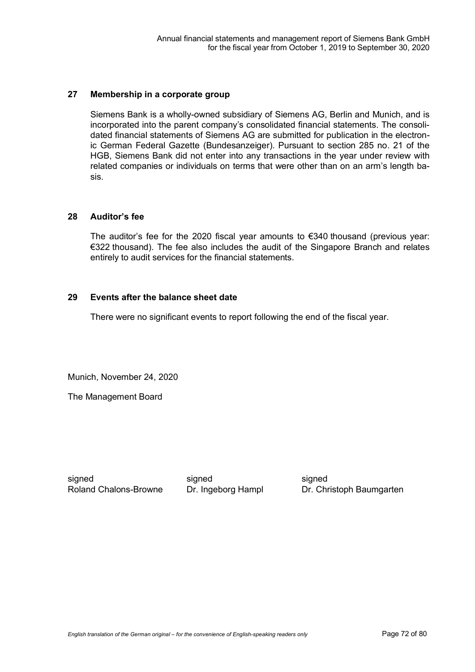## **27 Membership in a corporate group**

Siemens Bank is a wholly-owned subsidiary of Siemens AG, Berlin and Munich, and is incorporated into the parent company's consolidated financial statements. The consolidated financial statements of Siemens AG are submitted for publication in the electronic German Federal Gazette (Bundesanzeiger). Pursuant to section 285 no. 21 of the HGB, Siemens Bank did not enter into any transactions in the year under review with related companies or individuals on terms that were other than on an arm's length basis.

## **28 Auditor's fee**

The auditor's fee for the 2020 fiscal year amounts to €340 thousand (previous year: €322 thousand). The fee also includes the audit of the Singapore Branch and relates entirely to audit services for the financial statements.

## **29 Events after the balance sheet date**

There were no significant events to report following the end of the fiscal year.

Munich, November 24, 2020

The Management Board

signed Roland Chalons-Browne signed Dr. Ingeborg Hampl

signed Dr. Christoph Baumgarten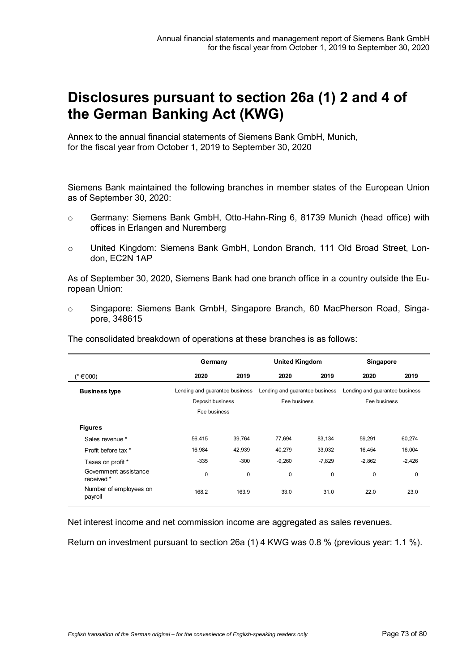# **Disclosures pursuant to section 26a (1) 2 and 4 of the German Banking Act (KWG)**

Annex to the annual financial statements of Siemens Bank GmbH, Munich, for the fiscal year from October 1, 2019 to September 30, 2020

Siemens Bank maintained the following branches in member states of the European Union as of September 30, 2020:

- o Germany: Siemens Bank GmbH, Otto-Hahn-Ring 6, 81739 Munich (head office) with offices in Erlangen and Nuremberg
- o United Kingdom: Siemens Bank GmbH, London Branch, 111 Old Broad Street, London, EC2N 1AP

As of September 30, 2020, Siemens Bank had one branch office in a country outside the European Union:

o Singapore: Siemens Bank GmbH, Singapore Branch, 60 MacPherson Road, Singapore, 348615

The consolidated breakdown of operations at these branches is as follows:

|                                     | Germany                        |        | <b>United Kingdom</b>          |          | Singapore                      |          |
|-------------------------------------|--------------------------------|--------|--------------------------------|----------|--------------------------------|----------|
| (*€'000)                            | 2020                           | 2019   | 2020                           | 2019     | 2020                           | 2019     |
| <b>Business type</b>                | Lending and guarantee business |        | Lending and guarantee business |          | Lending and guarantee business |          |
|                                     | Deposit business               |        | Fee business                   |          | Fee business                   |          |
|                                     | Fee business                   |        |                                |          |                                |          |
| <b>Figures</b>                      |                                |        |                                |          |                                |          |
| Sales revenue *                     | 56,415                         | 39,764 | 77,694                         | 83,134   | 59,291                         | 60,274   |
| Profit before tax *                 | 16,984                         | 42,939 | 40,279                         | 33,032   | 16,454                         | 16,004   |
| Taxes on profit *                   | $-335$                         | $-300$ | $-9,260$                       | $-7,829$ | $-2,862$                       | $-2,426$ |
| Government assistance<br>received * | 0                              | 0      | 0                              | 0        | 0                              | 0        |
| Number of employees on<br>payroll   | 168.2                          | 163.9  | 33.0                           | 31.0     | 22.0                           | 23.0     |

Net interest income and net commission income are aggregated as sales revenues.

Return on investment pursuant to section 26a (1) 4 KWG was 0.8 % (previous year: 1.1 %).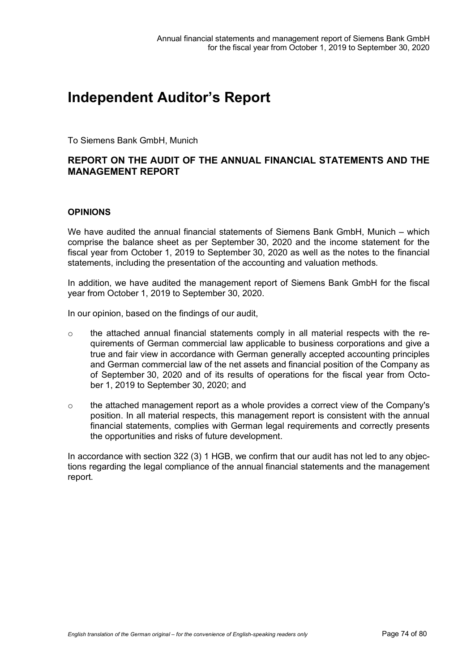## **Independent Auditor's Report**

To Siemens Bank GmbH, Munich

## **REPORT ON THE AUDIT OF THE ANNUAL FINANCIAL STATEMENTS AND THE MANAGEMENT REPORT**

## **OPINIONS**

We have audited the annual financial statements of Siemens Bank GmbH, Munich – which comprise the balance sheet as per September 30, 2020 and the income statement for the fiscal year from October 1, 2019 to September 30, 2020 as well as the notes to the financial statements, including the presentation of the accounting and valuation methods.

In addition, we have audited the management report of Siemens Bank GmbH for the fiscal year from October 1, 2019 to September 30, 2020.

In our opinion, based on the findings of our audit,

- $\circ$  the attached annual financial statements comply in all material respects with the requirements of German commercial law applicable to business corporations and give a true and fair view in accordance with German generally accepted accounting principles and German commercial law of the net assets and financial position of the Company as of September 30, 2020 and of its results of operations for the fiscal year from October 1, 2019 to September 30, 2020; and
- $\circ$  the attached management report as a whole provides a correct view of the Company's position. In all material respects, this management report is consistent with the annual financial statements, complies with German legal requirements and correctly presents the opportunities and risks of future development.

In accordance with section 322 (3) 1 HGB, we confirm that our audit has not led to any objections regarding the legal compliance of the annual financial statements and the management report.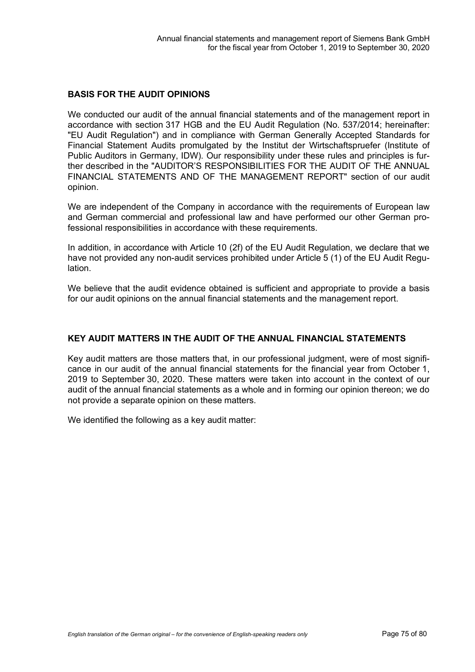## **BASIS FOR THE AUDIT OPINIONS**

We conducted our audit of the annual financial statements and of the management report in accordance with section 317 HGB and the EU Audit Regulation (No. 537/2014; hereinafter: "EU Audit Regulation") and in compliance with German Generally Accepted Standards for Financial Statement Audits promulgated by the Institut der Wirtschaftspruefer (Institute of Public Auditors in Germany, IDW). Our responsibility under these rules and principles is further described in the "AUDITOR'S RESPONSIBILITIES FOR THE AUDIT OF THE ANNUAL FINANCIAL STATEMENTS AND OF THE MANAGEMENT REPORT" section of our audit opinion.

We are independent of the Company in accordance with the requirements of European law and German commercial and professional law and have performed our other German professional responsibilities in accordance with these requirements.

In addition, in accordance with Article 10 (2f) of the EU Audit Regulation, we declare that we have not provided any non-audit services prohibited under Article 5 (1) of the EU Audit Regulation.

We believe that the audit evidence obtained is sufficient and appropriate to provide a basis for our audit opinions on the annual financial statements and the management report.

## **KEY AUDIT MATTERS IN THE AUDIT OF THE ANNUAL FINANCIAL STATEMENTS**

Key audit matters are those matters that, in our professional judgment, were of most significance in our audit of the annual financial statements for the financial year from October 1, 2019 to September 30, 2020. These matters were taken into account in the context of our audit of the annual financial statements as a whole and in forming our opinion thereon; we do not provide a separate opinion on these matters.

We identified the following as a key audit matter: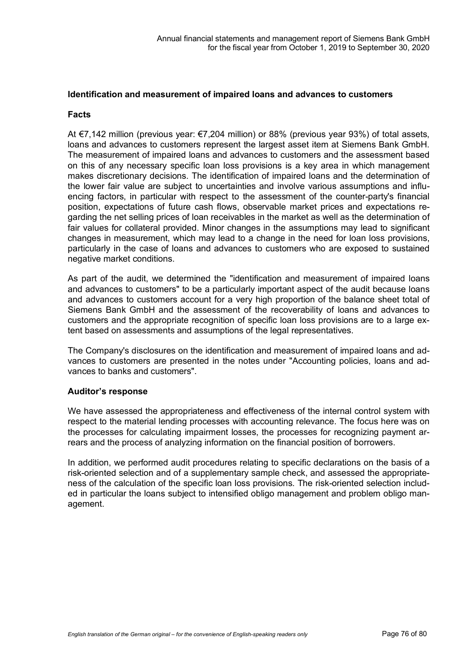#### **Identification and measurement of impaired loans and advances to customers**

#### **Facts**

At €7,142 million (previous year: €7,204 million) or 88% (previous year 93%) of total assets, loans and advances to customers represent the largest asset item at Siemens Bank GmbH. The measurement of impaired loans and advances to customers and the assessment based on this of any necessary specific loan loss provisions is a key area in which management makes discretionary decisions. The identification of impaired loans and the determination of the lower fair value are subject to uncertainties and involve various assumptions and influencing factors, in particular with respect to the assessment of the counter-party's financial position, expectations of future cash flows, observable market prices and expectations regarding the net selling prices of loan receivables in the market as well as the determination of fair values for collateral provided. Minor changes in the assumptions may lead to significant changes in measurement, which may lead to a change in the need for loan loss provisions, particularly in the case of loans and advances to customers who are exposed to sustained negative market conditions.

As part of the audit, we determined the "identification and measurement of impaired loans and advances to customers" to be a particularly important aspect of the audit because loans and advances to customers account for a very high proportion of the balance sheet total of Siemens Bank GmbH and the assessment of the recoverability of loans and advances to customers and the appropriate recognition of specific loan loss provisions are to a large extent based on assessments and assumptions of the legal representatives.

The Company's disclosures on the identification and measurement of impaired loans and advances to customers are presented in the notes under "Accounting policies, loans and advances to banks and customers".

## **Auditor's response**

We have assessed the appropriateness and effectiveness of the internal control system with respect to the material lending processes with accounting relevance. The focus here was on the processes for calculating impairment losses, the processes for recognizing payment arrears and the process of analyzing information on the financial position of borrowers.

In addition, we performed audit procedures relating to specific declarations on the basis of a risk-oriented selection and of a supplementary sample check, and assessed the appropriateness of the calculation of the specific loan loss provisions. The risk-oriented selection included in particular the loans subject to intensified obligo management and problem obligo management.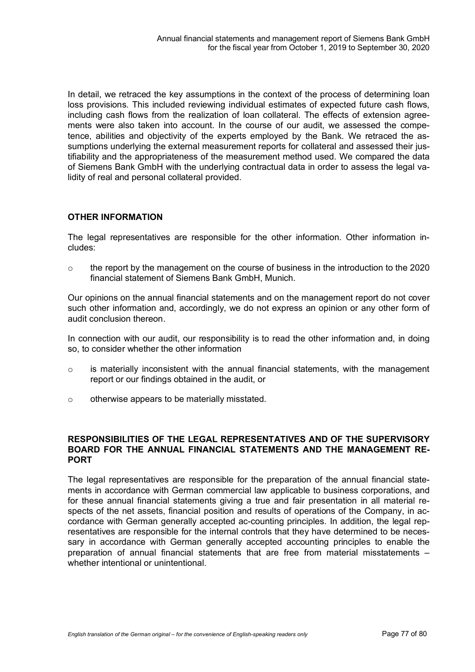In detail, we retraced the key assumptions in the context of the process of determining loan loss provisions. This included reviewing individual estimates of expected future cash flows, including cash flows from the realization of loan collateral. The effects of extension agreements were also taken into account. In the course of our audit, we assessed the competence, abilities and objectivity of the experts employed by the Bank. We retraced the assumptions underlying the external measurement reports for collateral and assessed their justifiability and the appropriateness of the measurement method used. We compared the data of Siemens Bank GmbH with the underlying contractual data in order to assess the legal validity of real and personal collateral provided.

## **OTHER INFORMATION**

The legal representatives are responsible for the other information. Other information includes:

 $\circ$  the report by the management on the course of business in the introduction to the 2020 financial statement of Siemens Bank GmbH, Munich.

Our opinions on the annual financial statements and on the management report do not cover such other information and, accordingly, we do not express an opinion or any other form of audit conclusion thereon.

In connection with our audit, our responsibility is to read the other information and, in doing so, to consider whether the other information

- $\circ$  is materially inconsistent with the annual financial statements, with the management report or our findings obtained in the audit, or
- o otherwise appears to be materially misstated.

## **RESPONSIBILITIES OF THE LEGAL REPRESENTATIVES AND OF THE SUPERVISORY BOARD FOR THE ANNUAL FINANCIAL STATEMENTS AND THE MANAGEMENT RE-PORT**

The legal representatives are responsible for the preparation of the annual financial statements in accordance with German commercial law applicable to business corporations, and for these annual financial statements giving a true and fair presentation in all material respects of the net assets, financial position and results of operations of the Company, in accordance with German generally accepted ac-counting principles. In addition, the legal representatives are responsible for the internal controls that they have determined to be necessary in accordance with German generally accepted accounting principles to enable the preparation of annual financial statements that are free from material misstatements – whether intentional or unintentional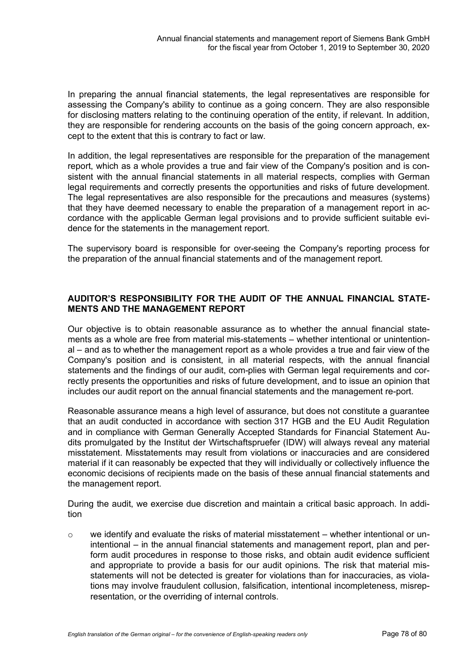In preparing the annual financial statements, the legal representatives are responsible for assessing the Company's ability to continue as a going concern. They are also responsible for disclosing matters relating to the continuing operation of the entity, if relevant. In addition, they are responsible for rendering accounts on the basis of the going concern approach, except to the extent that this is contrary to fact or law.

In addition, the legal representatives are responsible for the preparation of the management report, which as a whole provides a true and fair view of the Company's position and is consistent with the annual financial statements in all material respects, complies with German legal requirements and correctly presents the opportunities and risks of future development. The legal representatives are also responsible for the precautions and measures (systems) that they have deemed necessary to enable the preparation of a management report in accordance with the applicable German legal provisions and to provide sufficient suitable evidence for the statements in the management report.

The supervisory board is responsible for over-seeing the Company's reporting process for the preparation of the annual financial statements and of the management report.

## **AUDITOR'S RESPONSIBILITY FOR THE AUDIT OF THE ANNUAL FINANCIAL STATE-MENTS AND THE MANAGEMENT REPORT**

Our objective is to obtain reasonable assurance as to whether the annual financial statements as a whole are free from material mis-statements – whether intentional or unintentional – and as to whether the management report as a whole provides a true and fair view of the Company's position and is consistent, in all material respects, with the annual financial statements and the findings of our audit, com-plies with German legal requirements and correctly presents the opportunities and risks of future development, and to issue an opinion that includes our audit report on the annual financial statements and the management re-port.

Reasonable assurance means a high level of assurance, but does not constitute a guarantee that an audit conducted in accordance with section 317 HGB and the EU Audit Regulation and in compliance with German Generally Accepted Standards for Financial Statement Audits promulgated by the Institut der Wirtschaftspruefer (IDW) will always reveal any material misstatement. Misstatements may result from violations or inaccuracies and are considered material if it can reasonably be expected that they will individually or collectively influence the economic decisions of recipients made on the basis of these annual financial statements and the management report.

During the audit, we exercise due discretion and maintain a critical basic approach. In addition

 $\circ$  we identify and evaluate the risks of material misstatement – whether intentional or unintentional – in the annual financial statements and management report, plan and perform audit procedures in response to those risks, and obtain audit evidence sufficient and appropriate to provide a basis for our audit opinions. The risk that material misstatements will not be detected is greater for violations than for inaccuracies, as violations may involve fraudulent collusion, falsification, intentional incompleteness, misrepresentation, or the overriding of internal controls.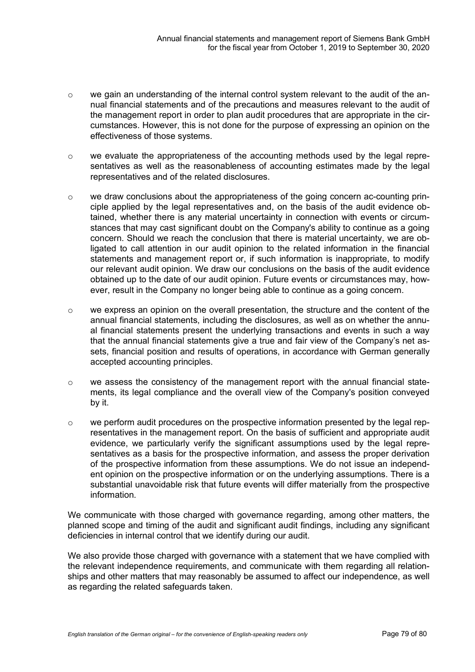- o we gain an understanding of the internal control system relevant to the audit of the annual financial statements and of the precautions and measures relevant to the audit of the management report in order to plan audit procedures that are appropriate in the circumstances. However, this is not done for the purpose of expressing an opinion on the effectiveness of those systems.
- o we evaluate the appropriateness of the accounting methods used by the legal representatives as well as the reasonableness of accounting estimates made by the legal representatives and of the related disclosures.
- o we draw conclusions about the appropriateness of the going concern ac-counting principle applied by the legal representatives and, on the basis of the audit evidence obtained, whether there is any material uncertainty in connection with events or circumstances that may cast significant doubt on the Company's ability to continue as a going concern. Should we reach the conclusion that there is material uncertainty, we are obligated to call attention in our audit opinion to the related information in the financial statements and management report or, if such information is inappropriate, to modify our relevant audit opinion. We draw our conclusions on the basis of the audit evidence obtained up to the date of our audit opinion. Future events or circumstances may, however, result in the Company no longer being able to continue as a going concern.
- o we express an opinion on the overall presentation, the structure and the content of the annual financial statements, including the disclosures, as well as on whether the annual financial statements present the underlying transactions and events in such a way that the annual financial statements give a true and fair view of the Company's net assets, financial position and results of operations, in accordance with German generally accepted accounting principles.
- $\circ$  we assess the consistency of the management report with the annual financial statements, its legal compliance and the overall view of the Company's position conveyed by it.
- $\circ$  we perform audit procedures on the prospective information presented by the legal representatives in the management report. On the basis of sufficient and appropriate audit evidence, we particularly verify the significant assumptions used by the legal representatives as a basis for the prospective information, and assess the proper derivation of the prospective information from these assumptions. We do not issue an independent opinion on the prospective information or on the underlying assumptions. There is a substantial unavoidable risk that future events will differ materially from the prospective information.

We communicate with those charged with governance regarding, among other matters, the planned scope and timing of the audit and significant audit findings, including any significant deficiencies in internal control that we identify during our audit.

We also provide those charged with governance with a statement that we have complied with the relevant independence requirements, and communicate with them regarding all relationships and other matters that may reasonably be assumed to affect our independence, as well as regarding the related safeguards taken.